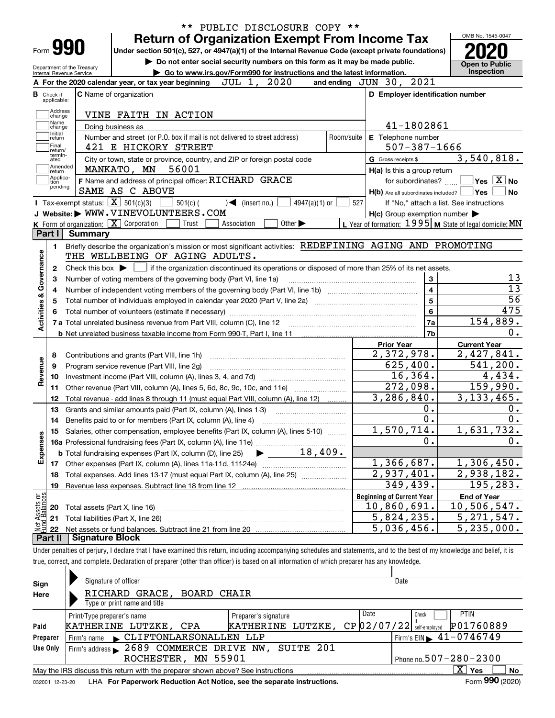| Form 990                                               | <b>Return of Organization Exempt From Income Tax</b><br>Under section 501(c), 527, or 4947(a)(1) of the Internal Revenue Code (except private foundations)<br>Do not enter social security numbers on this form as it may be made public. |            |                                  |                                                     | <b>Open to Public</b>                                                              |
|--------------------------------------------------------|-------------------------------------------------------------------------------------------------------------------------------------------------------------------------------------------------------------------------------------------|------------|----------------------------------|-----------------------------------------------------|------------------------------------------------------------------------------------|
| Department of the Treasury<br>Internal Revenue Service | Go to www.irs.gov/Form990 for instructions and the latest information.                                                                                                                                                                    |            |                                  |                                                     | Inspection                                                                         |
|                                                        | JUL 1, 2020<br>A For the 2020 calendar year, or tax year beginning                                                                                                                                                                        |            | and ending $JUN$ $30$ ,          | 2021                                                |                                                                                    |
| Check if                                               | <b>C</b> Name of organization                                                                                                                                                                                                             |            |                                  | D Employer identification number                    |                                                                                    |
| applicable:                                            |                                                                                                                                                                                                                                           |            |                                  |                                                     |                                                                                    |
| Address<br>change                                      | VINE FAITH IN ACTION                                                                                                                                                                                                                      |            |                                  |                                                     |                                                                                    |
| Name<br>change                                         | Doing business as                                                                                                                                                                                                                         |            |                                  | 41-1802861                                          |                                                                                    |
| Initial<br>return                                      | Number and street (or P.O. box if mail is not delivered to street address)                                                                                                                                                                | Room/suite | E Telephone number               |                                                     |                                                                                    |
| Final<br>return/                                       | 421 E HICKORY STREET                                                                                                                                                                                                                      |            |                                  | $507 - 387 - 1666$                                  |                                                                                    |
| termin-<br>ated                                        | City or town, state or province, country, and ZIP or foreign postal code                                                                                                                                                                  |            | G Gross receipts \$              |                                                     | 3,540,818.                                                                         |
| Amended<br>return                                      | 56001<br>MANKATO, MN                                                                                                                                                                                                                      |            |                                  | H(a) Is this a group return                         |                                                                                    |
| Applica-<br>tion<br>pending                            | F Name and address of principal officer: RICHARD GRACE                                                                                                                                                                                    |            |                                  | for subordinates?                                   | $ {\mathsf Y}{\mathsf e}{\mathsf s} \: \lfloor \underline{{\mathsf X}} \rfloor$ No |
|                                                        | SAME AS C ABOVE                                                                                                                                                                                                                           |            |                                  | $H(b)$ Are all subordinates included?               | <b>Yes</b><br><b>No</b>                                                            |
|                                                        | Tax-exempt status: $\boxed{\mathbf{X}}$ 501(c)(3)<br>$\sum$ (insert no.)<br>4947(a)(1) or<br>$501(c)$ (                                                                                                                                   | 527        |                                  |                                                     | If "No," attach a list. See instructions                                           |
|                                                        | J Website: WWW.VINEVOLUNTEERS.COM                                                                                                                                                                                                         |            |                                  | $H(c)$ Group exemption number $\blacktriangleright$ |                                                                                    |
|                                                        | <b>K</b> Form of organization: $\boxed{\mathbf{X}}$ Corporation<br>Other $\blacktriangleright$<br>Trust<br>Association                                                                                                                    |            |                                  |                                                     | L Year of formation: $1995$ M State of legal domicile: MN                          |
| Part I                                                 | <b>Summary</b>                                                                                                                                                                                                                            |            |                                  |                                                     |                                                                                    |
| 1.                                                     | Briefly describe the organization's mission or most significant activities: REDEFINING AGING AND PROMOTING                                                                                                                                |            |                                  |                                                     |                                                                                    |
|                                                        | THE WELLBEING OF AGING ADULTS.                                                                                                                                                                                                            |            |                                  |                                                     |                                                                                    |
| Governance<br>2                                        | Check this box $\blacktriangleright$<br>if the organization discontinued its operations or disposed of more than 25% of its net assets.                                                                                                   |            |                                  |                                                     |                                                                                    |
| З                                                      | Number of voting members of the governing body (Part VI, line 1a)                                                                                                                                                                         |            |                                  | 3                                                   | 13                                                                                 |
| 4                                                      |                                                                                                                                                                                                                                           |            |                                  | $\overline{4}$                                      | $\overline{13}$                                                                    |
| <b>Activities &amp;</b><br>5                           |                                                                                                                                                                                                                                           |            |                                  | 5                                                   | $\overline{56}$                                                                    |
| 6                                                      |                                                                                                                                                                                                                                           |            |                                  | 6                                                   | 475                                                                                |
|                                                        |                                                                                                                                                                                                                                           |            |                                  | 7a                                                  | 154,889.                                                                           |
|                                                        |                                                                                                                                                                                                                                           |            |                                  | 7b                                                  | 0.                                                                                 |
|                                                        |                                                                                                                                                                                                                                           |            | <b>Prior Year</b>                |                                                     | <b>Current Year</b>                                                                |
| 8                                                      | Contributions and grants (Part VIII, line 1h)                                                                                                                                                                                             |            | 2,372,978.                       |                                                     | 2,427,841.                                                                         |
| Revenue<br>9                                           | Program service revenue (Part VIII, line 2g)                                                                                                                                                                                              |            |                                  | 625,400.                                            | 541,200.                                                                           |
| 10                                                     |                                                                                                                                                                                                                                           |            |                                  | 16, 364.                                            | 4,434.                                                                             |
| 11                                                     | Other revenue (Part VIII, column (A), lines 5, 6d, 8c, 9c, 10c, and 11e)                                                                                                                                                                  |            |                                  | 272,098.                                            | 159,990.                                                                           |
| 12                                                     | Total revenue - add lines 8 through 11 (must equal Part VIII, column (A), line 12)                                                                                                                                                        |            | 3,286,840.                       |                                                     | 3, 133, 465.                                                                       |
| 13                                                     | Grants and similar amounts paid (Part IX, column (A), lines 1-3)                                                                                                                                                                          |            |                                  | 0.                                                  | 0.                                                                                 |
| 14                                                     | Benefits paid to or for members (Part IX, column (A), line 4)                                                                                                                                                                             |            |                                  | 0.                                                  | 0.                                                                                 |
| 15                                                     | Salaries, other compensation, employee benefits (Part IX, column (A), lines 5-10)                                                                                                                                                         |            | $1,570,714$ .                    |                                                     | 1,631,732.                                                                         |
|                                                        |                                                                                                                                                                                                                                           |            |                                  | 0.                                                  | 0.                                                                                 |
| Expenses                                               |                                                                                                                                                                                                                                           |            |                                  |                                                     |                                                                                    |
| 17                                                     |                                                                                                                                                                                                                                           |            | 1,366,687.                       |                                                     | 1,306,450.                                                                         |
| 18                                                     | Total expenses. Add lines 13-17 (must equal Part IX, column (A), line 25) [                                                                                                                                                               |            | 2,937,401.                       |                                                     | 2,938,182.                                                                         |
| 19                                                     |                                                                                                                                                                                                                                           |            |                                  | 349,439.                                            | 195,283.                                                                           |
|                                                        |                                                                                                                                                                                                                                           |            | <b>Beginning of Current Year</b> |                                                     | <b>End of Year</b>                                                                 |
| t Assets or<br>d Balances<br>20                        | Total assets (Part X, line 16)                                                                                                                                                                                                            |            | 10,860,691.                      |                                                     | 10,506,547.                                                                        |
| 21                                                     | Total liabilities (Part X, line 26)                                                                                                                                                                                                       |            | 5,824,235.                       |                                                     | 5,271,547.                                                                         |
| 22                                                     |                                                                                                                                                                                                                                           |            | 5,036,456.                       |                                                     | 5, 235, 000.                                                                       |
|                                                        |                                                                                                                                                                                                                                           |            |                                  |                                                     |                                                                                    |
| Part II                                                | <b>Signature Block</b><br>Under penalties of perjury, I declare that I have examined this return, including accompanying schedules and statements, and to the best of my knowledge and belief, it is                                      |            |                                  |                                                     |                                                                                    |

| Sign<br>Here | Signature of officer<br>RICHARD GRACE, BOARD CHAIR<br>Type or print name and title | Date                                        |
|--------------|------------------------------------------------------------------------------------|---------------------------------------------|
|              | Date<br>Preparer's signature<br>Print/Type preparer's name                         | <b>PTIN</b><br>Check                        |
| Paid         | CP  02/07/22 <br><b>KATHERINE</b><br>LUTZKE,<br>KATHERINE LUTZKE, CPA              | P01760889<br>self-emploved                  |
| Preparer     | CLIFTONLARSONALLEN LLP<br>Firm's name                                              | Firm's EIN $\blacktriangleright$ 41-0746749 |
| Use Only     | Firm's address 2689 COMMERCE DRIVE NW, SUITE 201                                   |                                             |
|              | ROCHESTER, MN 55901                                                                | Phone no. $507 - 280 - 2300$                |
|              | May the IRS discuss this return with the preparer shown above? See instructions    | x<br><b>No</b><br>Yes                       |
|              | cosos uses of the Fau Denomials Deduction Ast Nation and the conquate instructions | $F_{\text{sum}}$ 990 (2020)                 |

032001 12-23-20 LHA **For Paperwork Reduction Act Notice, see the separate instructions.** Form 990 (2020)

**990**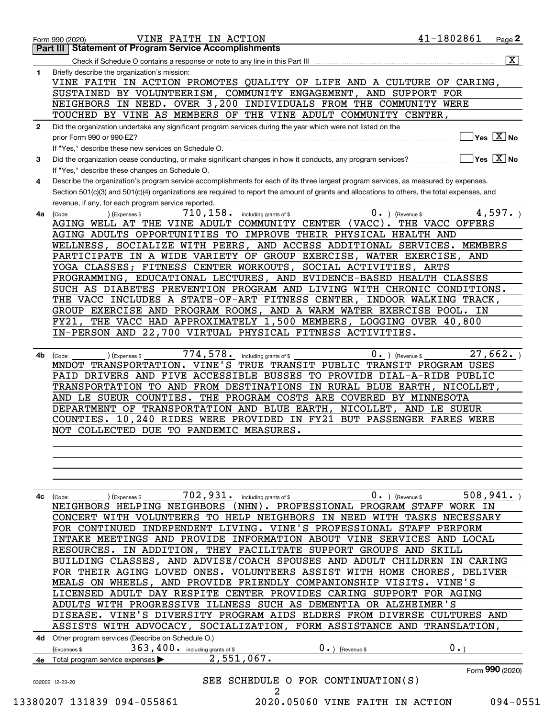|    | Check if Schedule O contains a response or note to any line in this Part III                                                                                                            | $\overline{\mathbf{x}}$                |
|----|-----------------------------------------------------------------------------------------------------------------------------------------------------------------------------------------|----------------------------------------|
| 1  | Briefly describe the organization's mission:                                                                                                                                            |                                        |
|    | VINE FAITH IN ACTION PROMOTES QUALITY OF LIFE AND A CULTURE OF CARING,<br>SUSTAINED BY VOLUNTEERISM, COMMUNITY ENGAGEMENT, AND SUPPORT FOR                                              |                                        |
|    | NEIGHBORS IN NEED. OVER 3,200 INDIVIDUALS FROM THE COMMUNITY WERE                                                                                                                       |                                        |
|    | TOUCHED BY VINE AS MEMBERS OF THE VINE ADULT COMMUNITY CENTER,                                                                                                                          |                                        |
|    |                                                                                                                                                                                         |                                        |
| 2  | Did the organization undertake any significant program services during the year which were not listed on the                                                                            | $\sqrt{}$ Yes $\sqrt{X}$ No            |
|    | prior Form 990 or 990-EZ?<br>If "Yes," describe these new services on Schedule O.                                                                                                       |                                        |
|    | Did the organization cease conducting, or make significant changes in how it conducts, any program services?                                                                            | $\sqrt{}$ Yes $\sqrt{}$ X $\sqrt{}$ No |
| 3  |                                                                                                                                                                                         |                                        |
| 4  | If "Yes," describe these changes on Schedule O.<br>Describe the organization's program service accomplishments for each of its three largest program services, as measured by expenses. |                                        |
|    | Section 501(c)(3) and 501(c)(4) organizations are required to report the amount of grants and allocations to others, the total expenses, and                                            |                                        |
|    | revenue, if any, for each program service reported.                                                                                                                                     |                                        |
| 4a | 710, 158.<br>$0 \cdot$ ) (Revenue \$<br>including grants of \$<br>(Code:<br>(Expenses \$                                                                                                | 4,597.                                 |
|    | AGING WELL AT THE VINE ADULT COMMUNITY CENTER (VACC).<br>THE VACC OFFERS                                                                                                                |                                        |
|    | AGING ADULTS OPPORTUNITIES TO IMPROVE THEIR PHYSICAL HEALTH AND                                                                                                                         |                                        |
|    | WELLNESS, SOCIALIZE WITH PEERS, AND ACCESS ADDITIONAL SERVICES. MEMBERS                                                                                                                 |                                        |
|    | PARTICIPATE IN A WIDE VARIETY OF GROUP EXERCISE, WATER EXERCISE, AND                                                                                                                    |                                        |
|    | YOGA CLASSES; FITNESS CENTER WORKOUTS,<br>SOCIAL ACTIVITIES,<br>ARTS                                                                                                                    |                                        |
|    | PROGRAMMING, EDUCATIONAL LECTURES, AND EVIDENCE-BASED HEALTH CLASSES                                                                                                                    |                                        |
|    | SUCH AS DIABETES PREVENTION PROGRAM AND LIVING WITH CHRONIC CONDITIONS.                                                                                                                 |                                        |
|    | THE VACC INCLUDES A STATE-OF-ART FITNESS CENTER,<br>INDOOR WALKING TRACK,                                                                                                               |                                        |
|    | GROUP EXERCISE AND PROGRAM ROOMS, AND A WARM WATER EXERCISE POOL. IN                                                                                                                    |                                        |
|    | THE VACC HAD APPROXIMATELY 1,500 MEMBERS, LOGGING OVER 40,800<br>FY21,                                                                                                                  |                                        |
|    | IN-PERSON AND 22,700 VIRTUAL PHYSICAL FITNESS ACTIVITIES.                                                                                                                               |                                        |
|    |                                                                                                                                                                                         |                                        |
| 4b | 774, 578. including grants of \$<br>27,662.<br>$0 \cdot$ ) (Revenue \$<br>) (Expenses \$<br>(Code:                                                                                      |                                        |
|    | MNDOT TRANSPORTATION. VINE'S TRUE TRANSIT PUBLIC TRANSIT PROGRAM USES                                                                                                                   |                                        |
|    | PAID DRIVERS AND FIVE ACCESSIBLE BUSSES TO PROVIDE DIAL-A-RIDE PUBLIC                                                                                                                   |                                        |
|    | TRANSPORTATION TO AND FROM DESTINATIONS IN RURAL BLUE EARTH, NICOLLET,                                                                                                                  |                                        |
|    | AND LE SUEUR COUNTIES. THE PROGRAM COSTS ARE COVERED BY MINNESOTA                                                                                                                       |                                        |
|    | DEPARTMENT OF TRANSPORTATION AND BLUE EARTH, NICOLLET, AND LE SUEUR                                                                                                                     |                                        |
|    | COUNTIES. 10,240 RIDES WERE PROVIDED IN FY21 BUT PASSENGER FARES WERE                                                                                                                   |                                        |
|    | NOT COLLECTED DUE TO PANDEMIC MEASURES.                                                                                                                                                 |                                        |
|    |                                                                                                                                                                                         |                                        |
|    |                                                                                                                                                                                         |                                        |
|    |                                                                                                                                                                                         |                                        |
|    |                                                                                                                                                                                         |                                        |
|    | 508,941.<br>702,931. including grants of \$<br>$0.$ (Revenue \$                                                                                                                         |                                        |
| 4с | ) (Expenses \$<br>(Code:<br>NEIGHBORS HELPING NEIGHBORS (NHN). PROFESSIONAL PROGRAM STAFF WORK IN                                                                                       |                                        |
|    | CONCERT WITH VOLUNTEERS TO HELP NEIGHBORS IN NEED WITH TASKS NECESSARY                                                                                                                  |                                        |
|    | FOR CONTINUED INDEPENDENT LIVING. VINE'S PROFESSIONAL STAFF<br>PERFORM                                                                                                                  |                                        |
|    | INTAKE MEETINGS AND PROVIDE INFORMATION ABOUT VINE SERVICES AND LOCAL                                                                                                                   |                                        |
|    | THEY FACILITATE SUPPORT GROUPS AND SKILL<br>IN ADDITION,<br>RESOURCES.                                                                                                                  |                                        |
|    | BUILDING CLASSES, AND ADVISE/COACH SPOUSES AND ADULT CHILDREN IN CARING                                                                                                                 |                                        |
|    | FOR THEIR AGING LOVED ONES. VOLUNTEERS ASSIST WITH HOME CHORES, DELIVER                                                                                                                 |                                        |
|    | MEALS ON WHEELS, AND PROVIDE FRIENDLY COMPANIONSHIP<br>VISITS. VINE'S                                                                                                                   |                                        |
|    | LICENSED ADULT DAY RESPITE CENTER PROVIDES CARING SUPPORT FOR AGING                                                                                                                     |                                        |
|    | ADULTS WITH PROGRESSIVE ILLNESS SUCH AS DEMENTIA<br>OR ALZHEIMER'S                                                                                                                      |                                        |
|    | VINE'S DIVERSITY PROGRAM AIDS ELDERS FROM DIVERSE CULTURES AND<br>DISEASE.                                                                                                              |                                        |
|    | ASSISTS WITH ADVOCACY, SOCIALIZATION, FORM ASSISTANCE AND TRANSLATION,                                                                                                                  |                                        |
|    | 4d Other program services (Describe on Schedule O.)                                                                                                                                     |                                        |
|    | 0.<br>363, 400. including grants of \$<br>$0 \cdot$ ) (Revenue \$<br>(Expenses \$                                                                                                       |                                        |
|    |                                                                                                                                                                                         |                                        |
|    |                                                                                                                                                                                         |                                        |
|    | 2,551,067.<br>4e Total program service expenses >                                                                                                                                       |                                        |
|    | Form 990 (2020)<br>SEE SCHEDULE O FOR CONTINUATION(S)<br>032002 12-23-20                                                                                                                |                                        |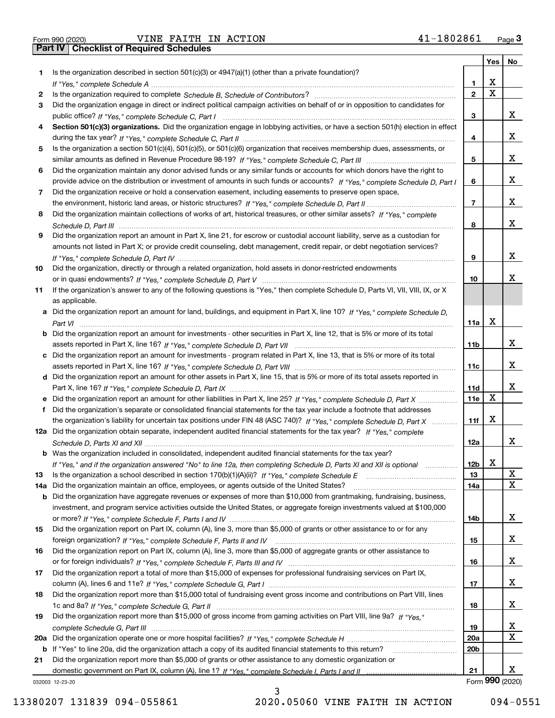| Form 990 (2020 |  |
|----------------|--|
|                |  |

|     |                                                                                                                                       |                 | Yes         | No              |
|-----|---------------------------------------------------------------------------------------------------------------------------------------|-----------------|-------------|-----------------|
| 1.  | Is the organization described in section $501(c)(3)$ or $4947(a)(1)$ (other than a private foundation)?                               |                 |             |                 |
|     |                                                                                                                                       | 1.              | X           |                 |
| 2   |                                                                                                                                       | $\overline{2}$  | $\mathbf x$ |                 |
| 3   | Did the organization engage in direct or indirect political campaign activities on behalf of or in opposition to candidates for       |                 |             |                 |
|     |                                                                                                                                       | 3               |             | x               |
| 4   | Section 501(c)(3) organizations. Did the organization engage in lobbying activities, or have a section 501(h) election in effect      |                 |             |                 |
|     |                                                                                                                                       | 4               |             | x               |
| 5   | Is the organization a section 501(c)(4), 501(c)(5), or 501(c)(6) organization that receives membership dues, assessments, or          |                 |             |                 |
|     |                                                                                                                                       | 5               |             | x               |
| 6   | Did the organization maintain any donor advised funds or any similar funds or accounts for which donors have the right to             |                 |             |                 |
|     | provide advice on the distribution or investment of amounts in such funds or accounts? If "Yes," complete Schedule D, Part I          | 6               |             | x               |
| 7   | Did the organization receive or hold a conservation easement, including easements to preserve open space,                             |                 |             |                 |
|     |                                                                                                                                       | $\overline{7}$  |             | x               |
| 8   | Did the organization maintain collections of works of art, historical treasures, or other similar assets? If "Yes," complete          |                 |             | x               |
|     |                                                                                                                                       | 8               |             |                 |
| 9   | Did the organization report an amount in Part X, line 21, for escrow or custodial account liability, serve as a custodian for         |                 |             |                 |
|     | amounts not listed in Part X; or provide credit counseling, debt management, credit repair, or debt negotiation services?             | 9               |             | x               |
|     |                                                                                                                                       |                 |             |                 |
| 10  | Did the organization, directly or through a related organization, hold assets in donor-restricted endowments                          | 10              |             | x               |
| 11  | If the organization's answer to any of the following questions is "Yes," then complete Schedule D, Parts VI, VII, VIII, IX, or X      |                 |             |                 |
|     | as applicable.                                                                                                                        |                 |             |                 |
|     | a Did the organization report an amount for land, buildings, and equipment in Part X, line 10? If "Yes," complete Schedule D,         |                 |             |                 |
|     |                                                                                                                                       | 11a             | X           |                 |
|     | <b>b</b> Did the organization report an amount for investments - other securities in Part X, line 12, that is 5% or more of its total |                 |             |                 |
|     |                                                                                                                                       | 11 <sub>b</sub> |             | х               |
|     | c Did the organization report an amount for investments - program related in Part X, line 13, that is 5% or more of its total         |                 |             |                 |
|     |                                                                                                                                       | 11c             |             | х               |
|     | d Did the organization report an amount for other assets in Part X, line 15, that is 5% or more of its total assets reported in       |                 |             |                 |
|     |                                                                                                                                       | 11d             |             | x               |
|     | e Did the organization report an amount for other liabilities in Part X, line 25? If "Yes," complete Schedule D, Part X               | <b>11e</b>      | $\mathbf X$ |                 |
| f   | Did the organization's separate or consolidated financial statements for the tax year include a footnote that addresses               |                 |             |                 |
|     | the organization's liability for uncertain tax positions under FIN 48 (ASC 740)? If "Yes," complete Schedule D, Part X                | 11f             | х           |                 |
|     | 12a Did the organization obtain separate, independent audited financial statements for the tax year? If "Yes," complete               |                 |             |                 |
|     |                                                                                                                                       | 12a             |             | x               |
|     | <b>b</b> Was the organization included in consolidated, independent audited financial statements for the tax year?                    |                 |             |                 |
|     | If "Yes," and if the organization answered "No" to line 12a, then completing Schedule D, Parts XI and XII is optional                 | 12D             | Δ.          |                 |
| 13  | Is the organization a school described in section $170(b)(1)(A)(ii)?$ If "Yes," complete Schedule E                                   | 13              |             | х               |
| 14a | Did the organization maintain an office, employees, or agents outside of the United States?                                           | 14a             |             | X               |
|     | <b>b</b> Did the organization have aggregate revenues or expenses of more than \$10,000 from grantmaking, fundraising, business,      |                 |             |                 |
|     | investment, and program service activities outside the United States, or aggregate foreign investments valued at \$100,000            |                 |             |                 |
|     |                                                                                                                                       | 14b             |             | х               |
| 15  | Did the organization report on Part IX, column (A), line 3, more than \$5,000 of grants or other assistance to or for any             |                 |             |                 |
|     |                                                                                                                                       | 15              |             | x               |
| 16  | Did the organization report on Part IX, column (A), line 3, more than \$5,000 of aggregate grants or other assistance to              |                 |             |                 |
|     |                                                                                                                                       | 16              |             | x               |
| 17  | Did the organization report a total of more than \$15,000 of expenses for professional fundraising services on Part IX,               |                 |             |                 |
|     |                                                                                                                                       | 17              |             | x               |
| 18  | Did the organization report more than \$15,000 total of fundraising event gross income and contributions on Part VIII, lines          |                 |             |                 |
|     |                                                                                                                                       | 18              |             | x               |
| 19  | Did the organization report more than \$15,000 of gross income from gaming activities on Part VIII, line 9a? If "Yes."                |                 |             |                 |
|     |                                                                                                                                       | 19              |             | х               |
|     |                                                                                                                                       | 20a             |             | X               |
|     | b If "Yes" to line 20a, did the organization attach a copy of its audited financial statements to this return?                        | 20 <sub>b</sub> |             |                 |
| 21  | Did the organization report more than \$5,000 of grants or other assistance to any domestic organization or                           |                 |             |                 |
|     |                                                                                                                                       | 21              |             | x               |
|     | 032003 12-23-20                                                                                                                       |                 |             | Form 990 (2020) |

032003 12-23-20

3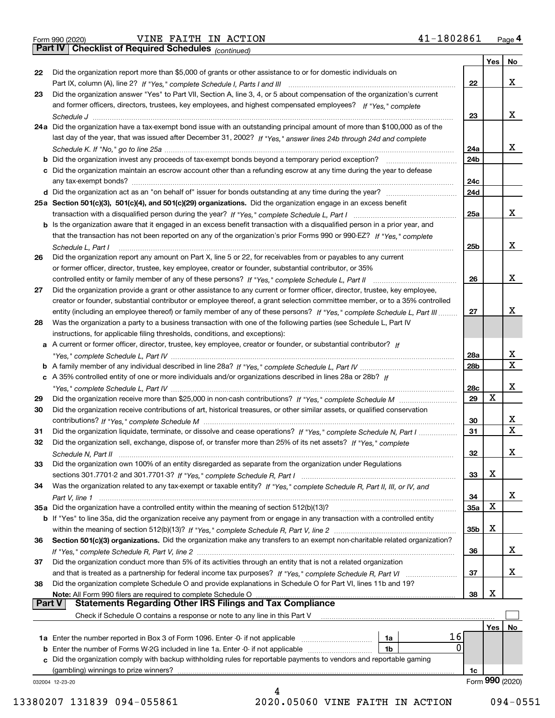|  | Form 990 (2020) |
|--|-----------------|
|  |                 |

*(continued)*

|                                                                                                                              |                                                                                                                                                                                                                                                                                                                                                                                                                                                                                                                                                                                                                                                                                                                                                                                                                                                                                                                                                                                                                                                                                                                                                                                                                                                                                                                                                                                                                                                                                                                                                                                                                                                                                                                                                                                                                                                                                                                                                                                                           | Yes                                                                        | No              |
|------------------------------------------------------------------------------------------------------------------------------|-----------------------------------------------------------------------------------------------------------------------------------------------------------------------------------------------------------------------------------------------------------------------------------------------------------------------------------------------------------------------------------------------------------------------------------------------------------------------------------------------------------------------------------------------------------------------------------------------------------------------------------------------------------------------------------------------------------------------------------------------------------------------------------------------------------------------------------------------------------------------------------------------------------------------------------------------------------------------------------------------------------------------------------------------------------------------------------------------------------------------------------------------------------------------------------------------------------------------------------------------------------------------------------------------------------------------------------------------------------------------------------------------------------------------------------------------------------------------------------------------------------------------------------------------------------------------------------------------------------------------------------------------------------------------------------------------------------------------------------------------------------------------------------------------------------------------------------------------------------------------------------------------------------------------------------------------------------------------------------------------------------|----------------------------------------------------------------------------|-----------------|
| Did the organization report more than \$5,000 of grants or other assistance to or for domestic individuals on                |                                                                                                                                                                                                                                                                                                                                                                                                                                                                                                                                                                                                                                                                                                                                                                                                                                                                                                                                                                                                                                                                                                                                                                                                                                                                                                                                                                                                                                                                                                                                                                                                                                                                                                                                                                                                                                                                                                                                                                                                           |                                                                            |                 |
|                                                                                                                              | 22                                                                                                                                                                                                                                                                                                                                                                                                                                                                                                                                                                                                                                                                                                                                                                                                                                                                                                                                                                                                                                                                                                                                                                                                                                                                                                                                                                                                                                                                                                                                                                                                                                                                                                                                                                                                                                                                                                                                                                                                        |                                                                            | x               |
| Did the organization answer "Yes" to Part VII, Section A, line 3, 4, or 5 about compensation of the organization's current   |                                                                                                                                                                                                                                                                                                                                                                                                                                                                                                                                                                                                                                                                                                                                                                                                                                                                                                                                                                                                                                                                                                                                                                                                                                                                                                                                                                                                                                                                                                                                                                                                                                                                                                                                                                                                                                                                                                                                                                                                           |                                                                            |                 |
|                                                                                                                              |                                                                                                                                                                                                                                                                                                                                                                                                                                                                                                                                                                                                                                                                                                                                                                                                                                                                                                                                                                                                                                                                                                                                                                                                                                                                                                                                                                                                                                                                                                                                                                                                                                                                                                                                                                                                                                                                                                                                                                                                           |                                                                            |                 |
|                                                                                                                              | 23                                                                                                                                                                                                                                                                                                                                                                                                                                                                                                                                                                                                                                                                                                                                                                                                                                                                                                                                                                                                                                                                                                                                                                                                                                                                                                                                                                                                                                                                                                                                                                                                                                                                                                                                                                                                                                                                                                                                                                                                        |                                                                            | x               |
|                                                                                                                              |                                                                                                                                                                                                                                                                                                                                                                                                                                                                                                                                                                                                                                                                                                                                                                                                                                                                                                                                                                                                                                                                                                                                                                                                                                                                                                                                                                                                                                                                                                                                                                                                                                                                                                                                                                                                                                                                                                                                                                                                           |                                                                            |                 |
|                                                                                                                              |                                                                                                                                                                                                                                                                                                                                                                                                                                                                                                                                                                                                                                                                                                                                                                                                                                                                                                                                                                                                                                                                                                                                                                                                                                                                                                                                                                                                                                                                                                                                                                                                                                                                                                                                                                                                                                                                                                                                                                                                           |                                                                            |                 |
|                                                                                                                              |                                                                                                                                                                                                                                                                                                                                                                                                                                                                                                                                                                                                                                                                                                                                                                                                                                                                                                                                                                                                                                                                                                                                                                                                                                                                                                                                                                                                                                                                                                                                                                                                                                                                                                                                                                                                                                                                                                                                                                                                           |                                                                            | x               |
|                                                                                                                              |                                                                                                                                                                                                                                                                                                                                                                                                                                                                                                                                                                                                                                                                                                                                                                                                                                                                                                                                                                                                                                                                                                                                                                                                                                                                                                                                                                                                                                                                                                                                                                                                                                                                                                                                                                                                                                                                                                                                                                                                           |                                                                            |                 |
|                                                                                                                              |                                                                                                                                                                                                                                                                                                                                                                                                                                                                                                                                                                                                                                                                                                                                                                                                                                                                                                                                                                                                                                                                                                                                                                                                                                                                                                                                                                                                                                                                                                                                                                                                                                                                                                                                                                                                                                                                                                                                                                                                           |                                                                            |                 |
|                                                                                                                              |                                                                                                                                                                                                                                                                                                                                                                                                                                                                                                                                                                                                                                                                                                                                                                                                                                                                                                                                                                                                                                                                                                                                                                                                                                                                                                                                                                                                                                                                                                                                                                                                                                                                                                                                                                                                                                                                                                                                                                                                           |                                                                            |                 |
|                                                                                                                              |                                                                                                                                                                                                                                                                                                                                                                                                                                                                                                                                                                                                                                                                                                                                                                                                                                                                                                                                                                                                                                                                                                                                                                                                                                                                                                                                                                                                                                                                                                                                                                                                                                                                                                                                                                                                                                                                                                                                                                                                           |                                                                            |                 |
|                                                                                                                              |                                                                                                                                                                                                                                                                                                                                                                                                                                                                                                                                                                                                                                                                                                                                                                                                                                                                                                                                                                                                                                                                                                                                                                                                                                                                                                                                                                                                                                                                                                                                                                                                                                                                                                                                                                                                                                                                                                                                                                                                           |                                                                            |                 |
| 25a Section 501(c)(3), 501(c)(4), and 501(c)(29) organizations. Did the organization engage in an excess benefit             |                                                                                                                                                                                                                                                                                                                                                                                                                                                                                                                                                                                                                                                                                                                                                                                                                                                                                                                                                                                                                                                                                                                                                                                                                                                                                                                                                                                                                                                                                                                                                                                                                                                                                                                                                                                                                                                                                                                                                                                                           |                                                                            |                 |
|                                                                                                                              | 25a                                                                                                                                                                                                                                                                                                                                                                                                                                                                                                                                                                                                                                                                                                                                                                                                                                                                                                                                                                                                                                                                                                                                                                                                                                                                                                                                                                                                                                                                                                                                                                                                                                                                                                                                                                                                                                                                                                                                                                                                       |                                                                            | x               |
| b Is the organization aware that it engaged in an excess benefit transaction with a disqualified person in a prior year, and |                                                                                                                                                                                                                                                                                                                                                                                                                                                                                                                                                                                                                                                                                                                                                                                                                                                                                                                                                                                                                                                                                                                                                                                                                                                                                                                                                                                                                                                                                                                                                                                                                                                                                                                                                                                                                                                                                                                                                                                                           |                                                                            |                 |
|                                                                                                                              |                                                                                                                                                                                                                                                                                                                                                                                                                                                                                                                                                                                                                                                                                                                                                                                                                                                                                                                                                                                                                                                                                                                                                                                                                                                                                                                                                                                                                                                                                                                                                                                                                                                                                                                                                                                                                                                                                                                                                                                                           |                                                                            |                 |
|                                                                                                                              |                                                                                                                                                                                                                                                                                                                                                                                                                                                                                                                                                                                                                                                                                                                                                                                                                                                                                                                                                                                                                                                                                                                                                                                                                                                                                                                                                                                                                                                                                                                                                                                                                                                                                                                                                                                                                                                                                                                                                                                                           |                                                                            | x               |
|                                                                                                                              |                                                                                                                                                                                                                                                                                                                                                                                                                                                                                                                                                                                                                                                                                                                                                                                                                                                                                                                                                                                                                                                                                                                                                                                                                                                                                                                                                                                                                                                                                                                                                                                                                                                                                                                                                                                                                                                                                                                                                                                                           |                                                                            |                 |
|                                                                                                                              |                                                                                                                                                                                                                                                                                                                                                                                                                                                                                                                                                                                                                                                                                                                                                                                                                                                                                                                                                                                                                                                                                                                                                                                                                                                                                                                                                                                                                                                                                                                                                                                                                                                                                                                                                                                                                                                                                                                                                                                                           |                                                                            |                 |
|                                                                                                                              |                                                                                                                                                                                                                                                                                                                                                                                                                                                                                                                                                                                                                                                                                                                                                                                                                                                                                                                                                                                                                                                                                                                                                                                                                                                                                                                                                                                                                                                                                                                                                                                                                                                                                                                                                                                                                                                                                                                                                                                                           |                                                                            | х               |
|                                                                                                                              |                                                                                                                                                                                                                                                                                                                                                                                                                                                                                                                                                                                                                                                                                                                                                                                                                                                                                                                                                                                                                                                                                                                                                                                                                                                                                                                                                                                                                                                                                                                                                                                                                                                                                                                                                                                                                                                                                                                                                                                                           |                                                                            |                 |
|                                                                                                                              |                                                                                                                                                                                                                                                                                                                                                                                                                                                                                                                                                                                                                                                                                                                                                                                                                                                                                                                                                                                                                                                                                                                                                                                                                                                                                                                                                                                                                                                                                                                                                                                                                                                                                                                                                                                                                                                                                                                                                                                                           |                                                                            |                 |
|                                                                                                                              |                                                                                                                                                                                                                                                                                                                                                                                                                                                                                                                                                                                                                                                                                                                                                                                                                                                                                                                                                                                                                                                                                                                                                                                                                                                                                                                                                                                                                                                                                                                                                                                                                                                                                                                                                                                                                                                                                                                                                                                                           |                                                                            |                 |
|                                                                                                                              |                                                                                                                                                                                                                                                                                                                                                                                                                                                                                                                                                                                                                                                                                                                                                                                                                                                                                                                                                                                                                                                                                                                                                                                                                                                                                                                                                                                                                                                                                                                                                                                                                                                                                                                                                                                                                                                                                                                                                                                                           |                                                                            | х               |
| Was the organization a party to a business transaction with one of the following parties (see Schedule L, Part IV            |                                                                                                                                                                                                                                                                                                                                                                                                                                                                                                                                                                                                                                                                                                                                                                                                                                                                                                                                                                                                                                                                                                                                                                                                                                                                                                                                                                                                                                                                                                                                                                                                                                                                                                                                                                                                                                                                                                                                                                                                           |                                                                            |                 |
| instructions, for applicable filing thresholds, conditions, and exceptions):                                                 |                                                                                                                                                                                                                                                                                                                                                                                                                                                                                                                                                                                                                                                                                                                                                                                                                                                                                                                                                                                                                                                                                                                                                                                                                                                                                                                                                                                                                                                                                                                                                                                                                                                                                                                                                                                                                                                                                                                                                                                                           |                                                                            |                 |
| a A current or former officer, director, trustee, key employee, creator or founder, or substantial contributor? If           |                                                                                                                                                                                                                                                                                                                                                                                                                                                                                                                                                                                                                                                                                                                                                                                                                                                                                                                                                                                                                                                                                                                                                                                                                                                                                                                                                                                                                                                                                                                                                                                                                                                                                                                                                                                                                                                                                                                                                                                                           |                                                                            |                 |
|                                                                                                                              | 28a                                                                                                                                                                                                                                                                                                                                                                                                                                                                                                                                                                                                                                                                                                                                                                                                                                                                                                                                                                                                                                                                                                                                                                                                                                                                                                                                                                                                                                                                                                                                                                                                                                                                                                                                                                                                                                                                                                                                                                                                       |                                                                            | x               |
|                                                                                                                              | 28 <sub>b</sub>                                                                                                                                                                                                                                                                                                                                                                                                                                                                                                                                                                                                                                                                                                                                                                                                                                                                                                                                                                                                                                                                                                                                                                                                                                                                                                                                                                                                                                                                                                                                                                                                                                                                                                                                                                                                                                                                                                                                                                                           |                                                                            | $\mathbf{x}$    |
|                                                                                                                              |                                                                                                                                                                                                                                                                                                                                                                                                                                                                                                                                                                                                                                                                                                                                                                                                                                                                                                                                                                                                                                                                                                                                                                                                                                                                                                                                                                                                                                                                                                                                                                                                                                                                                                                                                                                                                                                                                                                                                                                                           |                                                                            |                 |
|                                                                                                                              |                                                                                                                                                                                                                                                                                                                                                                                                                                                                                                                                                                                                                                                                                                                                                                                                                                                                                                                                                                                                                                                                                                                                                                                                                                                                                                                                                                                                                                                                                                                                                                                                                                                                                                                                                                                                                                                                                                                                                                                                           |                                                                            | х               |
|                                                                                                                              |                                                                                                                                                                                                                                                                                                                                                                                                                                                                                                                                                                                                                                                                                                                                                                                                                                                                                                                                                                                                                                                                                                                                                                                                                                                                                                                                                                                                                                                                                                                                                                                                                                                                                                                                                                                                                                                                                                                                                                                                           |                                                                            |                 |
|                                                                                                                              |                                                                                                                                                                                                                                                                                                                                                                                                                                                                                                                                                                                                                                                                                                                                                                                                                                                                                                                                                                                                                                                                                                                                                                                                                                                                                                                                                                                                                                                                                                                                                                                                                                                                                                                                                                                                                                                                                                                                                                                                           |                                                                            |                 |
|                                                                                                                              |                                                                                                                                                                                                                                                                                                                                                                                                                                                                                                                                                                                                                                                                                                                                                                                                                                                                                                                                                                                                                                                                                                                                                                                                                                                                                                                                                                                                                                                                                                                                                                                                                                                                                                                                                                                                                                                                                                                                                                                                           |                                                                            |                 |
|                                                                                                                              |                                                                                                                                                                                                                                                                                                                                                                                                                                                                                                                                                                                                                                                                                                                                                                                                                                                                                                                                                                                                                                                                                                                                                                                                                                                                                                                                                                                                                                                                                                                                                                                                                                                                                                                                                                                                                                                                                                                                                                                                           |                                                                            | x               |
|                                                                                                                              |                                                                                                                                                                                                                                                                                                                                                                                                                                                                                                                                                                                                                                                                                                                                                                                                                                                                                                                                                                                                                                                                                                                                                                                                                                                                                                                                                                                                                                                                                                                                                                                                                                                                                                                                                                                                                                                                                                                                                                                                           |                                                                            | $\mathbf x$     |
|                                                                                                                              |                                                                                                                                                                                                                                                                                                                                                                                                                                                                                                                                                                                                                                                                                                                                                                                                                                                                                                                                                                                                                                                                                                                                                                                                                                                                                                                                                                                                                                                                                                                                                                                                                                                                                                                                                                                                                                                                                                                                                                                                           |                                                                            |                 |
|                                                                                                                              |                                                                                                                                                                                                                                                                                                                                                                                                                                                                                                                                                                                                                                                                                                                                                                                                                                                                                                                                                                                                                                                                                                                                                                                                                                                                                                                                                                                                                                                                                                                                                                                                                                                                                                                                                                                                                                                                                                                                                                                                           |                                                                            | х               |
|                                                                                                                              |                                                                                                                                                                                                                                                                                                                                                                                                                                                                                                                                                                                                                                                                                                                                                                                                                                                                                                                                                                                                                                                                                                                                                                                                                                                                                                                                                                                                                                                                                                                                                                                                                                                                                                                                                                                                                                                                                                                                                                                                           |                                                                            |                 |
| Did the organization own 100% of an entity disregarded as separate from the organization under Regulations                   |                                                                                                                                                                                                                                                                                                                                                                                                                                                                                                                                                                                                                                                                                                                                                                                                                                                                                                                                                                                                                                                                                                                                                                                                                                                                                                                                                                                                                                                                                                                                                                                                                                                                                                                                                                                                                                                                                                                                                                                                           |                                                                            |                 |
|                                                                                                                              | 33                                                                                                                                                                                                                                                                                                                                                                                                                                                                                                                                                                                                                                                                                                                                                                                                                                                                                                                                                                                                                                                                                                                                                                                                                                                                                                                                                                                                                                                                                                                                                                                                                                                                                                                                                                                                                                                                                                                                                                                                        | Χ                                                                          |                 |
|                                                                                                                              |                                                                                                                                                                                                                                                                                                                                                                                                                                                                                                                                                                                                                                                                                                                                                                                                                                                                                                                                                                                                                                                                                                                                                                                                                                                                                                                                                                                                                                                                                                                                                                                                                                                                                                                                                                                                                                                                                                                                                                                                           |                                                                            |                 |
| Was the organization related to any tax-exempt or taxable entity? If "Yes," complete Schedule R, Part II, III, or IV, and    | 34                                                                                                                                                                                                                                                                                                                                                                                                                                                                                                                                                                                                                                                                                                                                                                                                                                                                                                                                                                                                                                                                                                                                                                                                                                                                                                                                                                                                                                                                                                                                                                                                                                                                                                                                                                                                                                                                                                                                                                                                        |                                                                            | x               |
|                                                                                                                              |                                                                                                                                                                                                                                                                                                                                                                                                                                                                                                                                                                                                                                                                                                                                                                                                                                                                                                                                                                                                                                                                                                                                                                                                                                                                                                                                                                                                                                                                                                                                                                                                                                                                                                                                                                                                                                                                                                                                                                                                           |                                                                            |                 |
| 35a Did the organization have a controlled entity within the meaning of section 512(b)(13)?                                  | <b>35a</b>                                                                                                                                                                                                                                                                                                                                                                                                                                                                                                                                                                                                                                                                                                                                                                                                                                                                                                                                                                                                                                                                                                                                                                                                                                                                                                                                                                                                                                                                                                                                                                                                                                                                                                                                                                                                                                                                                                                                                                                                | X                                                                          |                 |
| b If "Yes" to line 35a, did the organization receive any payment from or engage in any transaction with a controlled entity  |                                                                                                                                                                                                                                                                                                                                                                                                                                                                                                                                                                                                                                                                                                                                                                                                                                                                                                                                                                                                                                                                                                                                                                                                                                                                                                                                                                                                                                                                                                                                                                                                                                                                                                                                                                                                                                                                                                                                                                                                           |                                                                            |                 |
|                                                                                                                              | 35b                                                                                                                                                                                                                                                                                                                                                                                                                                                                                                                                                                                                                                                                                                                                                                                                                                                                                                                                                                                                                                                                                                                                                                                                                                                                                                                                                                                                                                                                                                                                                                                                                                                                                                                                                                                                                                                                                                                                                                                                       | X                                                                          |                 |
| Section 501(c)(3) organizations. Did the organization make any transfers to an exempt non-charitable related organization?   |                                                                                                                                                                                                                                                                                                                                                                                                                                                                                                                                                                                                                                                                                                                                                                                                                                                                                                                                                                                                                                                                                                                                                                                                                                                                                                                                                                                                                                                                                                                                                                                                                                                                                                                                                                                                                                                                                                                                                                                                           |                                                                            |                 |
|                                                                                                                              | 36                                                                                                                                                                                                                                                                                                                                                                                                                                                                                                                                                                                                                                                                                                                                                                                                                                                                                                                                                                                                                                                                                                                                                                                                                                                                                                                                                                                                                                                                                                                                                                                                                                                                                                                                                                                                                                                                                                                                                                                                        |                                                                            | x               |
| Did the organization conduct more than 5% of its activities through an entity that is not a related organization             |                                                                                                                                                                                                                                                                                                                                                                                                                                                                                                                                                                                                                                                                                                                                                                                                                                                                                                                                                                                                                                                                                                                                                                                                                                                                                                                                                                                                                                                                                                                                                                                                                                                                                                                                                                                                                                                                                                                                                                                                           |                                                                            |                 |
| and that is treated as a partnership for federal income tax purposes? If "Yes," complete Schedule R, Part VI                 | 37                                                                                                                                                                                                                                                                                                                                                                                                                                                                                                                                                                                                                                                                                                                                                                                                                                                                                                                                                                                                                                                                                                                                                                                                                                                                                                                                                                                                                                                                                                                                                                                                                                                                                                                                                                                                                                                                                                                                                                                                        |                                                                            | x               |
| Did the organization complete Schedule O and provide explanations in Schedule O for Part VI, lines 11b and 19?               |                                                                                                                                                                                                                                                                                                                                                                                                                                                                                                                                                                                                                                                                                                                                                                                                                                                                                                                                                                                                                                                                                                                                                                                                                                                                                                                                                                                                                                                                                                                                                                                                                                                                                                                                                                                                                                                                                                                                                                                                           |                                                                            |                 |
| Note: All Form 990 filers are required to complete Schedule O                                                                | 38                                                                                                                                                                                                                                                                                                                                                                                                                                                                                                                                                                                                                                                                                                                                                                                                                                                                                                                                                                                                                                                                                                                                                                                                                                                                                                                                                                                                                                                                                                                                                                                                                                                                                                                                                                                                                                                                                                                                                                                                        | X                                                                          |                 |
| Part V<br><b>Statements Regarding Other IRS Filings and Tax Compliance</b>                                                   |                                                                                                                                                                                                                                                                                                                                                                                                                                                                                                                                                                                                                                                                                                                                                                                                                                                                                                                                                                                                                                                                                                                                                                                                                                                                                                                                                                                                                                                                                                                                                                                                                                                                                                                                                                                                                                                                                                                                                                                                           |                                                                            |                 |
| Check if Schedule O contains a response or note to any line in this Part V                                                   |                                                                                                                                                                                                                                                                                                                                                                                                                                                                                                                                                                                                                                                                                                                                                                                                                                                                                                                                                                                                                                                                                                                                                                                                                                                                                                                                                                                                                                                                                                                                                                                                                                                                                                                                                                                                                                                                                                                                                                                                           |                                                                            |                 |
|                                                                                                                              |                                                                                                                                                                                                                                                                                                                                                                                                                                                                                                                                                                                                                                                                                                                                                                                                                                                                                                                                                                                                                                                                                                                                                                                                                                                                                                                                                                                                                                                                                                                                                                                                                                                                                                                                                                                                                                                                                                                                                                                                           | Yes                                                                        | No              |
| 16<br>1a                                                                                                                     |                                                                                                                                                                                                                                                                                                                                                                                                                                                                                                                                                                                                                                                                                                                                                                                                                                                                                                                                                                                                                                                                                                                                                                                                                                                                                                                                                                                                                                                                                                                                                                                                                                                                                                                                                                                                                                                                                                                                                                                                           |                                                                            |                 |
| 1a Enter the number reported in Box 3 of Form 1096. Enter -0- if not applicable<br>$\Omega$<br>1b                            |                                                                                                                                                                                                                                                                                                                                                                                                                                                                                                                                                                                                                                                                                                                                                                                                                                                                                                                                                                                                                                                                                                                                                                                                                                                                                                                                                                                                                                                                                                                                                                                                                                                                                                                                                                                                                                                                                                                                                                                                           |                                                                            |                 |
| <b>b</b> Enter the number of Forms W-2G included in line 1a. Enter -0- if not applicable                                     |                                                                                                                                                                                                                                                                                                                                                                                                                                                                                                                                                                                                                                                                                                                                                                                                                                                                                                                                                                                                                                                                                                                                                                                                                                                                                                                                                                                                                                                                                                                                                                                                                                                                                                                                                                                                                                                                                                                                                                                                           |                                                                            |                 |
| Did the organization comply with backup withholding rules for reportable payments to vendors and reportable gaming           |                                                                                                                                                                                                                                                                                                                                                                                                                                                                                                                                                                                                                                                                                                                                                                                                                                                                                                                                                                                                                                                                                                                                                                                                                                                                                                                                                                                                                                                                                                                                                                                                                                                                                                                                                                                                                                                                                                                                                                                                           |                                                                            |                 |
| (gambling) winnings to prize winners?<br>032004 12-23-20                                                                     | 1c                                                                                                                                                                                                                                                                                                                                                                                                                                                                                                                                                                                                                                                                                                                                                                                                                                                                                                                                                                                                                                                                                                                                                                                                                                                                                                                                                                                                                                                                                                                                                                                                                                                                                                                                                                                                                                                                                                                                                                                                        |                                                                            | Form 990 (2020) |
|                                                                                                                              | and former officers, directors, trustees, key employees, and highest compensated employees? If "Yes," complete<br>24a Did the organization have a tax-exempt bond issue with an outstanding principal amount of more than \$100,000 as of the<br>last day of the year, that was issued after December 31, 2002? If "Yes," answer lines 24b through 24d and complete<br>b Did the organization invest any proceeds of tax-exempt bonds beyond a temporary period exception?<br>c Did the organization maintain an escrow account other than a refunding escrow at any time during the year to defease<br>any tax-exempt bonds?<br>d Did the organization act as an "on behalf of" issuer for bonds outstanding at any time during the year?<br>that the transaction has not been reported on any of the organization's prior Forms 990 or 990-EZ? If "Yes," complete<br>Schedule L, Part I<br>Did the organization report any amount on Part X, line 5 or 22, for receivables from or payables to any current<br>or former officer, director, trustee, key employee, creator or founder, substantial contributor, or 35%<br>Did the organization provide a grant or other assistance to any current or former officer, director, trustee, key employee,<br>creator or founder, substantial contributor or employee thereof, a grant selection committee member, or to a 35% controlled<br>entity (including an employee thereof) or family member of any of these persons? If "Yes," complete Schedule L, Part III<br>c A 35% controlled entity of one or more individuals and/or organizations described in lines 28a or 28b? If<br>Did the organization receive contributions of art, historical treasures, or other similar assets, or qualified conservation<br>Did the organization liquidate, terminate, or dissolve and cease operations? If "Yes," complete Schedule N, Part I<br>Did the organization sell, exchange, dispose of, or transfer more than 25% of its net assets? If "Yes," complete | 24a<br>24b<br>24c<br>24d<br>25b<br>26<br>27<br>28c<br>29<br>30<br>31<br>32 | х               |

13380207 131839 094-055861 2020.05060 VINE FAITH IN ACTION 094-0551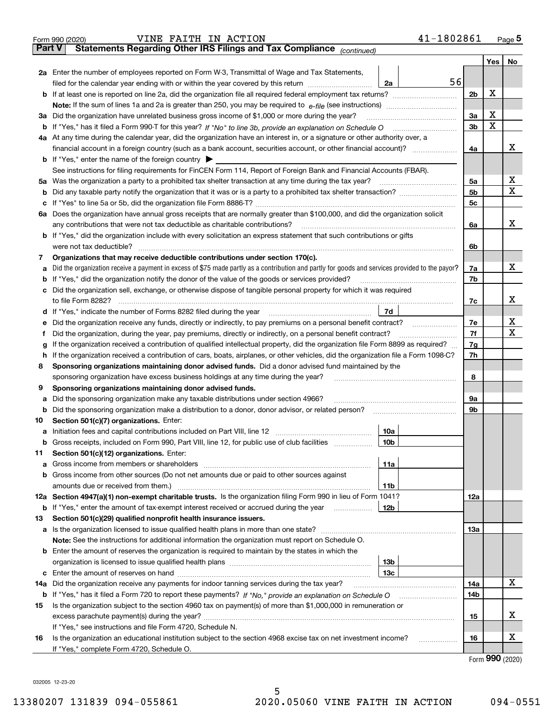|               | VINE FAITH IN ACTION<br>Form 990 (2020)                                                                                                                                                                                              | 41-1802861 |                |     | Page $5$                       |
|---------------|--------------------------------------------------------------------------------------------------------------------------------------------------------------------------------------------------------------------------------------|------------|----------------|-----|--------------------------------|
| <b>Part V</b> | Statements Regarding Other IRS Filings and Tax Compliance (continued)                                                                                                                                                                |            |                |     |                                |
|               |                                                                                                                                                                                                                                      |            |                | Yes | No                             |
|               | 2a Enter the number of employees reported on Form W-3, Transmittal of Wage and Tax Statements,                                                                                                                                       |            |                |     |                                |
|               | filed for the calendar year ending with or within the year covered by this return <i>manumumumum</i><br>2a                                                                                                                           | 56         |                |     |                                |
|               |                                                                                                                                                                                                                                      |            | 2 <sub>b</sub> | х   |                                |
|               |                                                                                                                                                                                                                                      |            |                |     |                                |
|               | 3a Did the organization have unrelated business gross income of \$1,000 or more during the year?                                                                                                                                     |            | 3a             | x   |                                |
|               |                                                                                                                                                                                                                                      |            | 3 <sub>b</sub> | X   |                                |
|               | 4a At any time during the calendar year, did the organization have an interest in, or a signature or other authority over, a                                                                                                         |            |                |     |                                |
|               |                                                                                                                                                                                                                                      |            | 4a             |     | х                              |
|               | <b>b</b> If "Yes," enter the name of the foreign country $\blacktriangleright$                                                                                                                                                       |            |                |     |                                |
|               | See instructions for filing requirements for FinCEN Form 114, Report of Foreign Bank and Financial Accounts (FBAR).                                                                                                                  |            |                |     |                                |
|               |                                                                                                                                                                                                                                      |            | 5a             |     | x                              |
| b             |                                                                                                                                                                                                                                      |            | 5 <sub>b</sub> |     | x                              |
|               |                                                                                                                                                                                                                                      |            | 5с             |     |                                |
|               | 6a Does the organization have annual gross receipts that are normally greater than \$100,000, and did the organization solicit                                                                                                       |            |                |     |                                |
|               | any contributions that were not tax deductible as charitable contributions?                                                                                                                                                          |            | 6a             |     | x                              |
|               | <b>b</b> If "Yes," did the organization include with every solicitation an express statement that such contributions or gifts                                                                                                        |            |                |     |                                |
|               | were not tax deductible?                                                                                                                                                                                                             |            | 6b             |     |                                |
| 7             | Organizations that may receive deductible contributions under section 170(c).                                                                                                                                                        |            |                |     |                                |
| a             | Did the organization receive a payment in excess of \$75 made partly as a contribution and partly for goods and services provided to the payor?                                                                                      |            | 7a             |     | x                              |
|               | <b>b</b> If "Yes," did the organization notify the donor of the value of the goods or services provided?                                                                                                                             |            | 7b             |     |                                |
|               | c Did the organization sell, exchange, or otherwise dispose of tangible personal property for which it was required                                                                                                                  |            |                |     |                                |
|               |                                                                                                                                                                                                                                      |            | 7c             |     | x                              |
|               | 7d<br>d If "Yes," indicate the number of Forms 8282 filed during the year [11] [11] The Section of Holden and The Year [11] In The Year [11] In The Year [11] In The Year [11] In The Year [11] In The Year [11] In The Year [11] In |            |                |     |                                |
| е             | Did the organization receive any funds, directly or indirectly, to pay premiums on a personal benefit contract?                                                                                                                      |            | 7e             |     | х                              |
| f             | Did the organization, during the year, pay premiums, directly or indirectly, on a personal benefit contract?                                                                                                                         |            | 7f             |     | х                              |
| g             | If the organization received a contribution of qualified intellectual property, did the organization file Form 8899 as required?                                                                                                     |            | 7g             |     |                                |
| h.            | If the organization received a contribution of cars, boats, airplanes, or other vehicles, did the organization file a Form 1098-C?                                                                                                   |            | 7h             |     |                                |
| 8             | Sponsoring organizations maintaining donor advised funds. Did a donor advised fund maintained by the                                                                                                                                 |            |                |     |                                |
|               | sponsoring organization have excess business holdings at any time during the year?                                                                                                                                                   |            | 8              |     |                                |
| 9             | Sponsoring organizations maintaining donor advised funds.                                                                                                                                                                            |            |                |     |                                |
| а             | Did the sponsoring organization make any taxable distributions under section 4966?                                                                                                                                                   |            | 9a             |     |                                |
|               | <b>b</b> Did the sponsoring organization make a distribution to a donor, donor advisor, or related person?                                                                                                                           |            | 9b             |     |                                |
| 10            | Section 501(c)(7) organizations. Enter:                                                                                                                                                                                              |            |                |     |                                |
|               | 10a                                                                                                                                                                                                                                  |            |                |     |                                |
|               | 10b <br>Gross receipts, included on Form 990, Part VIII, line 12, for public use of club facilities                                                                                                                                  |            |                |     |                                |
| 11            | Section 501(c)(12) organizations. Enter:                                                                                                                                                                                             |            |                |     |                                |
|               | <b>a</b> Gross income from members or shareholders<br>11a                                                                                                                                                                            |            |                |     |                                |
|               | b Gross income from other sources (Do not net amounts due or paid to other sources against                                                                                                                                           |            |                |     |                                |
|               | 11b                                                                                                                                                                                                                                  |            |                |     |                                |
|               | 12a Section 4947(a)(1) non-exempt charitable trusts. Is the organization filing Form 990 in lieu of Form 1041?                                                                                                                       |            | 12a            |     |                                |
|               | <b>b</b> If "Yes," enter the amount of tax-exempt interest received or accrued during the year<br>12b                                                                                                                                |            |                |     |                                |
| 13            | Section 501(c)(29) qualified nonprofit health insurance issuers.                                                                                                                                                                     |            |                |     |                                |
|               | <b>a</b> Is the organization licensed to issue qualified health plans in more than one state?                                                                                                                                        |            | 13а            |     |                                |
|               | Note: See the instructions for additional information the organization must report on Schedule O.                                                                                                                                    |            |                |     |                                |
|               | <b>b</b> Enter the amount of reserves the organization is required to maintain by the states in which the                                                                                                                            |            |                |     |                                |
|               | 13b                                                                                                                                                                                                                                  |            |                |     |                                |
|               | 13с                                                                                                                                                                                                                                  |            |                |     |                                |
| 14a           | Did the organization receive any payments for indoor tanning services during the tax year?                                                                                                                                           |            | 14a            |     | x                              |
|               | <b>b</b> If "Yes," has it filed a Form 720 to report these payments? If "No," provide an explanation on Schedule O                                                                                                                   |            | 14b            |     |                                |
| 15            | Is the organization subject to the section 4960 tax on payment(s) of more than \$1,000,000 in remuneration or                                                                                                                        |            |                |     |                                |
|               |                                                                                                                                                                                                                                      |            | 15             |     | x                              |
|               | If "Yes," see instructions and file Form 4720, Schedule N.                                                                                                                                                                           |            |                |     |                                |
| 16            | Is the organization an educational institution subject to the section 4968 excise tax on net investment income?                                                                                                                      |            | 16             |     | x                              |
|               | If "Yes," complete Form 4720, Schedule O.                                                                                                                                                                                            |            |                |     |                                |
|               |                                                                                                                                                                                                                                      |            |                |     | $\mathbf{QQ} \cap \mathbf{QQ}$ |

Form (2020) **990**

032005 12-23-20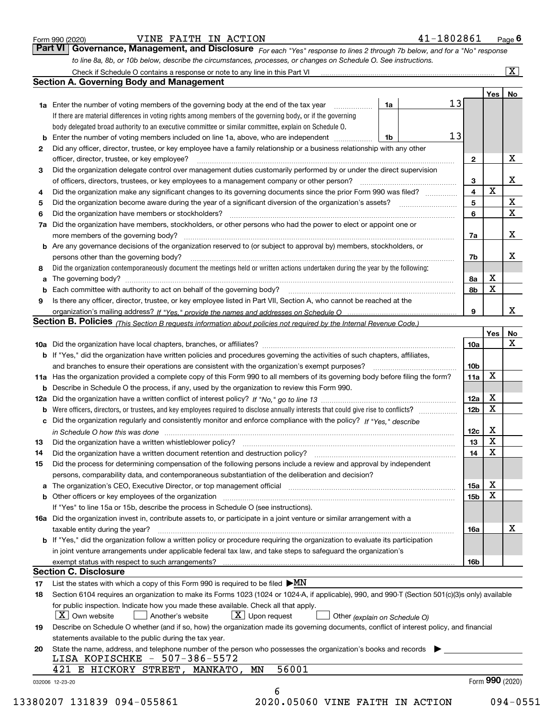|  | Form 990 (2020) |
|--|-----------------|
|  |                 |

#### VINE FAITH IN ACTION 4

| 1802861<br>Page |
|-----------------|
|-----------------|

*For each "Yes" response to lines 2 through 7b below, and for a "No" response to line 8a, 8b, or 10b below, describe the circumstances, processes, or changes on Schedule O. See instructions.* Form 990 (2020) **CONFITT BILL BUT AN ACTION 11-1802861** Page **6**<br>**Part VI Governance, Management, and Disclosure** For each "Yes" response to lines 2 through 7b below, and for a "No" response Check if Schedule O contains a response or note to any line in this Part VI

|    |                                                                                                                                                                               |    |  |    |                         | Yes             | No          |
|----|-------------------------------------------------------------------------------------------------------------------------------------------------------------------------------|----|--|----|-------------------------|-----------------|-------------|
|    | <b>1a</b> Enter the number of voting members of the governing body at the end of the tax year                                                                                 | 1a |  | 13 |                         |                 |             |
|    | If there are material differences in voting rights among members of the governing body, or if the governing                                                                   |    |  |    |                         |                 |             |
|    | body delegated broad authority to an executive committee or similar committee, explain on Schedule O.                                                                         |    |  |    |                         |                 |             |
|    |                                                                                                                                                                               | 1b |  | 13 |                         |                 |             |
| 2  | Did any officer, director, trustee, or key employee have a family relationship or a business relationship with any other                                                      |    |  |    |                         |                 |             |
|    | officer, director, trustee, or key employee?                                                                                                                                  |    |  |    | $\mathbf{2}$            |                 | X           |
| 3  | Did the organization delegate control over management duties customarily performed by or under the direct supervision                                                         |    |  |    |                         |                 |             |
|    |                                                                                                                                                                               |    |  |    | 3                       |                 | x           |
| 4  | Did the organization make any significant changes to its governing documents since the prior Form 990 was filed?                                                              |    |  |    | $\overline{\mathbf{4}}$ | $\mathbf X$     |             |
| 5  |                                                                                                                                                                               |    |  |    | 5                       |                 | X           |
| 6  | Did the organization have members or stockholders?                                                                                                                            |    |  |    | 6                       |                 | $\mathbf x$ |
|    | 7a Did the organization have members, stockholders, or other persons who had the power to elect or appoint one or                                                             |    |  |    |                         |                 |             |
|    |                                                                                                                                                                               |    |  |    |                         |                 |             |
|    | <b>b</b> Are any governance decisions of the organization reserved to (or subject to approval by) members, stockholders, or                                                   |    |  |    | 7a                      |                 | x           |
|    | persons other than the governing body?                                                                                                                                        |    |  |    | 7b                      |                 | х           |
| 8  | Did the organization contemporaneously document the meetings held or written actions undertaken during the year by the following:                                             |    |  |    |                         |                 |             |
| a  |                                                                                                                                                                               |    |  |    | 8a                      | X               |             |
|    |                                                                                                                                                                               |    |  |    | 8b                      | X               |             |
| 9  | Is there any officer, director, trustee, or key employee listed in Part VII, Section A, who cannot be reached at the                                                          |    |  |    |                         |                 |             |
|    |                                                                                                                                                                               |    |  |    | 9                       |                 | х           |
|    | Section B. Policies (This Section B requests information about policies not required by the Internal Revenue Code.)                                                           |    |  |    |                         |                 |             |
|    |                                                                                                                                                                               |    |  |    |                         |                 |             |
|    |                                                                                                                                                                               |    |  |    |                         | Yes             | No<br>X     |
|    |                                                                                                                                                                               |    |  |    | 10a                     |                 |             |
|    | <b>b</b> If "Yes," did the organization have written policies and procedures governing the activities of such chapters, affiliates,                                           |    |  |    |                         |                 |             |
|    |                                                                                                                                                                               |    |  |    | 10 <sub>b</sub>         | X               |             |
|    | 11a Has the organization provided a complete copy of this Form 990 to all members of its governing body before filing the form?                                               |    |  |    | 11a                     |                 |             |
|    | <b>b</b> Describe in Schedule O the process, if any, used by the organization to review this Form 990.                                                                        |    |  |    |                         |                 |             |
|    |                                                                                                                                                                               |    |  |    | 12a                     | X               |             |
| b  |                                                                                                                                                                               |    |  |    | 12b                     | X               |             |
|    | c Did the organization regularly and consistently monitor and enforce compliance with the policy? If "Yes," describe                                                          |    |  |    |                         |                 |             |
|    | in Schedule O how this was done manufactured and continuum control of the Schedule O how this was done manufactured and continuum control of the Schedule O how this was done |    |  |    | 12c                     | х               |             |
| 13 |                                                                                                                                                                               |    |  |    | 13                      | X               |             |
| 14 | Did the organization have a written document retention and destruction policy? manufactured and the organization have a written document retention and destruction policy?    |    |  |    | 14                      | X               |             |
| 15 | Did the process for determining compensation of the following persons include a review and approval by independent                                                            |    |  |    |                         |                 |             |
|    | persons, comparability data, and contemporaneous substantiation of the deliberation and decision?                                                                             |    |  |    |                         |                 |             |
|    |                                                                                                                                                                               |    |  |    | 15a                     | X               |             |
|    |                                                                                                                                                                               |    |  |    | 15b                     | X               |             |
|    | If "Yes" to line 15a or 15b, describe the process in Schedule O (see instructions).                                                                                           |    |  |    |                         |                 |             |
|    | 16a Did the organization invest in, contribute assets to, or participate in a joint venture or similar arrangement with a                                                     |    |  |    |                         |                 |             |
|    | taxable entity during the year?                                                                                                                                               |    |  |    | 16a                     |                 | X           |
|    | <b>b</b> If "Yes," did the organization follow a written policy or procedure requiring the organization to evaluate its participation                                         |    |  |    |                         |                 |             |
|    | in joint venture arrangements under applicable federal tax law, and take steps to safeguard the organization's                                                                |    |  |    |                         |                 |             |
|    | exempt status with respect to such arrangements?                                                                                                                              |    |  |    | 16b                     |                 |             |
|    | <b>Section C. Disclosure</b>                                                                                                                                                  |    |  |    |                         |                 |             |
| 17 | List the states with which a copy of this Form 990 is required to be filed $\blacktriangleright MN$                                                                           |    |  |    |                         |                 |             |
| 18 | Section 6104 requires an organization to make its Forms 1023 (1024 or 1024-A, if applicable), 990, and 990-T (Section 501(c)(3)s only) available                              |    |  |    |                         |                 |             |
|    | for public inspection. Indicate how you made these available. Check all that apply.                                                                                           |    |  |    |                         |                 |             |
|    | $\lfloor X \rfloor$ Own website<br>$X$ Upon request<br>  Another's website<br>Other (explain on Schedule O)                                                                   |    |  |    |                         |                 |             |
| 19 | Describe on Schedule O whether (and if so, how) the organization made its governing documents, conflict of interest policy, and financial                                     |    |  |    |                         |                 |             |
|    | statements available to the public during the tax year.                                                                                                                       |    |  |    |                         |                 |             |
| 20 | State the name, address, and telephone number of the person who possesses the organization's books and records                                                                |    |  |    |                         |                 |             |
|    | LISA KOPISCHKE - 507-386-5572                                                                                                                                                 |    |  |    |                         |                 |             |
|    | 56001<br>421 E HICKORY STREET, MANKATO,<br>MN                                                                                                                                 |    |  |    |                         |                 |             |
|    |                                                                                                                                                                               |    |  |    |                         | Form 990 (2020) |             |
|    | 032006 12-23-20                                                                                                                                                               |    |  |    |                         |                 |             |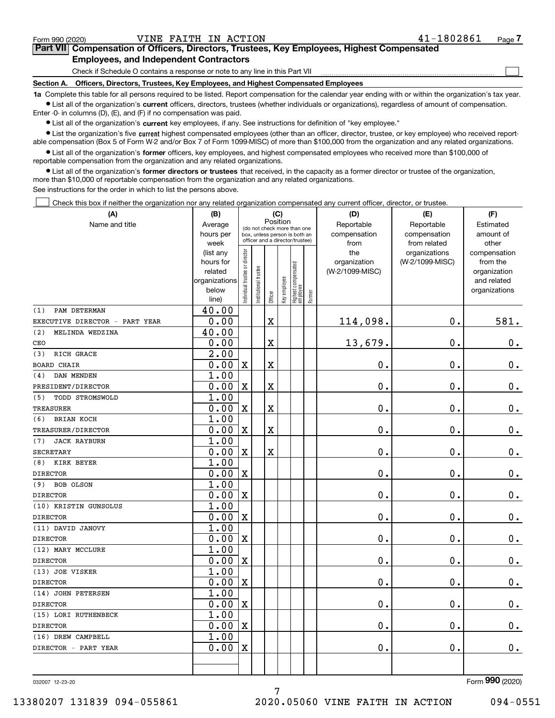$\mathcal{L}^{\text{max}}$ 

# **7Part VII Compensation of Officers, Directors, Trustees, Key Employees, Highest Compensated Employees, and Independent Contractors**

Check if Schedule O contains a response or note to any line in this Part VII

**Section A. Officers, Directors, Trustees, Key Employees, and Highest Compensated Employees**

**1a**  Complete this table for all persons required to be listed. Report compensation for the calendar year ending with or within the organization's tax year. **•** List all of the organization's current officers, directors, trustees (whether individuals or organizations), regardless of amount of compensation.

Enter -0- in columns (D), (E), and (F) if no compensation was paid.

 $\bullet$  List all of the organization's  $\,$ current key employees, if any. See instructions for definition of "key employee."

**•** List the organization's five current highest compensated employees (other than an officer, director, trustee, or key employee) who received reportable compensation (Box 5 of Form W-2 and/or Box 7 of Form 1099-MISC) of more than \$100,000 from the organization and any related organizations.

**•** List all of the organization's former officers, key employees, and highest compensated employees who received more than \$100,000 of reportable compensation from the organization and any related organizations.

**former directors or trustees**  ¥ List all of the organization's that received, in the capacity as a former director or trustee of the organization, more than \$10,000 of reportable compensation from the organization and any related organizations.

See instructions for the order in which to list the persons above.

Check this box if neither the organization nor any related organization compensated any current officer, director, or trustee.  $\mathcal{L}^{\text{max}}$ 

| (A)                            | (B)<br>(C)     |                                         |                      |                         |              |                                 |        | (D)             | (E)             | (F)           |
|--------------------------------|----------------|-----------------------------------------|----------------------|-------------------------|--------------|---------------------------------|--------|-----------------|-----------------|---------------|
| Name and title                 | Average        | Position<br>(do not check more than one |                      |                         |              |                                 |        | Reportable      | Reportable      | Estimated     |
|                                | hours per      |                                         |                      |                         |              | box, unless person is both an   |        | compensation    | compensation    | amount of     |
|                                | week           |                                         |                      |                         |              | officer and a director/trustee) |        | from            | from related    | other         |
|                                | (list any      |                                         |                      |                         |              |                                 |        | the             | organizations   | compensation  |
|                                | hours for      |                                         |                      |                         |              |                                 |        | organization    | (W-2/1099-MISC) | from the      |
|                                | related        |                                         |                      |                         |              |                                 |        | (W-2/1099-MISC) |                 | organization  |
|                                | organizations  |                                         |                      |                         |              |                                 |        |                 |                 | and related   |
|                                | below<br>line) | ndividual trustee or director           | nstitutional trustee | Officer                 | Key employee | Highest compensated<br>employee | Former |                 |                 | organizations |
| PAM DETERMAN<br>(1)            | 40.00          |                                         |                      |                         |              |                                 |        |                 |                 |               |
| EXECUTIVE DIRECTOR - PART YEAR | 0.00           |                                         |                      | $\overline{\mathbf{X}}$ |              |                                 |        | 114,098.        | $\mathbf 0$ .   | 581.          |
| MELINDA WEDZINA<br>(2)         | 40.00          |                                         |                      |                         |              |                                 |        |                 |                 |               |
| CEO                            | 0.00           |                                         |                      | $\rm X$                 |              |                                 |        | 13,679.         | $\mathbf 0$ .   | 0.            |
| RICH GRACE<br>(3)              | 2.00           |                                         |                      |                         |              |                                 |        |                 |                 |               |
| <b>BOARD CHAIR</b>             | 0.00           | $\overline{\text{X}}$                   |                      | $\overline{\mathbf{X}}$ |              |                                 |        | 0.              | $\mathbf 0$ .   | 0.            |
| DAN MENDEN<br>(4)              | 1.00           |                                         |                      |                         |              |                                 |        |                 |                 |               |
| PRESIDENT/DIRECTOR             | 0.00           | $\mathbf X$                             |                      | $\rm X$                 |              |                                 |        | 0.              | $\mathbf 0$ .   | $\mathbf 0$ . |
| TODD STROMSWOLD<br>(5)         | 1.00           |                                         |                      |                         |              |                                 |        |                 |                 |               |
| <b>TREASURER</b>               | 0.00           | $\overline{\text{X}}$                   |                      | $\rm X$                 |              |                                 |        | 0.              | $\mathbf 0$ .   | $\mathbf 0$ . |
| <b>BRIAN KOCH</b><br>(6)       | 1.00           |                                         |                      |                         |              |                                 |        |                 |                 |               |
| <b>TREASURER/DIRECTOR</b>      | 0.00           | $\mathbf X$                             |                      | $\mathbf X$             |              |                                 |        | 0.              | $\mathbf 0$ .   | $\mathbf 0$ . |
| <b>JACK RAYBURN</b><br>(7)     | 1.00           |                                         |                      |                         |              |                                 |        |                 |                 |               |
| <b>SECRETARY</b>               | 0.00           | $\overline{\textbf{X}}$                 |                      | $\rm X$                 |              |                                 |        | 0.              | $\mathbf{0}$ .  | 0.            |
| KIRK BEYER<br>(8)              | 1.00           |                                         |                      |                         |              |                                 |        |                 |                 |               |
| <b>DIRECTOR</b>                | 0.00           | $\mathbf X$                             |                      |                         |              |                                 |        | 0.              | $\mathbf 0$ .   | $\mathbf 0$ . |
| (9)<br>BOB OLSON               | 1.00           |                                         |                      |                         |              |                                 |        |                 |                 |               |
| <b>DIRECTOR</b>                | 0.00           | $\overline{\mathbf{X}}$                 |                      |                         |              |                                 |        | 0.              | $\mathbf 0$ .   | $\mathbf 0$ . |
| (10) KRISTIN GUNSOLUS          | 1.00           |                                         |                      |                         |              |                                 |        |                 |                 |               |
| <b>DIRECTOR</b>                | 0.00           | $\mathbf X$                             |                      |                         |              |                                 |        | 0.              | $\mathbf 0$ .   | $\mathbf 0$ . |
| (11) DAVID JANOVY              | 1.00           |                                         |                      |                         |              |                                 |        |                 |                 |               |
| <b>DIRECTOR</b>                | 0.00           | X                                       |                      |                         |              |                                 |        | 0.              | $\mathbf 0$ .   | $\mathbf 0$ . |
| (12) MARY MCCLURE              | 1.00           |                                         |                      |                         |              |                                 |        |                 |                 |               |
| <b>DIRECTOR</b>                | 0.00           | $\mathbf X$                             |                      |                         |              |                                 |        | 0.              | $\mathbf 0$ .   | $0_{.}$       |
| (13) JOE VISKER                | 1.00           |                                         |                      |                         |              |                                 |        |                 |                 |               |
| <b>DIRECTOR</b>                | 0.00           | $\overline{\text{X}}$                   |                      |                         |              |                                 |        | 0.              | $\mathbf{0}$ .  | $0_{.}$       |
| (14) JOHN PETERSEN             | 1.00           |                                         |                      |                         |              |                                 |        |                 |                 |               |
| <b>DIRECTOR</b>                | 0.00           | $\mathbf x$                             |                      |                         |              |                                 |        | 0.              | $\mathbf 0$ .   | $0_{.}$       |
| (15) LORI RUTHENBECK           | 1.00           |                                         |                      |                         |              |                                 |        |                 |                 |               |
| <b>DIRECTOR</b>                | 0.00           | $\overline{\mathbf{X}}$                 |                      |                         |              |                                 |        | 0.              | $\mathbf 0$ .   | 0.            |
| (16) DREW CAMPBELL             | 1.00           |                                         |                      |                         |              |                                 |        |                 |                 |               |
| DIRECTOR - PART YEAR           | 0.00           | $\mathbf X$                             |                      |                         |              |                                 |        | 0.              | $\mathbf 0$ .   | 0.            |
|                                |                |                                         |                      |                         |              |                                 |        |                 |                 |               |
|                                |                |                                         |                      |                         |              |                                 |        |                 |                 |               |

7

032007 12-23-20

Form (2020) **990**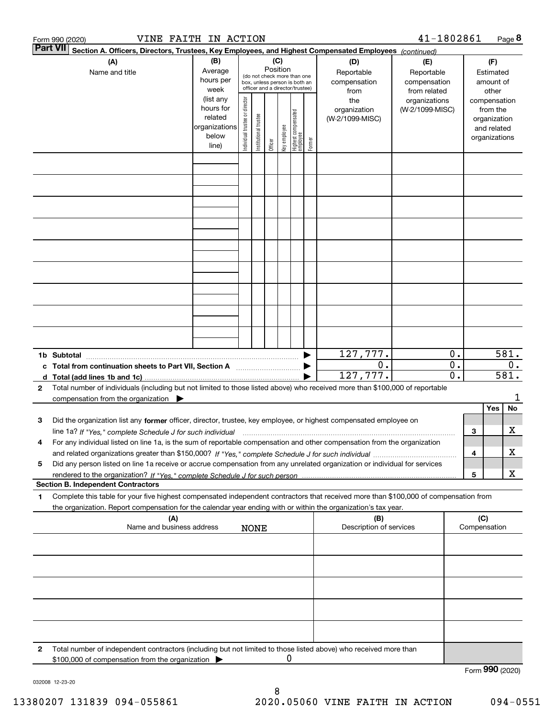|                                                                                                                           | VINE FAITH IN ACTION<br>Form 990 (2020)                                                                                                                        |                                   |                                |                       |  |              |                                                              |        |                                 | 41-1802861                 |                                                 |              |                          | Page 8          |
|---------------------------------------------------------------------------------------------------------------------------|----------------------------------------------------------------------------------------------------------------------------------------------------------------|-----------------------------------|--------------------------------|-----------------------|--|--------------|--------------------------------------------------------------|--------|---------------------------------|----------------------------|-------------------------------------------------|--------------|--------------------------|-----------------|
| <b>Part VII</b><br>Section A. Officers, Directors, Trustees, Key Employees, and Highest Compensated Employees (continued) |                                                                                                                                                                |                                   |                                |                       |  |              |                                                              |        |                                 |                            |                                                 |              |                          |                 |
|                                                                                                                           | (A)                                                                                                                                                            | (B)<br>(C)<br>Position<br>Average |                                |                       |  |              |                                                              | (D)    | (E)                             |                            |                                                 | (F)          |                          |                 |
|                                                                                                                           | Name and title                                                                                                                                                 | hours per                         |                                |                       |  |              | (do not check more than one<br>box, unless person is both an |        | Reportable<br>compensation      | Reportable<br>compensation |                                                 |              | Estimated<br>amount of   |                 |
|                                                                                                                           |                                                                                                                                                                | week                              |                                |                       |  |              | officer and a director/trustee)                              |        | from                            | from related               |                                                 |              | other                    |                 |
|                                                                                                                           |                                                                                                                                                                | (list any                         |                                |                       |  |              |                                                              |        | the                             | organizations              |                                                 |              | compensation             |                 |
|                                                                                                                           |                                                                                                                                                                | hours for<br>related              |                                |                       |  |              |                                                              |        | organization<br>(W-2/1099-MISC) | (W-2/1099-MISC)            |                                                 |              | from the<br>organization |                 |
|                                                                                                                           |                                                                                                                                                                | organizations                     |                                |                       |  |              |                                                              |        |                                 |                            |                                                 |              | and related              |                 |
|                                                                                                                           |                                                                                                                                                                | below                             | Individual trustee or director | Institutional trustee |  | Key employee | Highest compensated<br>employee                              | Former |                                 |                            |                                                 |              | organizations            |                 |
|                                                                                                                           | Officer<br>line)                                                                                                                                               |                                   |                                |                       |  |              |                                                              |        |                                 |                            |                                                 |              |                          |                 |
|                                                                                                                           |                                                                                                                                                                |                                   |                                |                       |  |              |                                                              |        |                                 |                            |                                                 |              |                          |                 |
|                                                                                                                           |                                                                                                                                                                |                                   |                                |                       |  |              |                                                              |        |                                 |                            |                                                 |              |                          |                 |
|                                                                                                                           |                                                                                                                                                                |                                   |                                |                       |  |              |                                                              |        |                                 |                            |                                                 |              |                          |                 |
|                                                                                                                           |                                                                                                                                                                |                                   |                                |                       |  |              |                                                              |        |                                 |                            |                                                 |              |                          |                 |
|                                                                                                                           |                                                                                                                                                                |                                   |                                |                       |  |              |                                                              |        |                                 |                            |                                                 |              |                          |                 |
|                                                                                                                           |                                                                                                                                                                |                                   |                                |                       |  |              |                                                              |        |                                 |                            |                                                 |              |                          |                 |
|                                                                                                                           |                                                                                                                                                                |                                   |                                |                       |  |              |                                                              |        |                                 |                            |                                                 |              |                          |                 |
|                                                                                                                           |                                                                                                                                                                |                                   |                                |                       |  |              |                                                              |        |                                 |                            |                                                 |              |                          |                 |
|                                                                                                                           |                                                                                                                                                                |                                   |                                |                       |  |              |                                                              |        |                                 |                            |                                                 |              |                          |                 |
|                                                                                                                           |                                                                                                                                                                |                                   |                                |                       |  |              |                                                              |        |                                 |                            |                                                 |              |                          |                 |
|                                                                                                                           |                                                                                                                                                                |                                   |                                |                       |  |              |                                                              |        |                                 |                            |                                                 |              |                          |                 |
|                                                                                                                           |                                                                                                                                                                |                                   |                                |                       |  |              |                                                              |        |                                 |                            |                                                 |              |                          |                 |
|                                                                                                                           |                                                                                                                                                                |                                   |                                |                       |  |              |                                                              |        |                                 |                            |                                                 |              |                          |                 |
|                                                                                                                           |                                                                                                                                                                |                                   |                                |                       |  |              |                                                              |        |                                 |                            |                                                 |              |                          |                 |
|                                                                                                                           |                                                                                                                                                                |                                   |                                |                       |  |              |                                                              |        |                                 |                            |                                                 |              |                          |                 |
|                                                                                                                           |                                                                                                                                                                |                                   |                                |                       |  |              |                                                              |        |                                 |                            |                                                 |              |                          |                 |
|                                                                                                                           | 1b Subtotal                                                                                                                                                    |                                   |                                |                       |  |              |                                                              |        | 127, 777.                       |                            | 0.                                              |              |                          | 581.            |
|                                                                                                                           | c Total from continuation sheets to Part VII, Section A <b>manual</b> contains the Total from continuum                                                        |                                   |                                |                       |  |              |                                                              |        | $\overline{0}$ .                |                            | $\overline{0}$ .<br>$\overline{\mathfrak{o}}$ . |              |                          | 0.              |
|                                                                                                                           | d Total (add lines 1b and 1c).<br>Total number of individuals (including but not limited to those listed above) who received more than \$100,000 of reportable |                                   |                                |                       |  |              |                                                              |        | 127,777.                        |                            |                                                 | 581.         |                          |                 |
| $\mathbf{2}$                                                                                                              | compensation from the organization $\blacktriangleright$                                                                                                       |                                   |                                |                       |  |              |                                                              |        |                                 |                            |                                                 |              |                          |                 |
|                                                                                                                           |                                                                                                                                                                |                                   |                                |                       |  |              |                                                              |        |                                 |                            |                                                 |              | Yes                      | No              |
| З                                                                                                                         | Did the organization list any former officer, director, trustee, key employee, or highest compensated employee on                                              |                                   |                                |                       |  |              |                                                              |        |                                 |                            |                                                 |              |                          |                 |
|                                                                                                                           | line 1a? If "Yes," complete Schedule J for such individual manufactured contained and the Yes," complete Schedule J for such individual                        |                                   |                                |                       |  |              |                                                              |        |                                 |                            |                                                 | 3            |                          | х               |
| 4                                                                                                                         | For any individual listed on line 1a, is the sum of reportable compensation and other compensation from the organization                                       |                                   |                                |                       |  |              |                                                              |        |                                 |                            |                                                 |              |                          |                 |
|                                                                                                                           |                                                                                                                                                                |                                   |                                |                       |  |              |                                                              |        |                                 |                            |                                                 | 4            |                          | х               |
| 5                                                                                                                         | Did any person listed on line 1a receive or accrue compensation from any unrelated organization or individual for services                                     |                                   |                                |                       |  |              |                                                              |        |                                 |                            |                                                 |              |                          |                 |
|                                                                                                                           | <b>Section B. Independent Contractors</b>                                                                                                                      |                                   |                                |                       |  |              |                                                              |        |                                 |                            |                                                 | 5            |                          | X               |
| 1                                                                                                                         | Complete this table for your five highest compensated independent contractors that received more than \$100,000 of compensation from                           |                                   |                                |                       |  |              |                                                              |        |                                 |                            |                                                 |              |                          |                 |
|                                                                                                                           |                                                                                                                                                                |                                   |                                |                       |  |              |                                                              |        |                                 |                            |                                                 |              |                          |                 |
|                                                                                                                           | the organization. Report compensation for the calendar year ending with or within the organization's tax year.<br>(A)<br>(B)                                   |                                   |                                |                       |  |              |                                                              |        | (C)                             |                            |                                                 |              |                          |                 |
|                                                                                                                           | Name and business address                                                                                                                                      |                                   |                                | <b>NONE</b>           |  |              |                                                              |        | Description of services         |                            |                                                 | Compensation |                          |                 |
|                                                                                                                           |                                                                                                                                                                |                                   |                                |                       |  |              |                                                              |        |                                 |                            |                                                 |              |                          |                 |
|                                                                                                                           |                                                                                                                                                                |                                   |                                |                       |  |              |                                                              |        |                                 |                            |                                                 |              |                          |                 |
|                                                                                                                           |                                                                                                                                                                |                                   |                                |                       |  |              |                                                              |        |                                 |                            |                                                 |              |                          |                 |
|                                                                                                                           |                                                                                                                                                                |                                   |                                |                       |  |              |                                                              |        |                                 |                            |                                                 |              |                          |                 |
|                                                                                                                           |                                                                                                                                                                |                                   |                                |                       |  |              |                                                              |        |                                 |                            |                                                 |              |                          |                 |
|                                                                                                                           |                                                                                                                                                                |                                   |                                |                       |  |              |                                                              |        |                                 |                            |                                                 |              |                          |                 |
|                                                                                                                           |                                                                                                                                                                |                                   |                                |                       |  |              |                                                              |        |                                 |                            |                                                 |              |                          |                 |
|                                                                                                                           |                                                                                                                                                                |                                   |                                |                       |  |              |                                                              |        |                                 |                            |                                                 |              |                          |                 |
|                                                                                                                           |                                                                                                                                                                |                                   |                                |                       |  |              |                                                              |        |                                 |                            |                                                 |              |                          |                 |
| 2                                                                                                                         | Total number of independent contractors (including but not limited to those listed above) who received more than                                               |                                   |                                |                       |  |              |                                                              |        |                                 |                            |                                                 |              |                          |                 |
|                                                                                                                           | \$100,000 of compensation from the organization                                                                                                                |                                   |                                |                       |  | 0            |                                                              |        |                                 |                            |                                                 |              |                          | Form 990 (2020) |
|                                                                                                                           |                                                                                                                                                                |                                   |                                |                       |  |              |                                                              |        |                                 |                            |                                                 |              |                          |                 |

032008 12-23-20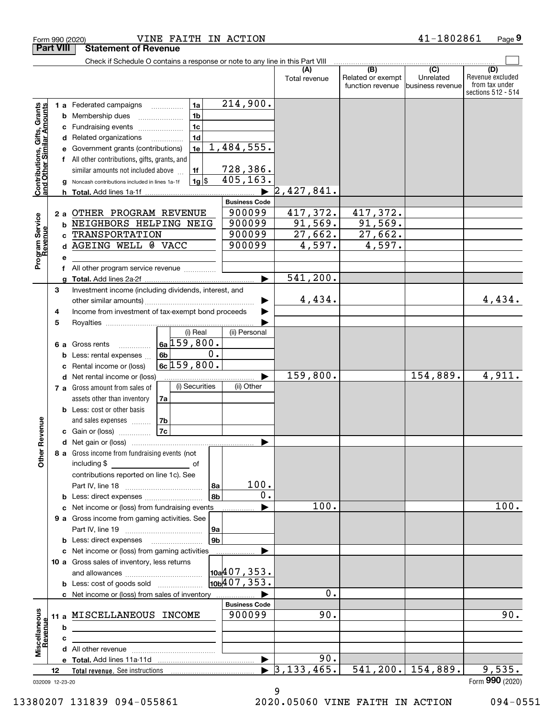|                                                           | <b>Part VIII</b> | <b>Statement of Revenue</b>                                                   |                  |                               |                                  |                                              |                                                 |                                                                 |
|-----------------------------------------------------------|------------------|-------------------------------------------------------------------------------|------------------|-------------------------------|----------------------------------|----------------------------------------------|-------------------------------------------------|-----------------------------------------------------------------|
|                                                           |                  | Check if Schedule O contains a response or note to any line in this Part VIII |                  |                               |                                  |                                              |                                                 |                                                                 |
|                                                           |                  |                                                                               |                  |                               | (A)<br>Total revenue             | (B)<br>Related or exempt<br>function revenue | $\overline{C}$<br>Unrelated<br>business revenue | (D)<br>Revenue excluded<br>from tax under<br>sections 512 - 514 |
|                                                           |                  | 1 a Federated campaigns                                                       | 1a               | 214,900.                      |                                  |                                              |                                                 |                                                                 |
| Contributions, Gifts, Grants<br>and Other Similar Amounts | b                | Membership dues                                                               | 1 <sub>b</sub>   |                               |                                  |                                              |                                                 |                                                                 |
|                                                           | c                | <b>Fundraising events</b>                                                     | 1 <sub>c</sub>   |                               |                                  |                                              |                                                 |                                                                 |
|                                                           | d                | Related organizations<br>.                                                    | 1 <sub>d</sub>   |                               |                                  |                                              |                                                 |                                                                 |
|                                                           | е                | Government grants (contributions)                                             | 1e               | 1,484,555.                    |                                  |                                              |                                                 |                                                                 |
|                                                           | f                | All other contributions, gifts, grants, and                                   |                  |                               |                                  |                                              |                                                 |                                                                 |
|                                                           |                  | similar amounts not included above                                            | 1f               | 728,386.                      |                                  |                                              |                                                 |                                                                 |
|                                                           |                  | Noncash contributions included in lines 1a-1f                                 | $ 1g $ \$        | 405, 163.                     |                                  |                                              |                                                 |                                                                 |
|                                                           | h.               |                                                                               |                  |                               | 2,427,841.                       |                                              |                                                 |                                                                 |
|                                                           |                  |                                                                               |                  | <b>Business Code</b>          |                                  |                                              |                                                 |                                                                 |
|                                                           | 2a               | OTHER PROGRAM REVENUE                                                         |                  | 900099                        | 417,372.                         | 417,372.                                     |                                                 |                                                                 |
|                                                           | b                | NEIGHBORS HELPING NEIG                                                        |                  | 900099                        | 91,569.                          | 91,569.                                      |                                                 |                                                                 |
|                                                           | c                | <b>TRANSPORTATION</b>                                                         |                  | 900099                        | 27,662.                          | 27,662.                                      |                                                 |                                                                 |
|                                                           | d                | AGEING WELL @ VACC                                                            |                  | 900099                        | 4,597.                           | 4,597.                                       |                                                 |                                                                 |
| Program Service<br>Revenue                                | е                |                                                                               |                  |                               |                                  |                                              |                                                 |                                                                 |
|                                                           | f                | All other program service revenue                                             |                  |                               |                                  |                                              |                                                 |                                                                 |
|                                                           |                  |                                                                               |                  |                               | 541,200.                         |                                              |                                                 |                                                                 |
|                                                           | 3                | Investment income (including dividends, interest, and                         |                  |                               |                                  |                                              |                                                 |                                                                 |
|                                                           |                  | other similar amounts)                                                        |                  |                               | 4,434.                           |                                              |                                                 | 4,434.                                                          |
|                                                           | 4                | Income from investment of tax-exempt bond proceeds                            |                  |                               |                                  |                                              |                                                 |                                                                 |
|                                                           | 5                |                                                                               | (i) Real         | (ii) Personal                 |                                  |                                              |                                                 |                                                                 |
|                                                           |                  |                                                                               | $6a$ 159,800.    |                               |                                  |                                              |                                                 |                                                                 |
|                                                           | 6а               | Gross rents<br>6b                                                             | $\overline{0}$ . |                               |                                  |                                              |                                                 |                                                                 |
|                                                           | b                | Less: rental expenses                                                         | $6c$ 159,800.    |                               |                                  |                                              |                                                 |                                                                 |
|                                                           | c                | Rental income or (loss)<br>d Net rental income or (loss)                      |                  |                               | 159,800.                         |                                              | 154,889.                                        | 4,911.                                                          |
|                                                           |                  | 7 a Gross amount from sales of                                                | (i) Securities   | (ii) Other                    |                                  |                                              |                                                 |                                                                 |
|                                                           |                  | assets other than inventory<br>7a                                             |                  |                               |                                  |                                              |                                                 |                                                                 |
|                                                           |                  | <b>b</b> Less: cost or other basis                                            |                  |                               |                                  |                                              |                                                 |                                                                 |
|                                                           |                  | 7b<br>and sales expenses                                                      |                  |                               |                                  |                                              |                                                 |                                                                 |
| Revenue                                                   |                  | <b>7c</b><br>c Gain or (loss)                                                 |                  |                               |                                  |                                              |                                                 |                                                                 |
|                                                           |                  |                                                                               |                  |                               |                                  |                                              |                                                 |                                                                 |
|                                                           |                  | 8 a Gross income from fundraising events (not                                 |                  |                               |                                  |                                              |                                                 |                                                                 |
| <b>Other</b>                                              |                  | including \$                                                                  |                  |                               |                                  |                                              |                                                 |                                                                 |
|                                                           |                  | contributions reported on line 1c). See                                       |                  |                               |                                  |                                              |                                                 |                                                                 |
|                                                           |                  |                                                                               |                  | 100.<br>8a                    |                                  |                                              |                                                 |                                                                 |
|                                                           |                  | <b>b</b> Less: direct expenses                                                |                  | 0.<br>8b                      |                                  |                                              |                                                 |                                                                 |
|                                                           |                  | c Net income or (loss) from fundraising events                                |                  |                               | 100.                             |                                              |                                                 | 100.                                                            |
|                                                           |                  | 9 a Gross income from gaming activities. See                                  |                  |                               |                                  |                                              |                                                 |                                                                 |
|                                                           |                  |                                                                               |                  | 9а                            |                                  |                                              |                                                 |                                                                 |
|                                                           |                  | <b>b</b> Less: direct expenses <b>manually</b>                                |                  | 9 <sub>b</sub>                |                                  |                                              |                                                 |                                                                 |
|                                                           |                  | c Net income or (loss) from gaming activities                                 |                  |                               |                                  |                                              |                                                 |                                                                 |
|                                                           |                  | 10 a Gross sales of inventory, less returns                                   |                  |                               |                                  |                                              |                                                 |                                                                 |
|                                                           |                  |                                                                               |                  | $\vert$ 10a $\vert$ 407, 353. |                                  |                                              |                                                 |                                                                 |
|                                                           |                  | <b>b</b> Less: cost of goods sold                                             |                  | 10b407, 353.                  |                                  |                                              |                                                 |                                                                 |
|                                                           |                  | c Net income or (loss) from sales of inventory                                |                  |                               | 0.                               |                                              |                                                 |                                                                 |
|                                                           |                  |                                                                               |                  | <b>Business Code</b>          |                                  |                                              |                                                 |                                                                 |
|                                                           |                  | 11 a MISCELLANEOUS INCOME                                                     |                  | 900099                        | 90.                              |                                              |                                                 | 90.                                                             |
|                                                           | b                |                                                                               |                  |                               |                                  |                                              |                                                 |                                                                 |
| Miscellaneous<br>Revenue                                  | c                |                                                                               |                  |                               |                                  |                                              |                                                 |                                                                 |
|                                                           |                  |                                                                               |                  |                               |                                  |                                              |                                                 |                                                                 |
|                                                           |                  |                                                                               |                  |                               | 90.                              |                                              |                                                 |                                                                 |
|                                                           | 12               |                                                                               |                  |                               | $\blacktriangleright$ 3,133,465. |                                              | $541, 200.$ 154,889.                            | 9,535.<br>Form 990 (2020)                                       |
|                                                           | 032009 12-23-20  |                                                                               |                  |                               |                                  |                                              |                                                 |                                                                 |

Form 990 (2020) VINE\_FAITH\_IN\_ACTION 4I-I80 286 I Page

VINE FAITH IN ACTION 41-1802861

**9**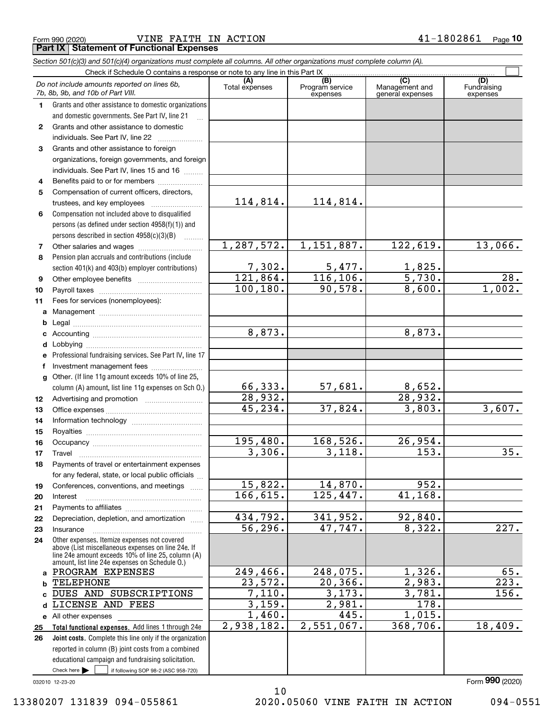| Form 990 (2020)                                 |  | VINE FAITH IN ACTION | 1802861<br>$\overline{\phantom{0}}$ | Page |
|-------------------------------------------------|--|----------------------|-------------------------------------|------|
| <b>Part IX Statement of Functional Expenses</b> |  |                      |                                     |      |

|              | Section 501(c)(3) and 501(c)(4) organizations must complete all columns. All other organizations must complete column (A).                                                                                 |                       |                                    |                                           |                                |
|--------------|------------------------------------------------------------------------------------------------------------------------------------------------------------------------------------------------------------|-----------------------|------------------------------------|-------------------------------------------|--------------------------------|
|              | Check if Schedule O contains a response or note to any line in this Part IX                                                                                                                                |                       |                                    |                                           |                                |
|              | Do not include amounts reported on lines 6b,<br>7b, 8b, 9b, and 10b of Part VIII.                                                                                                                          | (A)<br>Total expenses | (B)<br>Program service<br>expenses | (C)<br>Management and<br>general expenses | (D)<br>Fundraising<br>expenses |
| 1.           | Grants and other assistance to domestic organizations                                                                                                                                                      |                       |                                    |                                           |                                |
|              | and domestic governments. See Part IV, line 21                                                                                                                                                             |                       |                                    |                                           |                                |
| $\mathbf{2}$ | Grants and other assistance to domestic                                                                                                                                                                    |                       |                                    |                                           |                                |
|              | individuals. See Part IV, line 22                                                                                                                                                                          |                       |                                    |                                           |                                |
| 3            | Grants and other assistance to foreign                                                                                                                                                                     |                       |                                    |                                           |                                |
|              | organizations, foreign governments, and foreign                                                                                                                                                            |                       |                                    |                                           |                                |
|              | individuals. See Part IV, lines 15 and 16                                                                                                                                                                  |                       |                                    |                                           |                                |
| 4            | Benefits paid to or for members                                                                                                                                                                            |                       |                                    |                                           |                                |
| 5            | Compensation of current officers, directors,                                                                                                                                                               |                       |                                    |                                           |                                |
|              | trustees, and key employees                                                                                                                                                                                | 114,814.              | 114,814.                           |                                           |                                |
| 6            | Compensation not included above to disqualified                                                                                                                                                            |                       |                                    |                                           |                                |
|              | persons (as defined under section 4958(f)(1)) and                                                                                                                                                          |                       |                                    |                                           |                                |
|              | persons described in section 4958(c)(3)(B)                                                                                                                                                                 |                       |                                    |                                           |                                |
| 7            |                                                                                                                                                                                                            | 1,287,572.            | 1,151,887.                         | 122,619.                                  | 13,066.                        |
| 8            | Pension plan accruals and contributions (include                                                                                                                                                           |                       |                                    |                                           |                                |
|              | section 401(k) and 403(b) employer contributions)                                                                                                                                                          | 7,302.                | $\frac{5,477}{116,106}$            | $\frac{1,825}{5,730}$ .                   |                                |
| 9            |                                                                                                                                                                                                            | 121,864.              |                                    |                                           | 28.                            |
| 10           |                                                                                                                                                                                                            | 100, 180.             | 90,578.                            | 8,600.                                    | 1,002.                         |
| 11           | Fees for services (nonemployees):                                                                                                                                                                          |                       |                                    |                                           |                                |
|              |                                                                                                                                                                                                            |                       |                                    |                                           |                                |
| b            |                                                                                                                                                                                                            |                       |                                    |                                           |                                |
| c            |                                                                                                                                                                                                            | 8,873.                |                                    | 8,873.                                    |                                |
| d            |                                                                                                                                                                                                            |                       |                                    |                                           |                                |
| е            | Professional fundraising services. See Part IV, line 17                                                                                                                                                    |                       |                                    |                                           |                                |
| f            | Investment management fees                                                                                                                                                                                 |                       |                                    |                                           |                                |
| $\mathbf{q}$ | Other. (If line 11g amount exceeds 10% of line 25,                                                                                                                                                         |                       |                                    |                                           |                                |
|              | column (A) amount, list line 11g expenses on Sch O.)                                                                                                                                                       | 66,333.               | 57,681.                            | 8,652.                                    |                                |
| 12           |                                                                                                                                                                                                            | 28,932.               |                                    | 28,932.                                   |                                |
| 13           |                                                                                                                                                                                                            | 45, 234.              | 37,824.                            | 3,803.                                    | 3,607.                         |
| 14           |                                                                                                                                                                                                            |                       |                                    |                                           |                                |
| 15           |                                                                                                                                                                                                            |                       |                                    |                                           |                                |
| 16           |                                                                                                                                                                                                            | 195,480.              | 168,526.                           | 26,954.                                   |                                |
| 17           |                                                                                                                                                                                                            | 3,306.                | 3,118.                             | 153.                                      | 35.                            |
| 18           | Payments of travel or entertainment expenses                                                                                                                                                               |                       |                                    |                                           |                                |
|              | for any federal, state, or local public officials                                                                                                                                                          |                       |                                    |                                           |                                |
| 19           | Conferences, conventions, and meetings                                                                                                                                                                     | 15,822.               | 14,870.                            | 952.                                      |                                |
| 20           | Interest                                                                                                                                                                                                   | 166, 615.             | 125,447.                           | 41, 168.                                  |                                |
| 21           |                                                                                                                                                                                                            |                       |                                    |                                           |                                |
| 22           | Depreciation, depletion, and amortization                                                                                                                                                                  | 434,792.              | 341,952.                           | 92,840.                                   |                                |
| 23           | Insurance                                                                                                                                                                                                  | 56, 296.              | 47,747.                            | 8,322.                                    | $\overline{227.}$              |
| 24           | Other expenses. Itemize expenses not covered<br>above (List miscellaneous expenses on line 24e. If<br>line 24e amount exceeds 10% of line 25, column (A)<br>amount, list line 24e expenses on Schedule O.) |                       |                                    |                                           |                                |
|              | a PROGRAM EXPENSES                                                                                                                                                                                         | 249,466.              | 248,075.                           | 1,326.                                    | $\overline{65}$ .              |
| b            | TELEPHONE                                                                                                                                                                                                  | 23,572.               | 20, 366.                           | 2,983.                                    | 223.                           |
| c            | DUES AND SUBSCRIPTIONS                                                                                                                                                                                     | 7,110.                | 3,173.                             | 3,781.                                    | 156.                           |
| d            | LICENSE AND FEES                                                                                                                                                                                           | 3,159.                | 2,981.                             | 178.                                      |                                |
|              | e All other expenses                                                                                                                                                                                       | $\overline{1,460}$ .  | 445.                               | 1,015.                                    |                                |
| 25           | Total functional expenses. Add lines 1 through 24e                                                                                                                                                         | 2,938,182.            | $\overline{2,551,067}$ .           | 368,706.                                  | 18,409.                        |
| 26           | Joint costs. Complete this line only if the organization                                                                                                                                                   |                       |                                    |                                           |                                |
|              | reported in column (B) joint costs from a combined                                                                                                                                                         |                       |                                    |                                           |                                |
|              | educational campaign and fundraising solicitation.                                                                                                                                                         |                       |                                    |                                           |                                |
|              | Check here $\blacktriangleright$<br>if following SOP 98-2 (ASC 958-720)                                                                                                                                    |                       |                                    |                                           |                                |

032010 12-23-20

13380207 131839 094-055861 2020.05060 VINE FAITH IN ACTION 094-0551

10

Form (2020) **990**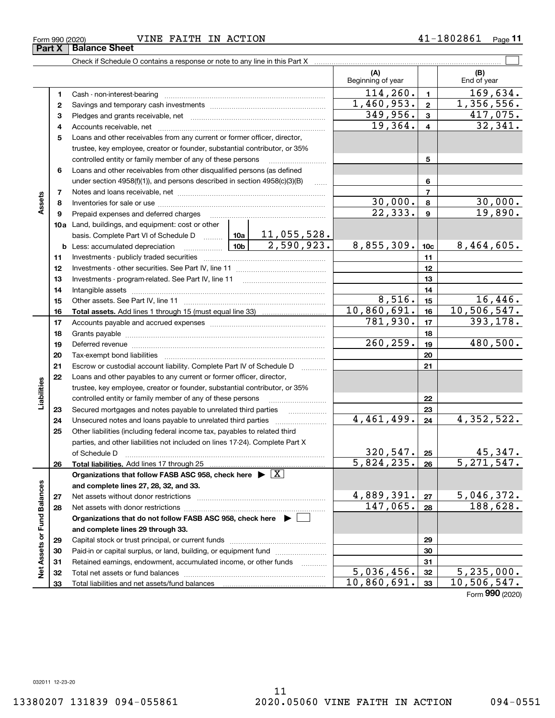Form 990 (2020) VINE FAITH IN ACTION 4 $1$ - $1802861$  Page

Check if Schedule O contains a response or note to any line in this Part X

**(A) (B)** Beginning of year | | End of year  $114,260$ .  $169,634$ . **11**Cash - non-interest-bearing ~~~~~~~~~~~~~~~~~~~~~~~~~  $1,460,953.$  2 1,356,556. **22**Savings and temporary cash investments ~~~~~~~~~~~~~~~~~~ $349,956.$   $3$   $417,075.$ **33** Pledges and grants receivable, net  $\ldots$  **multimes contained and grants receivable**, net **multimes contained and grants receivable**, net **multimes contained and grants receivable** Accounts receivable, net ~~~~~~~~~~~~~~~~~~~~~~~~~~  $19,364. | 4 | 32,341.$ **445**Loans and other receivables from any current or former officer, director, trustee, key employee, creator or founder, substantial contributor, or 35% controlled entity or family member of any of these persons ~~~~~~~~~ **5**Loans and other receivables from other disqualified persons (as defined **6**under section  $4958(f)(1)$ , and persons described in section  $4958(c)(3)(B)$ **677**Notes and loans receivable, net ~~~~~~~~~~~~~~~~~~~~~~~**Assets**  $30,000$ .  $|8|$  30,000. **88**Inventories for sale or use ~~~~~~~~~~~~~~~~~~~~~~~~~~  $22,333$ . | 9 | 19,890. **99**Prepaid expenses and deferred charges ~~~~~~~~~~~~~~~~~~ **10a**Land, buildings, and equipment: cost or other 11,055,528. basis. Complete Part VI of Schedule D will aller  $2,590,923.$  8,855,309. 10c 8,464,605. **10cb** Less: accumulated depreciation  $\ldots$  **10b 1111**Investments - publicly traded securities ~~~~~~~~~~~~~~~~~~~ **1212**Investments - other securities. See Part IV, line 11 ~~~~~~~~~~~~~~ **1313**Investments - program-related. See Part IV, line 11 [2010] [2010] [2010] [2010] [2010] [2010] [2010] [2010] [2 **1414**Intangible assets ~~~~~~~~~~~~~~~~~~~~~~~~~~~~~~ Other assets. See Part IV, line 11 ~~~~~~~~~~~~~~~~~~~~~~  $8,516.$  15 16,446. **1515**10,860,691. 10,506,547. **1616Total assets.**  Add lines 1 through 15 (must equal line 33) 781,930. 393,178. **1717**Accounts payable and accrued expenses ~~~~~~~~~~~~~~~~~~ **1818**Grants payable ~~~~~~~~~~~~~~~~~~~~~~~~~~~~~~~  $260, 259.$  19 480,500. **1919**Deferred revenue ~~~~~~~~~~~~~~~~~~~~~~~~~~~~~~**2020**Tax-exempt bond liabilities …………………………………………………………… Escrow or custodial account liability. Complete Part IV of Schedule D **212122**Loans and other payables to any current or former officer, director, iabilities **Liabilities** trustee, key employee, creator or founder, substantial contributor, or 35% controlled entity or family member of any of these persons **2223**Secured mortgages and notes payable to unrelated third parties **23** $4,461,499. |24 | 4,352,522.$ Unsecured notes and loans payable to unrelated third parties  $\ldots$ **242425**Other liabilities (including federal income tax, payables to related third parties, and other liabilities not included on lines 17-24). Complete Part X of Schedule D ~~~~~~~~~~~~~~~~~~~~~~~~~~~~~~~  $320,547.$  | 25 | 45,347. **25** $5,824,235.$   $26$  5,271,547. **2626Total liabilities.**  Add lines 17 through 25 **Organizations that follow FASB ASC 958, check here** | X Assets or Fund Balances **Net Assets or Fund Balances and complete lines 27, 28, 32, and 33.**  $4,889,391. |z_7| 5,046,372.$ **2727**Net assets without donor restrictions <sub>…………………………………………………</sub>……  $147,065.$  | 28 | 188,628. **2828**Net assets with donor restrictions ~~~~~~~~~~~~~~~~~~~~~~**Organizations that do not follow FASB ASC 958, check here** | **and complete lines 29 through 33. 2929**Capital stock or trust principal, or current funds ~~~~~~~~~~~~~~~ **3030**Paid-in or capital surplus, or land, building, or equipment fund www.commun.com **3131**Retained earnings, endowment, accumulated income, or other funds www.com  $\frac{1}{2}$ Total net assets or fund balances ~~~~~~~~~~~~~~~~~~~~~~  $5,036,456.$   $32$  5,235,000. **3232** $10,860,691.$  33 10,506,547. Total liabilities and net assets/fund balances **3333**

41-1802861 Page 11

 $\mathcal{L}^{\text{max}}$ 

Form (2020) **990**

| $Form$ QQO (2020) |  |  |
|-------------------|--|--|

**Part X** Balance Sheet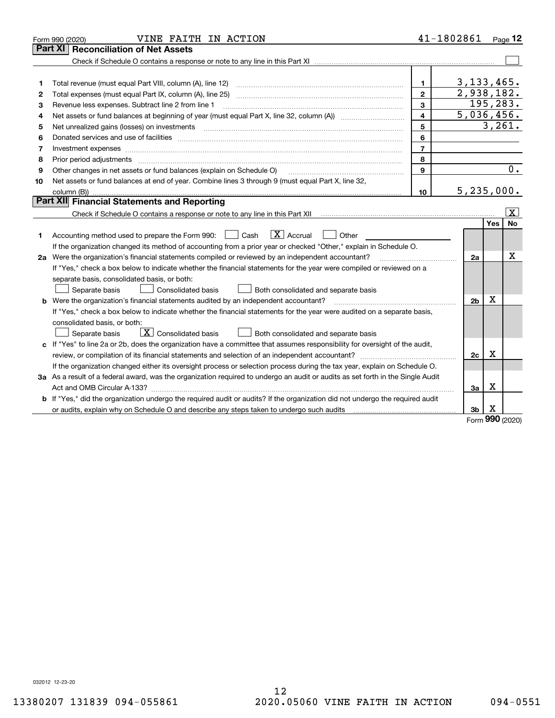| Part XI   Reconciliation of Net Assets<br>3, 133, 465.<br>$\mathbf{1}$<br>1<br>2,938,182.<br>$\overline{2}$<br>2<br>195, 283.<br>3<br>Revenue less expenses. Subtract line 2 from line 1<br>з<br>5,036,456.<br>4<br>4<br>3,261.<br>5<br>5<br>6<br>Donated services and use of facilities [111] matter contracts and the facilities in the matter of facilities [11] matter contracts and use of facilities [11] matter contracts and the service of the service of the service o<br>6<br>$\overline{7}$<br>7<br>8<br>8<br>Prior period adjustments material contents and content of the content of the content of the content of the content of the content of the content of the content of the content of the content of the content of the content of<br>9<br>Other changes in net assets or fund balances (explain on Schedule O)<br>9<br>Net assets or fund balances at end of year. Combine lines 3 through 9 (must equal Part X, line 32,<br>10<br>5,235,000.<br>10<br>Part XII Financial Statements and Reporting<br>Yes<br>$\boxed{\mathbf{X}}$ Accrual<br>Accounting method used to prepare the Form 990: <u>June</u> Cash<br>Other<br>1<br>If the organization changed its method of accounting from a prior year or checked "Other," explain in Schedule O.<br>2a Were the organization's financial statements compiled or reviewed by an independent accountant?<br>2a | Page 12                 |
|-------------------------------------------------------------------------------------------------------------------------------------------------------------------------------------------------------------------------------------------------------------------------------------------------------------------------------------------------------------------------------------------------------------------------------------------------------------------------------------------------------------------------------------------------------------------------------------------------------------------------------------------------------------------------------------------------------------------------------------------------------------------------------------------------------------------------------------------------------------------------------------------------------------------------------------------------------------------------------------------------------------------------------------------------------------------------------------------------------------------------------------------------------------------------------------------------------------------------------------------------------------------------------------------------------------------------------------------------------------------------------------|-------------------------|
|                                                                                                                                                                                                                                                                                                                                                                                                                                                                                                                                                                                                                                                                                                                                                                                                                                                                                                                                                                                                                                                                                                                                                                                                                                                                                                                                                                                     |                         |
|                                                                                                                                                                                                                                                                                                                                                                                                                                                                                                                                                                                                                                                                                                                                                                                                                                                                                                                                                                                                                                                                                                                                                                                                                                                                                                                                                                                     |                         |
|                                                                                                                                                                                                                                                                                                                                                                                                                                                                                                                                                                                                                                                                                                                                                                                                                                                                                                                                                                                                                                                                                                                                                                                                                                                                                                                                                                                     |                         |
|                                                                                                                                                                                                                                                                                                                                                                                                                                                                                                                                                                                                                                                                                                                                                                                                                                                                                                                                                                                                                                                                                                                                                                                                                                                                                                                                                                                     |                         |
|                                                                                                                                                                                                                                                                                                                                                                                                                                                                                                                                                                                                                                                                                                                                                                                                                                                                                                                                                                                                                                                                                                                                                                                                                                                                                                                                                                                     |                         |
|                                                                                                                                                                                                                                                                                                                                                                                                                                                                                                                                                                                                                                                                                                                                                                                                                                                                                                                                                                                                                                                                                                                                                                                                                                                                                                                                                                                     |                         |
|                                                                                                                                                                                                                                                                                                                                                                                                                                                                                                                                                                                                                                                                                                                                                                                                                                                                                                                                                                                                                                                                                                                                                                                                                                                                                                                                                                                     |                         |
|                                                                                                                                                                                                                                                                                                                                                                                                                                                                                                                                                                                                                                                                                                                                                                                                                                                                                                                                                                                                                                                                                                                                                                                                                                                                                                                                                                                     |                         |
|                                                                                                                                                                                                                                                                                                                                                                                                                                                                                                                                                                                                                                                                                                                                                                                                                                                                                                                                                                                                                                                                                                                                                                                                                                                                                                                                                                                     |                         |
|                                                                                                                                                                                                                                                                                                                                                                                                                                                                                                                                                                                                                                                                                                                                                                                                                                                                                                                                                                                                                                                                                                                                                                                                                                                                                                                                                                                     |                         |
|                                                                                                                                                                                                                                                                                                                                                                                                                                                                                                                                                                                                                                                                                                                                                                                                                                                                                                                                                                                                                                                                                                                                                                                                                                                                                                                                                                                     |                         |
|                                                                                                                                                                                                                                                                                                                                                                                                                                                                                                                                                                                                                                                                                                                                                                                                                                                                                                                                                                                                                                                                                                                                                                                                                                                                                                                                                                                     | 0.                      |
|                                                                                                                                                                                                                                                                                                                                                                                                                                                                                                                                                                                                                                                                                                                                                                                                                                                                                                                                                                                                                                                                                                                                                                                                                                                                                                                                                                                     |                         |
|                                                                                                                                                                                                                                                                                                                                                                                                                                                                                                                                                                                                                                                                                                                                                                                                                                                                                                                                                                                                                                                                                                                                                                                                                                                                                                                                                                                     |                         |
|                                                                                                                                                                                                                                                                                                                                                                                                                                                                                                                                                                                                                                                                                                                                                                                                                                                                                                                                                                                                                                                                                                                                                                                                                                                                                                                                                                                     |                         |
|                                                                                                                                                                                                                                                                                                                                                                                                                                                                                                                                                                                                                                                                                                                                                                                                                                                                                                                                                                                                                                                                                                                                                                                                                                                                                                                                                                                     | $\overline{\mathbf{X}}$ |
|                                                                                                                                                                                                                                                                                                                                                                                                                                                                                                                                                                                                                                                                                                                                                                                                                                                                                                                                                                                                                                                                                                                                                                                                                                                                                                                                                                                     | <b>No</b>               |
|                                                                                                                                                                                                                                                                                                                                                                                                                                                                                                                                                                                                                                                                                                                                                                                                                                                                                                                                                                                                                                                                                                                                                                                                                                                                                                                                                                                     |                         |
|                                                                                                                                                                                                                                                                                                                                                                                                                                                                                                                                                                                                                                                                                                                                                                                                                                                                                                                                                                                                                                                                                                                                                                                                                                                                                                                                                                                     |                         |
|                                                                                                                                                                                                                                                                                                                                                                                                                                                                                                                                                                                                                                                                                                                                                                                                                                                                                                                                                                                                                                                                                                                                                                                                                                                                                                                                                                                     | х                       |
| If "Yes," check a box below to indicate whether the financial statements for the year were compiled or reviewed on a                                                                                                                                                                                                                                                                                                                                                                                                                                                                                                                                                                                                                                                                                                                                                                                                                                                                                                                                                                                                                                                                                                                                                                                                                                                                |                         |
| separate basis, consolidated basis, or both:                                                                                                                                                                                                                                                                                                                                                                                                                                                                                                                                                                                                                                                                                                                                                                                                                                                                                                                                                                                                                                                                                                                                                                                                                                                                                                                                        |                         |
| Separate basis<br>Consolidated basis<br>Both consolidated and separate basis                                                                                                                                                                                                                                                                                                                                                                                                                                                                                                                                                                                                                                                                                                                                                                                                                                                                                                                                                                                                                                                                                                                                                                                                                                                                                                        |                         |
| X<br><b>b</b> Were the organization's financial statements audited by an independent accountant?<br>2 <sub>b</sub>                                                                                                                                                                                                                                                                                                                                                                                                                                                                                                                                                                                                                                                                                                                                                                                                                                                                                                                                                                                                                                                                                                                                                                                                                                                                  |                         |
| If "Yes," check a box below to indicate whether the financial statements for the year were audited on a separate basis,                                                                                                                                                                                                                                                                                                                                                                                                                                                                                                                                                                                                                                                                                                                                                                                                                                                                                                                                                                                                                                                                                                                                                                                                                                                             |                         |
| consolidated basis, or both:                                                                                                                                                                                                                                                                                                                                                                                                                                                                                                                                                                                                                                                                                                                                                                                                                                                                                                                                                                                                                                                                                                                                                                                                                                                                                                                                                        |                         |
| $\sqrt{\mathbf{X}}$ Consolidated basis<br>Both consolidated and separate basis<br>Separate basis                                                                                                                                                                                                                                                                                                                                                                                                                                                                                                                                                                                                                                                                                                                                                                                                                                                                                                                                                                                                                                                                                                                                                                                                                                                                                    |                         |
| c If "Yes" to line 2a or 2b, does the organization have a committee that assumes responsibility for oversight of the audit,                                                                                                                                                                                                                                                                                                                                                                                                                                                                                                                                                                                                                                                                                                                                                                                                                                                                                                                                                                                                                                                                                                                                                                                                                                                         |                         |
| X<br>2c                                                                                                                                                                                                                                                                                                                                                                                                                                                                                                                                                                                                                                                                                                                                                                                                                                                                                                                                                                                                                                                                                                                                                                                                                                                                                                                                                                             |                         |
| If the organization changed either its oversight process or selection process during the tax year, explain on Schedule O.                                                                                                                                                                                                                                                                                                                                                                                                                                                                                                                                                                                                                                                                                                                                                                                                                                                                                                                                                                                                                                                                                                                                                                                                                                                           |                         |
| 3a As a result of a federal award, was the organization required to undergo an audit or audits as set forth in the Single Audit                                                                                                                                                                                                                                                                                                                                                                                                                                                                                                                                                                                                                                                                                                                                                                                                                                                                                                                                                                                                                                                                                                                                                                                                                                                     |                         |
| X<br>За                                                                                                                                                                                                                                                                                                                                                                                                                                                                                                                                                                                                                                                                                                                                                                                                                                                                                                                                                                                                                                                                                                                                                                                                                                                                                                                                                                             |                         |
| b If "Yes," did the organization undergo the required audit or audits? If the organization did not undergo the required audit                                                                                                                                                                                                                                                                                                                                                                                                                                                                                                                                                                                                                                                                                                                                                                                                                                                                                                                                                                                                                                                                                                                                                                                                                                                       |                         |
| х<br>3 <sub>b</sub><br>or audits, explain why on Schedule O and describe any steps taken to undergo such audits [11] content to under<br><u>nuu</u>                                                                                                                                                                                                                                                                                                                                                                                                                                                                                                                                                                                                                                                                                                                                                                                                                                                                                                                                                                                                                                                                                                                                                                                                                                 |                         |

Form (2020) **990**

032012 12-23-20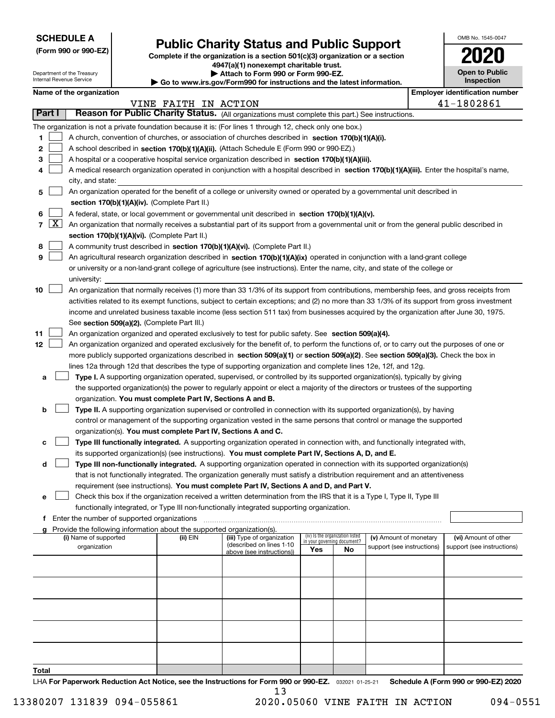| <b>SCHEDULE A</b> |
|-------------------|
|-------------------|

Department of the Treasury

**(Form 990 or 990-EZ)**

## **Public Charity Status and Public Support**

**Complete if the organization is a section 501(c)(3) organization or a section 4947(a)(1) nonexempt charitable trust.**

**| Attach to Form 990 or Form 990-EZ.** 

| OMB No. 1545-0047     |
|-----------------------|
| 2020                  |
|                       |
| <b>Open to Public</b> |

|               |                                                                                                  | Internal Revenue Service |                                               |                                                                                    | $\blacktriangleright$ Go to www.irs.gov/Form990 for instructions and the latest information.                                                               |                             |                                       |                            |  |  | <b>Inspection</b>          |
|---------------|--------------------------------------------------------------------------------------------------|--------------------------|-----------------------------------------------|------------------------------------------------------------------------------------|------------------------------------------------------------------------------------------------------------------------------------------------------------|-----------------------------|---------------------------------------|----------------------------|--|--|----------------------------|
|               |                                                                                                  | Name of the organization |                                               |                                                                                    |                                                                                                                                                            |                             | <b>Employer identification number</b> |                            |  |  |                            |
|               |                                                                                                  |                          |                                               | VINE FAITH IN ACTION                                                               |                                                                                                                                                            |                             |                                       |                            |  |  | 41-1802861                 |
| <b>Part I</b> |                                                                                                  |                          |                                               |                                                                                    | Reason for Public Charity Status. (All organizations must complete this part.) See instructions.                                                           |                             |                                       |                            |  |  |                            |
|               |                                                                                                  |                          |                                               |                                                                                    | The organization is not a private foundation because it is: (For lines 1 through 12, check only one box.)                                                  |                             |                                       |                            |  |  |                            |
| 1             |                                                                                                  |                          |                                               |                                                                                    | A church, convention of churches, or association of churches described in section 170(b)(1)(A)(i).                                                         |                             |                                       |                            |  |  |                            |
| 2             |                                                                                                  |                          |                                               |                                                                                    | A school described in section 170(b)(1)(A)(ii). (Attach Schedule E (Form 990 or 990-EZ).)                                                                  |                             |                                       |                            |  |  |                            |
| з             |                                                                                                  |                          |                                               |                                                                                    | A hospital or a cooperative hospital service organization described in section 170(b)(1)(A)(iii).                                                          |                             |                                       |                            |  |  |                            |
| 4             |                                                                                                  |                          |                                               |                                                                                    | A medical research organization operated in conjunction with a hospital described in section 170(b)(1)(A)(iii). Enter the hospital's name,                 |                             |                                       |                            |  |  |                            |
|               |                                                                                                  | city, and state:         |                                               |                                                                                    |                                                                                                                                                            |                             |                                       |                            |  |  |                            |
| 5             |                                                                                                  |                          |                                               |                                                                                    | An organization operated for the benefit of a college or university owned or operated by a governmental unit described in                                  |                             |                                       |                            |  |  |                            |
|               |                                                                                                  |                          |                                               | section 170(b)(1)(A)(iv). (Complete Part II.)                                      |                                                                                                                                                            |                             |                                       |                            |  |  |                            |
| 6             | A federal, state, or local government or governmental unit described in section 170(b)(1)(A)(v). |                          |                                               |                                                                                    |                                                                                                                                                            |                             |                                       |                            |  |  |                            |
|               |                                                                                                  |                          |                                               |                                                                                    | $7 \overline{X}$ An organization that normally receives a substantial part of its support from a governmental unit or from the general public described in |                             |                                       |                            |  |  |                            |
|               |                                                                                                  |                          |                                               | section 170(b)(1)(A)(vi). (Complete Part II.)                                      |                                                                                                                                                            |                             |                                       |                            |  |  |                            |
| 8             |                                                                                                  |                          |                                               |                                                                                    | A community trust described in section 170(b)(1)(A)(vi). (Complete Part II.)                                                                               |                             |                                       |                            |  |  |                            |
| 9             |                                                                                                  |                          |                                               |                                                                                    | An agricultural research organization described in section 170(b)(1)(A)(ix) operated in conjunction with a land-grant college                              |                             |                                       |                            |  |  |                            |
|               |                                                                                                  |                          |                                               |                                                                                    | or university or a non-land-grant college of agriculture (see instructions). Enter the name, city, and state of the college or                             |                             |                                       |                            |  |  |                            |
|               |                                                                                                  | university:              |                                               |                                                                                    |                                                                                                                                                            |                             |                                       |                            |  |  |                            |
| 10            |                                                                                                  |                          |                                               |                                                                                    | An organization that normally receives (1) more than 33 1/3% of its support from contributions, membership fees, and gross receipts from                   |                             |                                       |                            |  |  |                            |
|               |                                                                                                  |                          |                                               |                                                                                    | activities related to its exempt functions, subject to certain exceptions; and (2) no more than 33 1/3% of its support from gross investment               |                             |                                       |                            |  |  |                            |
|               |                                                                                                  |                          |                                               |                                                                                    | income and unrelated business taxable income (less section 511 tax) from businesses acquired by the organization after June 30, 1975.                      |                             |                                       |                            |  |  |                            |
|               |                                                                                                  |                          |                                               | See section 509(a)(2). (Complete Part III.)                                        |                                                                                                                                                            |                             |                                       |                            |  |  |                            |
| 11            |                                                                                                  |                          |                                               |                                                                                    | An organization organized and operated exclusively to test for public safety. See section 509(a)(4).                                                       |                             |                                       |                            |  |  |                            |
| 12            |                                                                                                  |                          |                                               |                                                                                    | An organization organized and operated exclusively for the benefit of, to perform the functions of, or to carry out the purposes of one or                 |                             |                                       |                            |  |  |                            |
|               |                                                                                                  |                          |                                               |                                                                                    | more publicly supported organizations described in section 509(a)(1) or section 509(a)(2). See section 509(a)(3). Check the box in                         |                             |                                       |                            |  |  |                            |
|               |                                                                                                  |                          |                                               |                                                                                    | lines 12a through 12d that describes the type of supporting organization and complete lines 12e, 12f, and 12g.                                             |                             |                                       |                            |  |  |                            |
| а             |                                                                                                  |                          |                                               |                                                                                    | Type I. A supporting organization operated, supervised, or controlled by its supported organization(s), typically by giving                                |                             |                                       |                            |  |  |                            |
|               |                                                                                                  |                          |                                               |                                                                                    | the supported organization(s) the power to regularly appoint or elect a majority of the directors or trustees of the supporting                            |                             |                                       |                            |  |  |                            |
|               |                                                                                                  |                          |                                               | organization. You must complete Part IV, Sections A and B.                         |                                                                                                                                                            |                             |                                       |                            |  |  |                            |
| b             |                                                                                                  |                          |                                               |                                                                                    | Type II. A supporting organization supervised or controlled in connection with its supported organization(s), by having                                    |                             |                                       |                            |  |  |                            |
|               |                                                                                                  |                          |                                               |                                                                                    | control or management of the supporting organization vested in the same persons that control or manage the supported                                       |                             |                                       |                            |  |  |                            |
|               |                                                                                                  |                          |                                               | organization(s). You must complete Part IV, Sections A and C.                      |                                                                                                                                                            |                             |                                       |                            |  |  |                            |
| с             |                                                                                                  |                          |                                               |                                                                                    | Type III functionally integrated. A supporting organization operated in connection with, and functionally integrated with,                                 |                             |                                       |                            |  |  |                            |
|               |                                                                                                  |                          |                                               |                                                                                    | its supported organization(s) (see instructions). You must complete Part IV, Sections A, D, and E.                                                         |                             |                                       |                            |  |  |                            |
| d             |                                                                                                  |                          |                                               |                                                                                    | Type III non-functionally integrated. A supporting organization operated in connection with its supported organization(s)                                  |                             |                                       |                            |  |  |                            |
|               |                                                                                                  |                          |                                               |                                                                                    | that is not functionally integrated. The organization generally must satisfy a distribution requirement and an attentiveness                               |                             |                                       |                            |  |  |                            |
|               |                                                                                                  |                          |                                               |                                                                                    | requirement (see instructions). You must complete Part IV, Sections A and D, and Part V.                                                                   |                             |                                       |                            |  |  |                            |
| е             |                                                                                                  |                          |                                               |                                                                                    | Check this box if the organization received a written determination from the IRS that it is a Type I, Type II, Type III                                    |                             |                                       |                            |  |  |                            |
|               |                                                                                                  |                          |                                               |                                                                                    | functionally integrated, or Type III non-functionally integrated supporting organization.                                                                  |                             |                                       |                            |  |  |                            |
|               |                                                                                                  |                          | f Enter the number of supported organizations |                                                                                    |                                                                                                                                                            |                             |                                       |                            |  |  |                            |
|               |                                                                                                  | (i) Name of supported    |                                               | Provide the following information about the supported organization(s).<br>(ii) EIN | (iii) Type of organization                                                                                                                                 |                             | (iv) Is the organization listed       | (v) Amount of monetary     |  |  | (vi) Amount of other       |
|               |                                                                                                  | organization             |                                               |                                                                                    | (described on lines 1-10                                                                                                                                   | in your governing document? |                                       | support (see instructions) |  |  | support (see instructions) |
|               |                                                                                                  |                          |                                               |                                                                                    | above (see instructions))                                                                                                                                  | Yes                         | <b>No</b>                             |                            |  |  |                            |
|               |                                                                                                  |                          |                                               |                                                                                    |                                                                                                                                                            |                             |                                       |                            |  |  |                            |
|               |                                                                                                  |                          |                                               |                                                                                    |                                                                                                                                                            |                             |                                       |                            |  |  |                            |
|               |                                                                                                  |                          |                                               |                                                                                    |                                                                                                                                                            |                             |                                       |                            |  |  |                            |
|               |                                                                                                  |                          |                                               |                                                                                    |                                                                                                                                                            |                             |                                       |                            |  |  |                            |
|               |                                                                                                  |                          |                                               |                                                                                    |                                                                                                                                                            |                             |                                       |                            |  |  |                            |
|               |                                                                                                  |                          |                                               |                                                                                    |                                                                                                                                                            |                             |                                       |                            |  |  |                            |
|               |                                                                                                  |                          |                                               |                                                                                    |                                                                                                                                                            |                             |                                       |                            |  |  |                            |
|               |                                                                                                  |                          |                                               |                                                                                    |                                                                                                                                                            |                             |                                       |                            |  |  |                            |
|               |                                                                                                  |                          |                                               |                                                                                    |                                                                                                                                                            |                             |                                       |                            |  |  |                            |
|               |                                                                                                  |                          |                                               |                                                                                    |                                                                                                                                                            |                             |                                       |                            |  |  |                            |
| Total         |                                                                                                  |                          |                                               |                                                                                    |                                                                                                                                                            |                             |                                       |                            |  |  |                            |

LHA For Paperwork Reduction Act Notice, see the Instructions for Form 990 or 990-EZ. <sub>032021</sub> o1-25-21 Schedule A (Form 990 or 990-EZ) 2020 13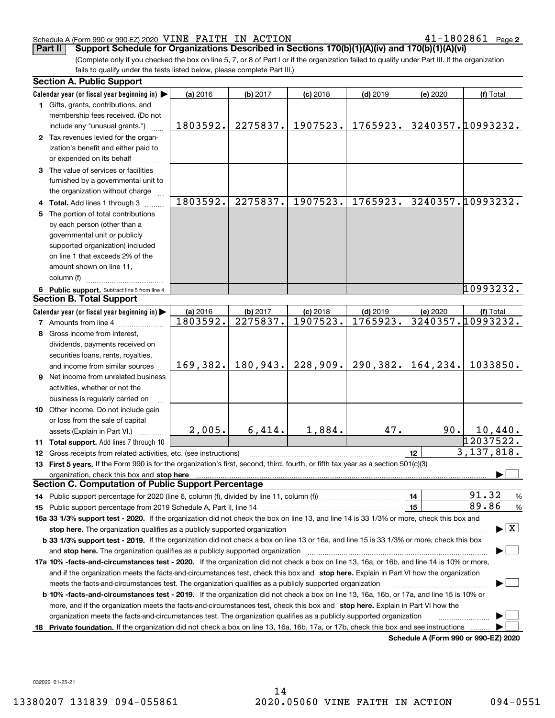#### Schedule A (Form 990 or 990-EZ) 2020 <code>VINE FAITH IN ACTION</code>  $41\text{--}1802861$  <code>Page</code>

41-1802861 Page 2

(Complete only if you checked the box on line 5, 7, or 8 of Part I or if the organization failed to qualify under Part III. If the organization fails to qualify under the tests listed below, please complete Part III.) **Part II Support Schedule for Organizations Described in Sections 170(b)(1)(A)(iv) and 170(b)(1)(A)(vi)**

|    | <b>Section A. Public Support</b>                                                                                                               |           |          |            |            |          |                                          |  |  |  |  |
|----|------------------------------------------------------------------------------------------------------------------------------------------------|-----------|----------|------------|------------|----------|------------------------------------------|--|--|--|--|
|    | Calendar year (or fiscal year beginning in)                                                                                                    | (a) 2016  | (b) 2017 | $(c)$ 2018 | $(d)$ 2019 | (e) 2020 | (f) Total                                |  |  |  |  |
|    | 1 Gifts, grants, contributions, and                                                                                                            |           |          |            |            |          |                                          |  |  |  |  |
|    | membership fees received. (Do not                                                                                                              |           |          |            |            |          |                                          |  |  |  |  |
|    | include any "unusual grants.")                                                                                                                 | 1803592.  | 2275837. | 1907523.   | 1765923.   |          | 3240357.10993232.                        |  |  |  |  |
|    | 2 Tax revenues levied for the organ-                                                                                                           |           |          |            |            |          |                                          |  |  |  |  |
|    | ization's benefit and either paid to                                                                                                           |           |          |            |            |          |                                          |  |  |  |  |
|    | or expended on its behalf                                                                                                                      |           |          |            |            |          |                                          |  |  |  |  |
|    | 3 The value of services or facilities                                                                                                          |           |          |            |            |          |                                          |  |  |  |  |
|    | furnished by a governmental unit to                                                                                                            |           |          |            |            |          |                                          |  |  |  |  |
|    | the organization without charge                                                                                                                |           |          |            |            |          |                                          |  |  |  |  |
|    | 4 Total. Add lines 1 through 3                                                                                                                 | 1803592.  | 2275837. | 1907523.   | 1765923.   |          | 3240357.10993232.                        |  |  |  |  |
|    | 5 The portion of total contributions                                                                                                           |           |          |            |            |          |                                          |  |  |  |  |
|    | by each person (other than a                                                                                                                   |           |          |            |            |          |                                          |  |  |  |  |
|    | governmental unit or publicly                                                                                                                  |           |          |            |            |          |                                          |  |  |  |  |
|    | supported organization) included                                                                                                               |           |          |            |            |          |                                          |  |  |  |  |
|    | on line 1 that exceeds 2% of the                                                                                                               |           |          |            |            |          |                                          |  |  |  |  |
|    | amount shown on line 11,                                                                                                                       |           |          |            |            |          |                                          |  |  |  |  |
|    | column (f)                                                                                                                                     |           |          |            |            |          |                                          |  |  |  |  |
|    | 6 Public support. Subtract line 5 from line 4.                                                                                                 |           |          |            |            |          | 10993232.                                |  |  |  |  |
|    | <b>Section B. Total Support</b>                                                                                                                |           |          |            |            |          |                                          |  |  |  |  |
|    | Calendar year (or fiscal year beginning in)                                                                                                    | (a) 2016  | (b) 2017 | $(c)$ 2018 | $(d)$ 2019 | (e) 2020 | (f) Total                                |  |  |  |  |
|    | <b>7</b> Amounts from line 4                                                                                                                   | 1803592.  | 2275837. | 1907523.   | 1765923.   |          | 3240357.10993232.                        |  |  |  |  |
|    | 8 Gross income from interest,                                                                                                                  |           |          |            |            |          |                                          |  |  |  |  |
|    |                                                                                                                                                |           |          |            |            |          |                                          |  |  |  |  |
|    | dividends, payments received on                                                                                                                |           |          |            |            |          |                                          |  |  |  |  |
|    | securities loans, rents, royalties,<br>180,943.<br>228,909.<br>290,382.<br>164,234.                                                            |           |          |            |            |          |                                          |  |  |  |  |
|    | and income from similar sources                                                                                                                | 169, 382. |          |            |            |          | 1033850.                                 |  |  |  |  |
|    | 9 Net income from unrelated business                                                                                                           |           |          |            |            |          |                                          |  |  |  |  |
|    | activities, whether or not the                                                                                                                 |           |          |            |            |          |                                          |  |  |  |  |
|    | business is regularly carried on                                                                                                               |           |          |            |            |          |                                          |  |  |  |  |
|    | 10 Other income. Do not include gain                                                                                                           |           |          |            |            |          |                                          |  |  |  |  |
|    | or loss from the sale of capital                                                                                                               |           |          |            |            |          |                                          |  |  |  |  |
|    | assets (Explain in Part VI.)                                                                                                                   | 2,005.    | 6,414.   | 1,884.     | 47.        | 90.      | 10,440.                                  |  |  |  |  |
|    | 11 Total support. Add lines 7 through 10                                                                                                       |           |          |            |            |          | 12037522.                                |  |  |  |  |
|    | 12 Gross receipts from related activities, etc. (see instructions)                                                                             |           |          |            |            | 12       | 3, 137, 818.                             |  |  |  |  |
|    | 13 First 5 years. If the Form 990 is for the organization's first, second, third, fourth, or fifth tax year as a section 501(c)(3)             |           |          |            |            |          |                                          |  |  |  |  |
|    | organization, check this box and stop here                                                                                                     |           |          |            |            |          |                                          |  |  |  |  |
|    | <b>Section C. Computation of Public Support Percentage</b>                                                                                     |           |          |            |            |          |                                          |  |  |  |  |
|    |                                                                                                                                                |           |          |            |            | 14       | 91.32<br>%                               |  |  |  |  |
|    |                                                                                                                                                |           |          |            |            | 15       | 89.86<br>$\%$                            |  |  |  |  |
|    | 16a 33 1/3% support test - 2020. If the organization did not check the box on line 13, and line 14 is 33 1/3% or more, check this box and      |           |          |            |            |          |                                          |  |  |  |  |
|    | stop here. The organization qualifies as a publicly supported organization                                                                     |           |          |            |            |          | $\blacktriangleright$ $\boxed{\text{X}}$ |  |  |  |  |
|    | b 33 1/3% support test - 2019. If the organization did not check a box on line 13 or 16a, and line 15 is 33 1/3% or more, check this box       |           |          |            |            |          |                                          |  |  |  |  |
|    | and stop here. The organization qualifies as a publicly supported organization                                                                 |           |          |            |            |          |                                          |  |  |  |  |
|    | 17a 10% -facts-and-circumstances test - 2020. If the organization did not check a box on line 13, 16a, or 16b, and line 14 is 10% or more,     |           |          |            |            |          |                                          |  |  |  |  |
|    | and if the organization meets the facts-and-circumstances test, check this box and stop here. Explain in Part VI how the organization          |           |          |            |            |          |                                          |  |  |  |  |
|    | meets the facts-and-circumstances test. The organization qualifies as a publicly supported organization                                        |           |          |            |            |          |                                          |  |  |  |  |
|    | <b>b 10% -facts-and-circumstances test - 2019.</b> If the organization did not check a box on line 13, 16a, 16b, or 17a, and line 15 is 10% or |           |          |            |            |          |                                          |  |  |  |  |
|    | more, and if the organization meets the facts-and-circumstances test, check this box and stop here. Explain in Part VI how the                 |           |          |            |            |          |                                          |  |  |  |  |
|    | organization meets the facts-and-circumstances test. The organization qualifies as a publicly supported organization                           |           |          |            |            |          |                                          |  |  |  |  |
| 18 | Private foundation. If the organization did not check a box on line 13, 16a, 16b, 17a, or 17b, check this box and see instructions             |           |          |            |            |          |                                          |  |  |  |  |
|    |                                                                                                                                                |           |          |            |            |          | Schedule A (Form 990 or 990-F7) 2020     |  |  |  |  |

**Schedule A (Form 990 or 990-EZ) 2020**

032022 01-25-21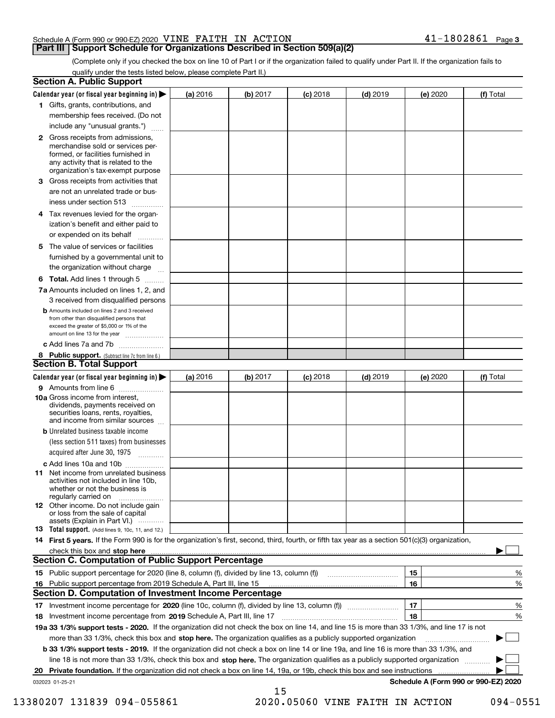#### Schedule A (Form 990 or 990-EZ) 2020 <code>VINE FAITH IN ACTION</code>  $41\text{--}1802861$  <code>Page</code>

#### **Part III Support Schedule for Organizations Described in Section 509(a)(2)**

**3**

(Complete only if you checked the box on line 10 of Part I or if the organization failed to qualify under Part II. If the organization fails to qualify under the tests listed below, please complete Part II.)

|     | <b>Section A. Public Support</b>                                                                                                                                                                                               |          |          |                 |            |          |                                      |
|-----|--------------------------------------------------------------------------------------------------------------------------------------------------------------------------------------------------------------------------------|----------|----------|-----------------|------------|----------|--------------------------------------|
|     | Calendar year (or fiscal year beginning in) $\blacktriangleright$                                                                                                                                                              | (a) 2016 | (b) 2017 | <b>(c)</b> 2018 | $(d)$ 2019 | (e) 2020 | (f) Total                            |
|     | 1 Gifts, grants, contributions, and                                                                                                                                                                                            |          |          |                 |            |          |                                      |
|     | membership fees received. (Do not                                                                                                                                                                                              |          |          |                 |            |          |                                      |
|     | include any "unusual grants.")                                                                                                                                                                                                 |          |          |                 |            |          |                                      |
|     | <b>2</b> Gross receipts from admissions,<br>merchandise sold or services per-<br>formed, or facilities furnished in<br>any activity that is related to the<br>organization's tax-exempt purpose                                |          |          |                 |            |          |                                      |
|     | 3 Gross receipts from activities that<br>are not an unrelated trade or bus-                                                                                                                                                    |          |          |                 |            |          |                                      |
|     | iness under section 513                                                                                                                                                                                                        |          |          |                 |            |          |                                      |
|     | 4 Tax revenues levied for the organ-<br>ization's benefit and either paid to<br>or expended on its behalf<br>.                                                                                                                 |          |          |                 |            |          |                                      |
|     | 5 The value of services or facilities<br>furnished by a governmental unit to                                                                                                                                                   |          |          |                 |            |          |                                      |
|     | the organization without charge                                                                                                                                                                                                |          |          |                 |            |          |                                      |
|     | <b>6 Total.</b> Add lines 1 through 5 $\dots$                                                                                                                                                                                  |          |          |                 |            |          |                                      |
|     | 7a Amounts included on lines 1, 2, and<br>3 received from disqualified persons                                                                                                                                                 |          |          |                 |            |          |                                      |
|     | <b>b</b> Amounts included on lines 2 and 3 received<br>from other than disqualified persons that<br>exceed the greater of \$5,000 or 1% of the<br>amount on line 13 for the year                                               |          |          |                 |            |          |                                      |
|     | c Add lines 7a and 7b                                                                                                                                                                                                          |          |          |                 |            |          |                                      |
|     | 8 Public support. (Subtract line 7c from line 6.)                                                                                                                                                                              |          |          |                 |            |          |                                      |
|     | <b>Section B. Total Support</b>                                                                                                                                                                                                |          |          |                 |            |          |                                      |
|     | Calendar year (or fiscal year beginning in)                                                                                                                                                                                    | (a) 2016 | (b) 2017 | <b>(c)</b> 2018 | $(d)$ 2019 | (e) 2020 | (f) Total                            |
|     | 9 Amounts from line 6                                                                                                                                                                                                          |          |          |                 |            |          |                                      |
|     | 10a Gross income from interest,<br>dividends, payments received on<br>securities loans, rents, royalties,<br>and income from similar sources                                                                                   |          |          |                 |            |          |                                      |
|     | <b>b</b> Unrelated business taxable income<br>(less section 511 taxes) from businesses<br>acquired after June 30, 1975 [10001]                                                                                                 |          |          |                 |            |          |                                      |
|     | c Add lines 10a and 10b                                                                                                                                                                                                        |          |          |                 |            |          |                                      |
|     | 11 Net income from unrelated business<br>activities not included in line 10b,<br>whether or not the business is<br>regularly carried on                                                                                        |          |          |                 |            |          |                                      |
|     | <b>12</b> Other income. Do not include gain<br>or loss from the sale of capital<br>assets (Explain in Part VI.)                                                                                                                |          |          |                 |            |          |                                      |
|     | 13 Total support. (Add lines 9, 10c, 11, and 12.)                                                                                                                                                                              |          |          |                 |            |          |                                      |
|     | 14 First 5 years. If the Form 990 is for the organization's first, second, third, fourth, or fifth tax year as a section 501(c)(3) organization,                                                                               |          |          |                 |            |          |                                      |
|     | check this box and stop here measurements and content to the state of the state of the state of the state of the state of the state of the state of the state of the state of the state of the state of the state of the state |          |          |                 |            |          |                                      |
|     | <b>Section C. Computation of Public Support Percentage</b>                                                                                                                                                                     |          |          |                 |            |          |                                      |
|     |                                                                                                                                                                                                                                |          |          |                 |            | 15       | %                                    |
| 16. | Public support percentage from 2019 Schedule A, Part III, line 15                                                                                                                                                              |          |          |                 |            | 16       | %                                    |
|     | <b>Section D. Computation of Investment Income Percentage</b>                                                                                                                                                                  |          |          |                 |            |          |                                      |
|     | 17 Investment income percentage for 2020 (line 10c, column (f), divided by line 13, column (f))                                                                                                                                |          |          |                 |            | 17       | %                                    |
|     | 18 Investment income percentage from 2019 Schedule A, Part III, line 17                                                                                                                                                        |          |          |                 |            | 18       | %                                    |
|     | 19a 33 1/3% support tests - 2020. If the organization did not check the box on line 14, and line 15 is more than 33 1/3%, and line 17 is not                                                                                   |          |          |                 |            |          |                                      |
|     | more than 33 1/3%, check this box and stop here. The organization qualifies as a publicly supported organization                                                                                                               |          |          |                 |            |          | $\sim$ 1                             |
|     | b 33 1/3% support tests - 2019. If the organization did not check a box on line 14 or line 19a, and line 16 is more than 33 1/3%, and                                                                                          |          |          |                 |            |          |                                      |
|     | line 18 is not more than 33 1/3%, check this box and stop here. The organization qualifies as a publicly supported organization                                                                                                |          |          |                 |            |          |                                      |
| 20  | Private foundation. If the organization did not check a box on line 14, 19a, or 19b, check this box and see instructions                                                                                                       |          |          |                 |            |          |                                      |
|     | 032023 01-25-21                                                                                                                                                                                                                |          | 15       |                 |            |          | Schedule A (Form 990 or 990-EZ) 2020 |

13380207 131839 094-055861 2020.05060 VINE FAITH IN ACTION 094-0551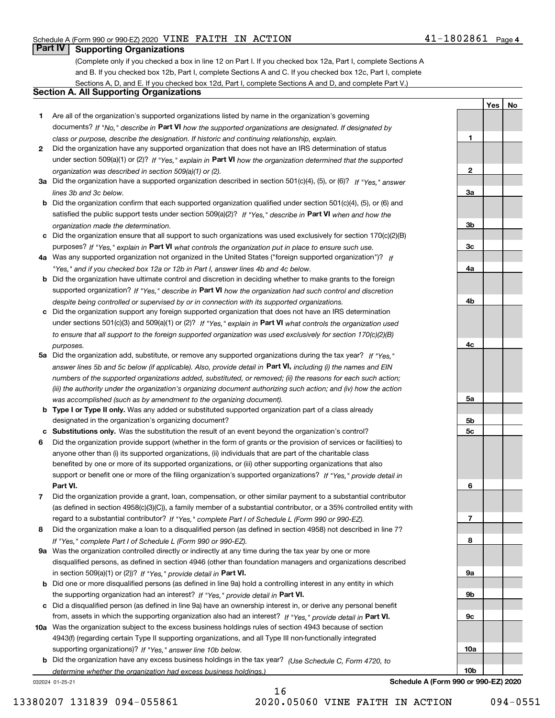**1**

**2**

**3a**

**YesNo**

#### **Part IV Supporting Organizations**

(Complete only if you checked a box in line 12 on Part I. If you checked box 12a, Part I, complete Sections A and B. If you checked box 12b, Part I, complete Sections A and C. If you checked box 12c, Part I, complete Sections A, D, and E. If you checked box 12d, Part I, complete Sections A and D, and complete Part V.)

#### **Section A. All Supporting Organizations**

- **1** Are all of the organization's supported organizations listed by name in the organization's governing documents? If "No," describe in **Part VI** how the supported organizations are designated. If designated by *class or purpose, describe the designation. If historic and continuing relationship, explain.*
- **2** Did the organization have any supported organization that does not have an IRS determination of status under section 509(a)(1) or (2)? If "Yes," explain in Part VI how the organization determined that the supported *organization was described in section 509(a)(1) or (2).*
- **3a** Did the organization have a supported organization described in section 501(c)(4), (5), or (6)? If "Yes," answer *lines 3b and 3c below.*
- **b** Did the organization confirm that each supported organization qualified under section 501(c)(4), (5), or (6) and satisfied the public support tests under section 509(a)(2)? If "Yes," describe in **Part VI** when and how the *organization made the determination.*
- **c**Did the organization ensure that all support to such organizations was used exclusively for section 170(c)(2)(B) purposes? If "Yes," explain in **Part VI** what controls the organization put in place to ensure such use.
- **4a***If* Was any supported organization not organized in the United States ("foreign supported organization")? *"Yes," and if you checked box 12a or 12b in Part I, answer lines 4b and 4c below.*
- **b** Did the organization have ultimate control and discretion in deciding whether to make grants to the foreign supported organization? If "Yes," describe in **Part VI** how the organization had such control and discretion *despite being controlled or supervised by or in connection with its supported organizations.*
- **c** Did the organization support any foreign supported organization that does not have an IRS determination under sections 501(c)(3) and 509(a)(1) or (2)? If "Yes," explain in **Part VI** what controls the organization used *to ensure that all support to the foreign supported organization was used exclusively for section 170(c)(2)(B) purposes.*
- **5a** Did the organization add, substitute, or remove any supported organizations during the tax year? If "Yes," answer lines 5b and 5c below (if applicable). Also, provide detail in **Part VI,** including (i) the names and EIN *numbers of the supported organizations added, substituted, or removed; (ii) the reasons for each such action; (iii) the authority under the organization's organizing document authorizing such action; and (iv) how the action was accomplished (such as by amendment to the organizing document).*
- **b** Type I or Type II only. Was any added or substituted supported organization part of a class already designated in the organization's organizing document?
- **cSubstitutions only.**  Was the substitution the result of an event beyond the organization's control?
- **6** Did the organization provide support (whether in the form of grants or the provision of services or facilities) to **Part VI.** *If "Yes," provide detail in* support or benefit one or more of the filing organization's supported organizations? anyone other than (i) its supported organizations, (ii) individuals that are part of the charitable class benefited by one or more of its supported organizations, or (iii) other supporting organizations that also
- **7**Did the organization provide a grant, loan, compensation, or other similar payment to a substantial contributor *If "Yes," complete Part I of Schedule L (Form 990 or 990-EZ).* regard to a substantial contributor? (as defined in section 4958(c)(3)(C)), a family member of a substantial contributor, or a 35% controlled entity with
- **8** Did the organization make a loan to a disqualified person (as defined in section 4958) not described in line 7? *If "Yes," complete Part I of Schedule L (Form 990 or 990-EZ).*
- **9a** Was the organization controlled directly or indirectly at any time during the tax year by one or more in section 509(a)(1) or (2))? If "Yes," *provide detail in* <code>Part VI.</code> disqualified persons, as defined in section 4946 (other than foundation managers and organizations described
- **b** Did one or more disqualified persons (as defined in line 9a) hold a controlling interest in any entity in which the supporting organization had an interest? If "Yes," provide detail in P**art VI**.
- **c**Did a disqualified person (as defined in line 9a) have an ownership interest in, or derive any personal benefit from, assets in which the supporting organization also had an interest? If "Yes," provide detail in P**art VI.**
- **10a** Was the organization subject to the excess business holdings rules of section 4943 because of section supporting organizations)? If "Yes," answer line 10b below. 4943(f) (regarding certain Type II supporting organizations, and all Type III non-functionally integrated
- **b** Did the organization have any excess business holdings in the tax year? (Use Schedule C, Form 4720, to *determine whether the organization had excess business holdings.)*

032024 01-25-21



16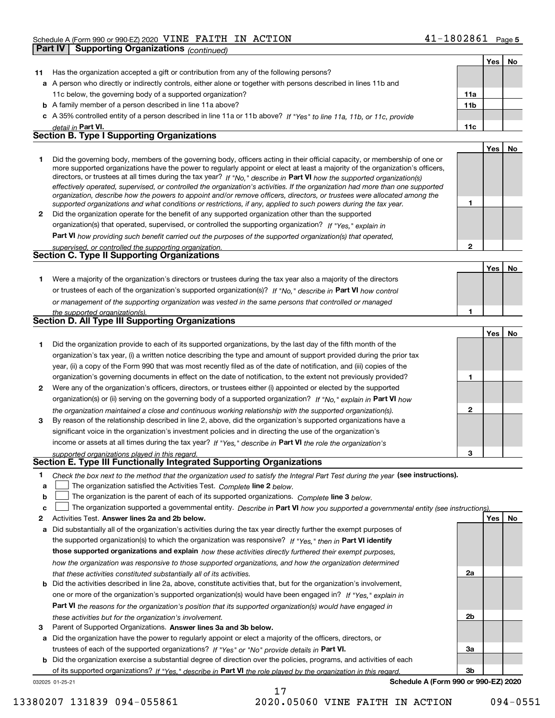|    | <b>Part IV</b> | <b>Supporting Organizations</b> (continued)                                                                                                                                                                                                                |              |     |    |
|----|----------------|------------------------------------------------------------------------------------------------------------------------------------------------------------------------------------------------------------------------------------------------------------|--------------|-----|----|
|    |                |                                                                                                                                                                                                                                                            |              | Yes | No |
| 11 |                | Has the organization accepted a gift or contribution from any of the following persons?                                                                                                                                                                    |              |     |    |
|    |                | a A person who directly or indirectly controls, either alone or together with persons described in lines 11b and                                                                                                                                           |              |     |    |
|    |                | 11c below, the governing body of a supported organization?                                                                                                                                                                                                 | 11a          |     |    |
|    |                | <b>b</b> A family member of a person described in line 11a above?                                                                                                                                                                                          | 11b          |     |    |
|    |                | c A 35% controlled entity of a person described in line 11a or 11b above? If "Yes" to line 11a, 11b, or 11c, provide                                                                                                                                       |              |     |    |
|    |                | detail in Part VI.                                                                                                                                                                                                                                         | 11c          |     |    |
|    |                | <b>Section B. Type I Supporting Organizations</b>                                                                                                                                                                                                          |              |     |    |
|    |                |                                                                                                                                                                                                                                                            |              | Yes | No |
| 1  |                | Did the governing body, members of the governing body, officers acting in their official capacity, or membership of one or                                                                                                                                 |              |     |    |
|    |                | more supported organizations have the power to regularly appoint or elect at least a majority of the organization's officers,                                                                                                                              |              |     |    |
|    |                | directors, or trustees at all times during the tax year? If "No," describe in Part VI how the supported organization(s)                                                                                                                                    |              |     |    |
|    |                | effectively operated, supervised, or controlled the organization's activities. If the organization had more than one supported<br>organization, describe how the powers to appoint and/or remove officers, directors, or trustees were allocated among the |              |     |    |
|    |                | supported organizations and what conditions or restrictions, if any, applied to such powers during the tax year.                                                                                                                                           | 1            |     |    |
| 2  |                | Did the organization operate for the benefit of any supported organization other than the supported                                                                                                                                                        |              |     |    |
|    |                | organization(s) that operated, supervised, or controlled the supporting organization? If "Yes," explain in                                                                                                                                                 |              |     |    |
|    |                | <b>Part VI</b> how providing such benefit carried out the purposes of the supported organization(s) that operated,                                                                                                                                         |              |     |    |
|    |                | supervised, or controlled the supporting organization.                                                                                                                                                                                                     | $\mathbf{2}$ |     |    |
|    |                | <b>Section C. Type II Supporting Organizations</b>                                                                                                                                                                                                         |              |     |    |
|    |                |                                                                                                                                                                                                                                                            |              | Yes | No |
| 1. |                | Were a majority of the organization's directors or trustees during the tax year also a majority of the directors                                                                                                                                           |              |     |    |
|    |                | or trustees of each of the organization's supported organization(s)? If "No," describe in Part VI how control                                                                                                                                              |              |     |    |
|    |                | or management of the supporting organization was vested in the same persons that controlled or managed                                                                                                                                                     |              |     |    |
|    |                | the supported organization(s).                                                                                                                                                                                                                             | 1            |     |    |
|    |                | Section D. All Type III Supporting Organizations                                                                                                                                                                                                           |              |     |    |
|    |                |                                                                                                                                                                                                                                                            |              | Yes | No |
| 1. |                | Did the organization provide to each of its supported organizations, by the last day of the fifth month of the                                                                                                                                             |              |     |    |
|    |                | organization's tax year, (i) a written notice describing the type and amount of support provided during the prior tax                                                                                                                                      |              |     |    |
|    |                | year, (ii) a copy of the Form 990 that was most recently filed as of the date of notification, and (iii) copies of the                                                                                                                                     |              |     |    |
|    |                | organization's governing documents in effect on the date of notification, to the extent not previously provided?                                                                                                                                           | 1            |     |    |
| 2  |                | Were any of the organization's officers, directors, or trustees either (i) appointed or elected by the supported                                                                                                                                           |              |     |    |
|    |                | organization(s) or (ii) serving on the governing body of a supported organization? If "No," explain in Part VI how                                                                                                                                         |              |     |    |
|    |                | the organization maintained a close and continuous working relationship with the supported organization(s).                                                                                                                                                | 2            |     |    |
| 3  |                | By reason of the relationship described in line 2, above, did the organization's supported organizations have a                                                                                                                                            |              |     |    |
|    |                | significant voice in the organization's investment policies and in directing the use of the organization's                                                                                                                                                 |              |     |    |
|    |                | income or assets at all times during the tax year? If "Yes," describe in Part VI the role the organization's                                                                                                                                               |              |     |    |
|    |                | supported organizations played in this regard.                                                                                                                                                                                                             | 3            |     |    |
|    |                | Section E. Type III Functionally Integrated Supporting Organizations                                                                                                                                                                                       |              |     |    |
| 1  |                | Check the box next to the method that the organization used to satisfy the Integral Part Test during the year (see instructions).                                                                                                                          |              |     |    |
| a  |                | The organization satisfied the Activities Test. Complete line 2 below.                                                                                                                                                                                     |              |     |    |
| b  |                | The organization is the parent of each of its supported organizations. Complete line 3 below.                                                                                                                                                              |              |     |    |
| c  |                | The organization supported a governmental entity. Describe in Part VI how you supported a governmental entity (see instructions).                                                                                                                          |              |     |    |
| 2  |                | Activities Test. Answer lines 2a and 2b below.                                                                                                                                                                                                             |              | Yes | No |
| a  |                | Did substantially all of the organization's activities during the tax year directly further the exempt purposes of                                                                                                                                         |              |     |    |
|    |                | the supported organization(s) to which the organization was responsive? If "Yes," then in Part VI identify                                                                                                                                                 |              |     |    |
|    |                | those supported organizations and explain how these activities directly furthered their exempt purposes,                                                                                                                                                   |              |     |    |
|    |                | how the organization was responsive to those supported organizations, and how the organization determined                                                                                                                                                  |              |     |    |
|    |                | that these activities constituted substantially all of its activities.                                                                                                                                                                                     | 2a           |     |    |

| <b>b</b> Did the activities described in line 2a, above, constitute activities that, but for the organization's involvement, |
|------------------------------------------------------------------------------------------------------------------------------|
| one or more of the organization's supported organization(s) would have been engaged in? If "Yes." explain in                 |
| <b>Part VI</b> the reasons for the organization's position that its supported organization(s) would have engaged in          |
| these activities but for the organization's involvement.                                                                     |

**3** Parent of Supported Organizations. Answer lines 3a and 3b below.

**a** Did the organization have the power to regularly appoint or elect a majority of the officers, directors, or trustees of each of the supported organizations? If "Yes" or "No" provide details in **Part VI.** 

**b** Did the organization exercise a substantial degree of direction over the policies, programs, and activities of each of its supported organizations? If "Yes," describe in Part VI the role played by the organization in this regard.

17

032025 01-25-21

**Schedule A (Form 990 or 990-EZ) 2020**

**2b**

**3a**

**3b**

13380207 131839 094-055861 2020.05060 VINE FAITH IN ACTION 094-0551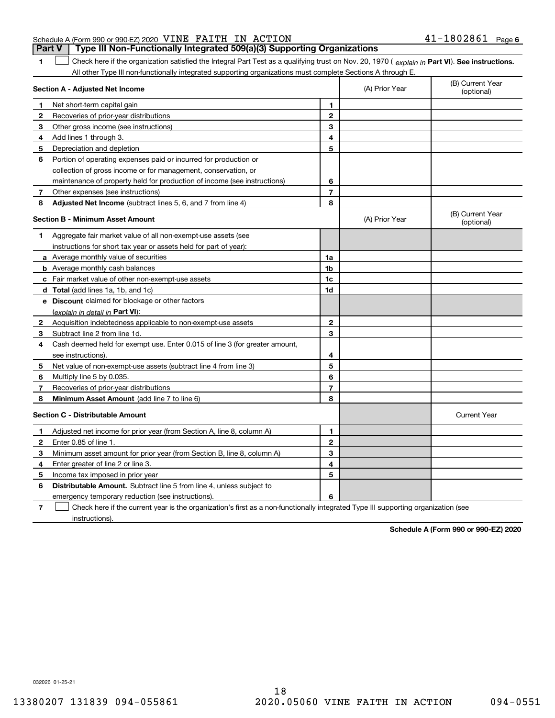#### Schedule A (Form 990 or 990-EZ) 2020 <code>VINE FAITH IN ACTION</code>  $41\text{--}1802861$  <code>Page</code> **Part V Type III Non-Functionally Integrated 509(a)(3) Supporting Organizations**

1 Check here if the organization satisfied the Integral Part Test as a qualifying trust on Nov. 20, 1970 (explain in Part VI). See instructions. All other Type III non-functionally integrated supporting organizations must complete Sections A through E.

|              | Section A - Adjusted Net Income                                                                                                   | (A) Prior Year | (B) Current Year<br>(optional) |                                |
|--------------|-----------------------------------------------------------------------------------------------------------------------------------|----------------|--------------------------------|--------------------------------|
| 1.           | Net short-term capital gain                                                                                                       | 1              |                                |                                |
| 2            | Recoveries of prior-year distributions                                                                                            | $\mathbf{2}$   |                                |                                |
| з            | Other gross income (see instructions)                                                                                             | 3              |                                |                                |
| 4            | Add lines 1 through 3.                                                                                                            | 4              |                                |                                |
| 5            | Depreciation and depletion                                                                                                        | 5              |                                |                                |
| 6            | Portion of operating expenses paid or incurred for production or                                                                  |                |                                |                                |
|              | collection of gross income or for management, conservation, or                                                                    |                |                                |                                |
|              | maintenance of property held for production of income (see instructions)                                                          | 6              |                                |                                |
| 7            | Other expenses (see instructions)                                                                                                 | $\overline{7}$ |                                |                                |
| 8            | Adjusted Net Income (subtract lines 5, 6, and 7 from line 4)                                                                      | 8              |                                |                                |
|              | <b>Section B - Minimum Asset Amount</b>                                                                                           |                | (A) Prior Year                 | (B) Current Year<br>(optional) |
| 1.           | Aggregate fair market value of all non-exempt-use assets (see                                                                     |                |                                |                                |
|              | instructions for short tax year or assets held for part of year):                                                                 |                |                                |                                |
|              | a Average monthly value of securities                                                                                             | 1a             |                                |                                |
|              | <b>b</b> Average monthly cash balances                                                                                            | 1b             |                                |                                |
|              | c Fair market value of other non-exempt-use assets                                                                                | 1c             |                                |                                |
|              | d Total (add lines 1a, 1b, and 1c)                                                                                                | 1d             |                                |                                |
|              | e Discount claimed for blockage or other factors                                                                                  |                |                                |                                |
|              | (explain in detail in Part VI):                                                                                                   |                |                                |                                |
| $\mathbf{2}$ | Acquisition indebtedness applicable to non-exempt-use assets                                                                      | $\mathbf{2}$   |                                |                                |
| 3            | Subtract line 2 from line 1d.                                                                                                     | 3              |                                |                                |
| 4            | Cash deemed held for exempt use. Enter 0.015 of line 3 (for greater amount,                                                       |                |                                |                                |
|              | see instructions).                                                                                                                | 4              |                                |                                |
| 5            | Net value of non-exempt-use assets (subtract line 4 from line 3)                                                                  | 5              |                                |                                |
| 6            | Multiply line 5 by 0.035.                                                                                                         | 6              |                                |                                |
| 7            | Recoveries of prior-year distributions                                                                                            | $\overline{7}$ |                                |                                |
| 8            | Minimum Asset Amount (add line 7 to line 6)                                                                                       | 8              |                                |                                |
|              | <b>Section C - Distributable Amount</b>                                                                                           |                |                                | <b>Current Year</b>            |
| 1            | Adjusted net income for prior year (from Section A, line 8, column A)                                                             | 1              |                                |                                |
| 2            | Enter 0.85 of line 1.                                                                                                             | $\mathbf{2}$   |                                |                                |
| з            | Minimum asset amount for prior year (from Section B, line 8, column A)                                                            | 3              |                                |                                |
| 4            | Enter greater of line 2 or line 3.                                                                                                | 4              |                                |                                |
| 5            | Income tax imposed in prior year                                                                                                  | 5              |                                |                                |
| 6            | <b>Distributable Amount.</b> Subtract line 5 from line 4, unless subject to                                                       |                |                                |                                |
|              | emergency temporary reduction (see instructions).                                                                                 | 6              |                                |                                |
| 7            | Check here if the current year is the organization's first as a non-functionally integrated Type III supporting organization (see |                |                                |                                |

instructions).

**1**

**Schedule A (Form 990 or 990-EZ) 2020**

032026 01-25-21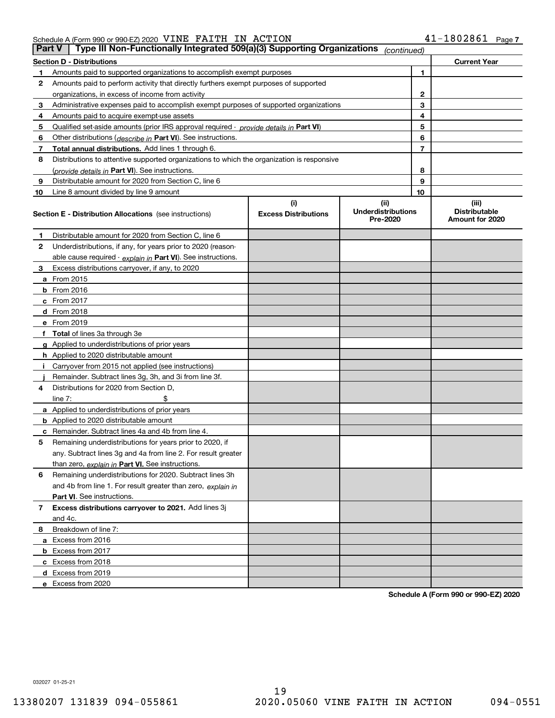#### Schedule A (Form 990 or 990-EZ) 2020 <code>VINE FAITH IN ACTION</code>  $41\text{--}1802861$  <code>Page</code>

|    | Type III Non-Functionally Integrated 509(a)(3) Supporting Organizations<br>Part V<br>(continued) |                                    |                                               |                                                  |  |  |  |  |
|----|--------------------------------------------------------------------------------------------------|------------------------------------|-----------------------------------------------|--------------------------------------------------|--|--|--|--|
|    | <b>Section D - Distributions</b><br><b>Current Year</b>                                          |                                    |                                               |                                                  |  |  |  |  |
|    | Amounts paid to supported organizations to accomplish exempt purposes                            | 1                                  |                                               |                                                  |  |  |  |  |
| 2  | Amounts paid to perform activity that directly furthers exempt purposes of supported             |                                    |                                               |                                                  |  |  |  |  |
|    | organizations, in excess of income from activity                                                 | 2                                  |                                               |                                                  |  |  |  |  |
| 3  | Administrative expenses paid to accomplish exempt purposes of supported organizations            |                                    | 3                                             |                                                  |  |  |  |  |
| 4  | Amounts paid to acquire exempt-use assets                                                        |                                    | 4                                             |                                                  |  |  |  |  |
| 5  | Qualified set aside amounts (prior IRS approval required - provide details in Part VI)           |                                    | 5                                             |                                                  |  |  |  |  |
| 6  | Other distributions ( <i>describe in</i> Part VI). See instructions.                             |                                    | 6                                             |                                                  |  |  |  |  |
| 7  | Total annual distributions. Add lines 1 through 6.                                               |                                    | 7                                             |                                                  |  |  |  |  |
| 8  | Distributions to attentive supported organizations to which the organization is responsive       |                                    |                                               |                                                  |  |  |  |  |
|    | (provide details in Part VI). See instructions.                                                  |                                    | 8                                             |                                                  |  |  |  |  |
| 9  | Distributable amount for 2020 from Section C, line 6                                             |                                    | 9                                             |                                                  |  |  |  |  |
| 10 | Line 8 amount divided by line 9 amount                                                           |                                    | 10                                            |                                                  |  |  |  |  |
|    | <b>Section E - Distribution Allocations</b> (see instructions)                                   | (i)<br><b>Excess Distributions</b> | (ii)<br><b>Underdistributions</b><br>Pre-2020 | (iii)<br><b>Distributable</b><br>Amount for 2020 |  |  |  |  |
| 1  | Distributable amount for 2020 from Section C, line 6                                             |                                    |                                               |                                                  |  |  |  |  |
| 2  | Underdistributions, if any, for years prior to 2020 (reason-                                     |                                    |                                               |                                                  |  |  |  |  |
|    | able cause required - explain in Part VI). See instructions.                                     |                                    |                                               |                                                  |  |  |  |  |
| 3  | Excess distributions carryover, if any, to 2020                                                  |                                    |                                               |                                                  |  |  |  |  |
|    | a From 2015                                                                                      |                                    |                                               |                                                  |  |  |  |  |
|    | $b$ From 2016                                                                                    |                                    |                                               |                                                  |  |  |  |  |
|    | $c$ From 2017                                                                                    |                                    |                                               |                                                  |  |  |  |  |
|    | <b>d</b> From 2018                                                                               |                                    |                                               |                                                  |  |  |  |  |
|    | e From 2019                                                                                      |                                    |                                               |                                                  |  |  |  |  |
|    | f Total of lines 3a through 3e                                                                   |                                    |                                               |                                                  |  |  |  |  |
|    | g Applied to underdistributions of prior years                                                   |                                    |                                               |                                                  |  |  |  |  |
|    | <b>h</b> Applied to 2020 distributable amount                                                    |                                    |                                               |                                                  |  |  |  |  |
|    | Carryover from 2015 not applied (see instructions)                                               |                                    |                                               |                                                  |  |  |  |  |
|    | Remainder. Subtract lines 3g, 3h, and 3i from line 3f.                                           |                                    |                                               |                                                  |  |  |  |  |
| 4  | Distributions for 2020 from Section D.                                                           |                                    |                                               |                                                  |  |  |  |  |
|    | line $7:$                                                                                        |                                    |                                               |                                                  |  |  |  |  |
|    | a Applied to underdistributions of prior years                                                   |                                    |                                               |                                                  |  |  |  |  |
|    | <b>b</b> Applied to 2020 distributable amount                                                    |                                    |                                               |                                                  |  |  |  |  |
|    | <b>c</b> Remainder. Subtract lines 4a and 4b from line 4.                                        |                                    |                                               |                                                  |  |  |  |  |
| 5  | Remaining underdistributions for years prior to 2020, if                                         |                                    |                                               |                                                  |  |  |  |  |
|    | any. Subtract lines 3g and 4a from line 2. For result greater                                    |                                    |                                               |                                                  |  |  |  |  |
|    | than zero, explain in Part VI. See instructions.                                                 |                                    |                                               |                                                  |  |  |  |  |
| 6  | Remaining underdistributions for 2020. Subtract lines 3h                                         |                                    |                                               |                                                  |  |  |  |  |
|    | and 4b from line 1. For result greater than zero, explain in                                     |                                    |                                               |                                                  |  |  |  |  |
|    | Part VI. See instructions.                                                                       |                                    |                                               |                                                  |  |  |  |  |
| 7  | Excess distributions carryover to 2021. Add lines 3j                                             |                                    |                                               |                                                  |  |  |  |  |
|    | and 4c.                                                                                          |                                    |                                               |                                                  |  |  |  |  |
| 8  | Breakdown of line 7:                                                                             |                                    |                                               |                                                  |  |  |  |  |
|    | a Excess from 2016                                                                               |                                    |                                               |                                                  |  |  |  |  |
|    | <b>b</b> Excess from 2017                                                                        |                                    |                                               |                                                  |  |  |  |  |
|    | c Excess from 2018                                                                               |                                    |                                               |                                                  |  |  |  |  |
|    | d Excess from 2019                                                                               |                                    |                                               |                                                  |  |  |  |  |
|    | e Excess from 2020                                                                               |                                    |                                               |                                                  |  |  |  |  |

**Schedule A (Form 990 or 990-EZ) 2020**

032027 01-25-21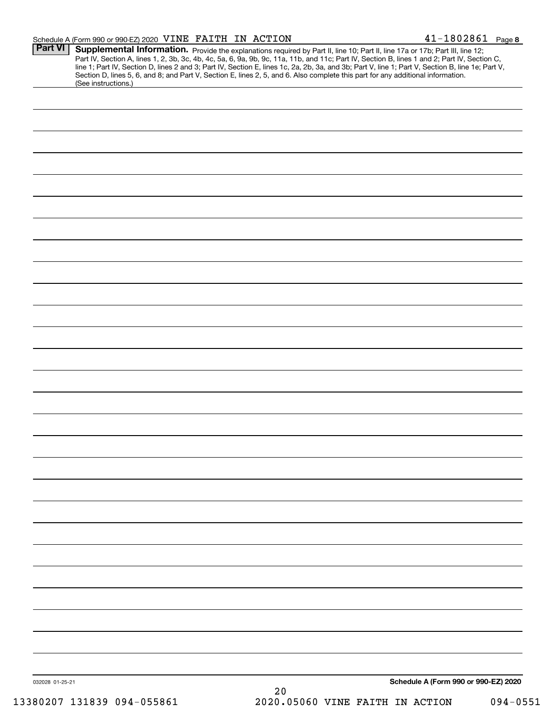| Schedule A (Form 990 or 990-EZ) 2020 VINE FAITH IN ACTION |  |  | 41-1802861                                                                                                                         | Page 8 |
|-----------------------------------------------------------|--|--|------------------------------------------------------------------------------------------------------------------------------------|--------|
|                                                           |  |  | <b>Part VI</b> Supplemental Information Descriptive contractions required by Part II line 19: Part II, line 17: part III, line 19: |        |

| (See instructions.) | Section D, lines 5, 6, and 8; and Part V, Section E, lines 2, 5, and 6. Also complete this part for any additional information. |  |
|---------------------|---------------------------------------------------------------------------------------------------------------------------------|--|
|                     |                                                                                                                                 |  |
|                     |                                                                                                                                 |  |
|                     |                                                                                                                                 |  |
|                     |                                                                                                                                 |  |
|                     |                                                                                                                                 |  |
|                     |                                                                                                                                 |  |
|                     |                                                                                                                                 |  |
|                     |                                                                                                                                 |  |
|                     |                                                                                                                                 |  |
|                     |                                                                                                                                 |  |
|                     |                                                                                                                                 |  |
|                     |                                                                                                                                 |  |
|                     |                                                                                                                                 |  |
|                     |                                                                                                                                 |  |
|                     |                                                                                                                                 |  |
|                     |                                                                                                                                 |  |
|                     |                                                                                                                                 |  |
|                     |                                                                                                                                 |  |
|                     |                                                                                                                                 |  |
|                     |                                                                                                                                 |  |
|                     |                                                                                                                                 |  |
|                     |                                                                                                                                 |  |
|                     |                                                                                                                                 |  |
|                     |                                                                                                                                 |  |
|                     |                                                                                                                                 |  |
|                     |                                                                                                                                 |  |
|                     |                                                                                                                                 |  |
|                     |                                                                                                                                 |  |
|                     |                                                                                                                                 |  |
|                     |                                                                                                                                 |  |
|                     |                                                                                                                                 |  |
|                     |                                                                                                                                 |  |
|                     |                                                                                                                                 |  |
|                     |                                                                                                                                 |  |
|                     |                                                                                                                                 |  |
|                     |                                                                                                                                 |  |
|                     |                                                                                                                                 |  |
|                     |                                                                                                                                 |  |
|                     |                                                                                                                                 |  |
|                     |                                                                                                                                 |  |
|                     |                                                                                                                                 |  |
|                     |                                                                                                                                 |  |
|                     |                                                                                                                                 |  |
| 032028 01-25-21     | Schedule A (Form 990 or 990-EZ) 2020                                                                                            |  |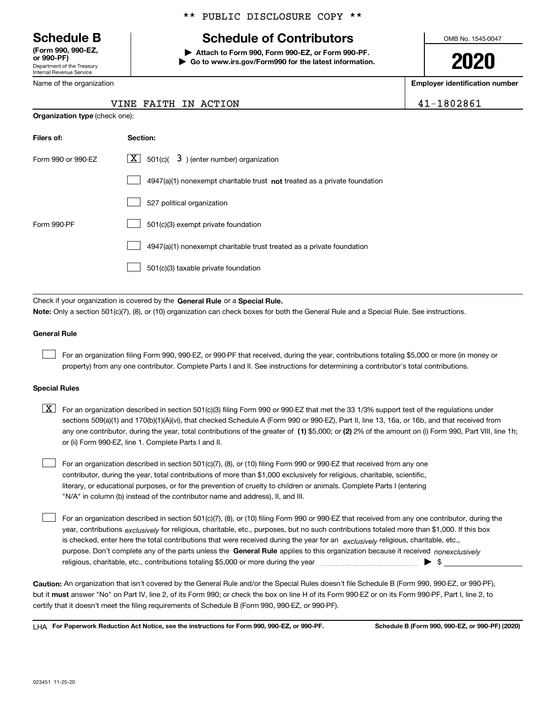Department of the Treasury Internal Revenue Service **(Form 990, 990-EZ, or 990-PF)**

Name of the organization

#### \*\* PUBLIC DISCLOSURE COPY \*\*

# **Schedule B Schedule of Contributors**

**| Attach to Form 990, Form 990-EZ, or Form 990-PF. | Go to www.irs.gov/Form990 for the latest information.** OMB No. 1545-0047

**2020**

**Employer identification number**

VINE FAITH IN ACTION 41-1802861

|                                       |          | VINE FAITH IN ACTION |  |
|---------------------------------------|----------|----------------------|--|
| <b>Organization type (check one):</b> |          |                      |  |
| Filers of:                            | Section: |                      |  |

| Form 990 or 990-F7 | $\lfloor \mathbf{X} \rfloor$ 501(c)( 3) (enter number) organization       |
|--------------------|---------------------------------------------------------------------------|
|                    | 4947(a)(1) nonexempt charitable trust not treated as a private foundation |
|                    | 527 political organization                                                |
| Form 990-PF        | 501(c)(3) exempt private foundation                                       |
|                    | 4947(a)(1) nonexempt charitable trust treated as a private foundation     |
|                    | 501(c)(3) taxable private foundation                                      |

Check if your organization is covered by the **General Rule** or a **Special Rule. Note:**  Only a section 501(c)(7), (8), or (10) organization can check boxes for both the General Rule and a Special Rule. See instructions.

#### **General Rule**

 $\mathcal{L}^{\text{max}}$ 

For an organization filing Form 990, 990-EZ, or 990-PF that received, during the year, contributions totaling \$5,000 or more (in money or property) from any one contributor. Complete Parts I and II. See instructions for determining a contributor's total contributions.

#### **Special Rules**

any one contributor, during the year, total contributions of the greater of  $\,$  (1) \$5,000; or **(2)** 2% of the amount on (i) Form 990, Part VIII, line 1h;  $\boxed{\textbf{X}}$  For an organization described in section 501(c)(3) filing Form 990 or 990-EZ that met the 33 1/3% support test of the regulations under sections 509(a)(1) and 170(b)(1)(A)(vi), that checked Schedule A (Form 990 or 990-EZ), Part II, line 13, 16a, or 16b, and that received from or (ii) Form 990-EZ, line 1. Complete Parts I and II.

For an organization described in section 501(c)(7), (8), or (10) filing Form 990 or 990-EZ that received from any one contributor, during the year, total contributions of more than \$1,000 exclusively for religious, charitable, scientific, literary, or educational purposes, or for the prevention of cruelty to children or animals. Complete Parts I (entering "N/A" in column (b) instead of the contributor name and address), II, and III.  $\mathcal{L}^{\text{max}}$ 

purpose. Don't complete any of the parts unless the **General Rule** applies to this organization because it received *nonexclusively* year, contributions <sub>exclusively</sub> for religious, charitable, etc., purposes, but no such contributions totaled more than \$1,000. If this box is checked, enter here the total contributions that were received during the year for an  $\;$ exclusively religious, charitable, etc., For an organization described in section 501(c)(7), (8), or (10) filing Form 990 or 990-EZ that received from any one contributor, during the religious, charitable, etc., contributions totaling \$5,000 or more during the year  $\Box$ — $\Box$   $\Box$  $\mathcal{L}^{\text{max}}$ 

**Caution:**  An organization that isn't covered by the General Rule and/or the Special Rules doesn't file Schedule B (Form 990, 990-EZ, or 990-PF),  **must** but it answer "No" on Part IV, line 2, of its Form 990; or check the box on line H of its Form 990-EZ or on its Form 990-PF, Part I, line 2, to certify that it doesn't meet the filing requirements of Schedule B (Form 990, 990-EZ, or 990-PF).

**For Paperwork Reduction Act Notice, see the instructions for Form 990, 990-EZ, or 990-PF. Schedule B (Form 990, 990-EZ, or 990-PF) (2020)** LHA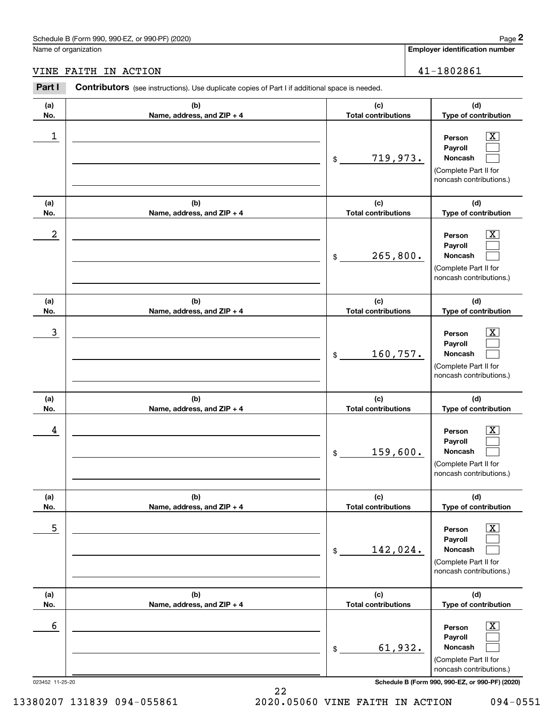|                  | Schedule B (Form 990, 990-EZ, or 990-PF) (2020)                                                       |                                   | Page 2                                                                                                      |
|------------------|-------------------------------------------------------------------------------------------------------|-----------------------------------|-------------------------------------------------------------------------------------------------------------|
|                  | Name of organization                                                                                  |                                   | <b>Employer identification number</b>                                                                       |
|                  | VINE FAITH IN ACTION                                                                                  |                                   | 41-1802861                                                                                                  |
| Part I           | <b>Contributors</b> (see instructions). Use duplicate copies of Part I if additional space is needed. |                                   |                                                                                                             |
| (a)<br>No.       | (b)<br>Name, address, and ZIP + 4                                                                     | (c)<br><b>Total contributions</b> | (d)<br>Type of contribution                                                                                 |
| 1                |                                                                                                       | 719,973.<br>\$                    | $\overline{\mathbf{X}}$<br>Person<br>Payroll<br>Noncash<br>(Complete Part II for<br>noncash contributions.) |
| (a)<br>No.       | (b)<br>Name, address, and ZIP + 4                                                                     | (c)<br><b>Total contributions</b> | (d)<br>Type of contribution                                                                                 |
| $\boldsymbol{2}$ |                                                                                                       | 265,800.<br>\$                    | $\overline{\mathbf{X}}$<br>Person<br>Payroll<br>Noncash<br>(Complete Part II for<br>noncash contributions.) |
| (a)<br>No.       | (b)<br>Name, address, and ZIP + 4                                                                     | (c)<br><b>Total contributions</b> | (d)<br>Type of contribution                                                                                 |
| 3                |                                                                                                       | 160,757.<br>\$                    | $\overline{\mathbf{X}}$<br>Person<br>Payroll<br>Noncash<br>(Complete Part II for<br>noncash contributions.) |
| (a)<br>No.       | (b)<br>Name, address, and ZIP + 4                                                                     | (c)<br><b>Total contributions</b> | (d)<br>Type of contribution                                                                                 |
| 4                |                                                                                                       | 159,600.<br>\$                    | $\overline{\mathbf{X}}$<br>Person<br>Payroll<br>Noncash<br>(Complete Part II for<br>noncash contributions.) |
| (a)<br>No.       | (b)<br>Name, address, and ZIP + 4                                                                     | (c)<br><b>Total contributions</b> | (d)<br>Type of contribution                                                                                 |
| 5                |                                                                                                       | 142,024.<br>\$                    | $\overline{\mathbf{X}}$<br>Person<br>Payroll<br>Noncash<br>(Complete Part II for<br>noncash contributions.) |
| (a)<br>No.       | (b)<br>Name, address, and ZIP + 4                                                                     | (c)<br><b>Total contributions</b> | (d)<br>Type of contribution                                                                                 |
| 6                |                                                                                                       | 61,932.<br>\$                     | $\overline{\mathbf{X}}$<br>Person<br>Payroll<br>Noncash<br>(Complete Part II for<br>noncash contributions.) |
| 023452 11-25-20  |                                                                                                       |                                   | Schedule B (Form 990, 990-EZ, or 990-PF) (2020)                                                             |

22

13380207 131839 094-055861 2020.05060 VINE FAITH IN ACTION 094-0551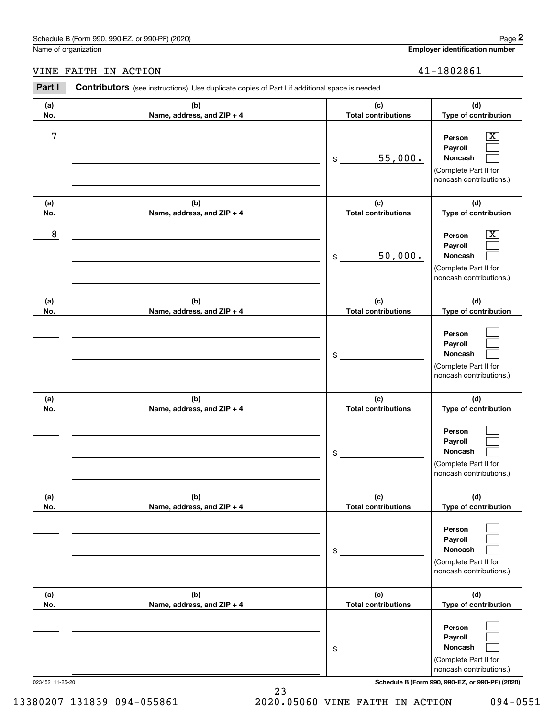|                      | Schedule B (Form 990, 990-EZ, or 990-PF) (2020)                                                       |                                   | Page 2                                                                                                                              |
|----------------------|-------------------------------------------------------------------------------------------------------|-----------------------------------|-------------------------------------------------------------------------------------------------------------------------------------|
| Name of organization |                                                                                                       |                                   | <b>Employer identification number</b>                                                                                               |
|                      | VINE FAITH IN ACTION                                                                                  |                                   | 41-1802861                                                                                                                          |
| Part I               | <b>Contributors</b> (see instructions). Use duplicate copies of Part I if additional space is needed. |                                   |                                                                                                                                     |
| (a)<br>No.           | (b)<br>Name, address, and ZIP + 4                                                                     | (c)<br><b>Total contributions</b> | (d)<br>Type of contribution                                                                                                         |
| 7                    |                                                                                                       | 55,000.<br>\$                     | $\overline{\mathbf{X}}$<br>Person<br>Payroll<br><b>Noncash</b><br>(Complete Part II for<br>noncash contributions.)                  |
| (a)<br>No.           | (b)<br>Name, address, and ZIP + 4                                                                     | (c)<br><b>Total contributions</b> | (d)<br>Type of contribution                                                                                                         |
| 8                    |                                                                                                       | 50,000.<br>\$                     | X<br>Person<br>Payroll<br><b>Noncash</b><br>(Complete Part II for<br>noncash contributions.)                                        |
| (a)<br>No.           | (b)<br>Name, address, and ZIP + 4                                                                     | (c)<br><b>Total contributions</b> | (d)<br>Type of contribution                                                                                                         |
|                      |                                                                                                       | \$                                | Person<br>Payroll<br>Noncash<br>(Complete Part II for<br>noncash contributions.)                                                    |
| (a)<br>No.           | (b)<br>Name, address, and ZIP + 4                                                                     | (c)<br><b>Total contributions</b> | (d)<br>Type of contribution                                                                                                         |
|                      |                                                                                                       | \$                                | Person<br>Payroll<br><b>Noncash</b><br>(Complete Part II for<br>noncash contributions.)                                             |
| (a)<br>No.           | (b)<br>Name, address, and ZIP + 4                                                                     | (c)<br><b>Total contributions</b> | (d)<br>Type of contribution                                                                                                         |
|                      |                                                                                                       | \$                                | Person<br>Payroll<br>Noncash<br>(Complete Part II for<br>noncash contributions.)                                                    |
| (a)<br>No.           | (b)<br>Name, address, and ZIP + 4                                                                     | (c)<br><b>Total contributions</b> | (d)<br>Type of contribution                                                                                                         |
| 023452 11-25-20      |                                                                                                       | \$                                | Person<br>Payroll<br>Noncash<br>(Complete Part II for<br>noncash contributions.)<br>Schedule B (Form 990, 990-EZ, or 990-PF) (2020) |

23 13380207 131839 094-055861 2020.05060 VINE FAITH IN ACTION 094-0551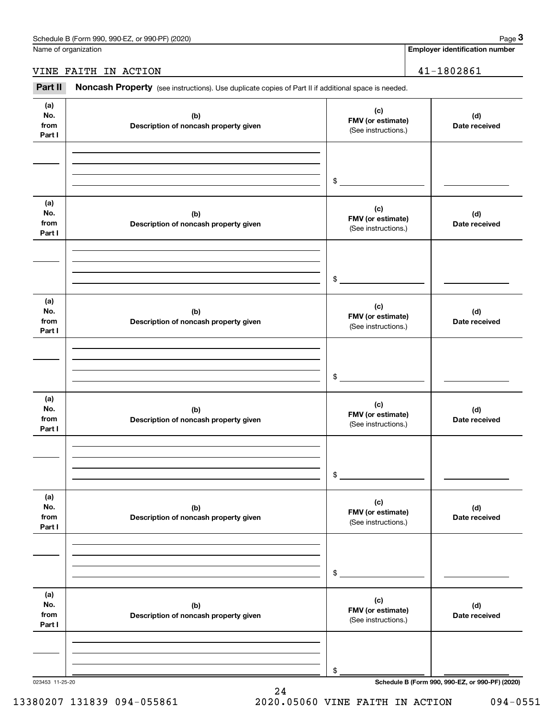Name of organization

**Employer identification number**

#### VINE FAITH IN ACTION 41-1802861

Chedule B (Form 990, 990-EZ, or 990-PF) (2020)<br> **2020 Identification number**<br> **3Part II Roncash Property** (see instructions). Use duplicate copies of Part II if additional space is needed.<br> **2Part II Noncash Property** (see

| (a)<br>No.<br>from<br>Part I | (b)<br>Description of noncash property given | (c)<br>FMV (or estimate)<br>(See instructions.) | (d)<br>Date received                            |
|------------------------------|----------------------------------------------|-------------------------------------------------|-------------------------------------------------|
|                              |                                              | $\mathfrak{S}$                                  |                                                 |
| (a)<br>No.<br>from<br>Part I | (b)<br>Description of noncash property given | (c)<br>FMV (or estimate)<br>(See instructions.) | (d)<br>Date received                            |
|                              |                                              | $\sim$                                          |                                                 |
| (a)<br>No.<br>from<br>Part I | (b)<br>Description of noncash property given | (c)<br>FMV (or estimate)<br>(See instructions.) | (d)<br>Date received                            |
|                              |                                              | $\sim$                                          |                                                 |
| (a)<br>No.<br>from<br>Part I | (b)<br>Description of noncash property given | (c)<br>FMV (or estimate)<br>(See instructions.) | (d)<br>Date received                            |
|                              |                                              | \$                                              |                                                 |
| (a)<br>No.<br>from<br>Part I | (b)<br>Description of noncash property given | (c)<br>FMV (or estimate)<br>(See instructions.) | (d)<br>Date received                            |
|                              |                                              | \$                                              |                                                 |
| (a)<br>No.<br>from<br>Part I | (b)<br>Description of noncash property given | (c)<br>FMV (or estimate)<br>(See instructions.) | (d)<br>Date received                            |
| 023453 11-25-20              |                                              | \$                                              | Schedule B (Form 990, 990-EZ, or 990-PF) (2020) |

24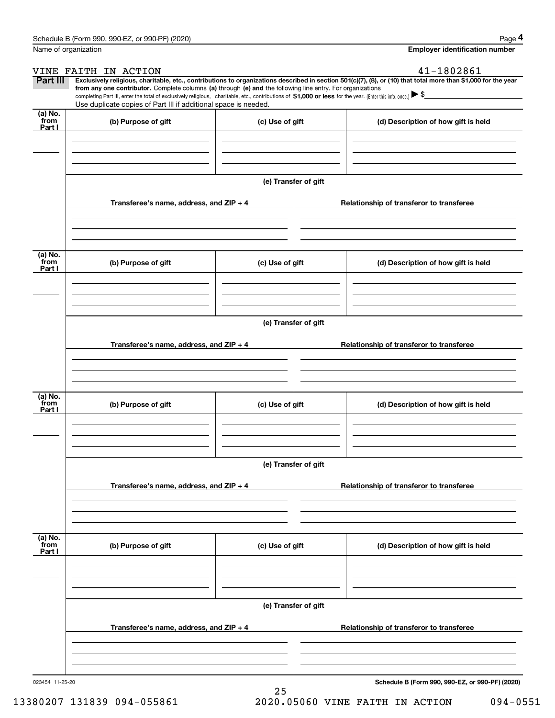|                 | Schedule B (Form 990, 990-EZ, or 990-PF) (2020)                                                                                                                                                                                                      |                      | Page 4                                                                                                                                                         |  |  |  |  |
|-----------------|------------------------------------------------------------------------------------------------------------------------------------------------------------------------------------------------------------------------------------------------------|----------------------|----------------------------------------------------------------------------------------------------------------------------------------------------------------|--|--|--|--|
|                 | Name of organization                                                                                                                                                                                                                                 |                      | <b>Employer identification number</b>                                                                                                                          |  |  |  |  |
|                 | VINE FAITH IN ACTION                                                                                                                                                                                                                                 |                      | 41-1802861                                                                                                                                                     |  |  |  |  |
| Part III        | from any one contributor. Complete columns (a) through (e) and the following line entry. For organizations                                                                                                                                           |                      | Exclusively religious, charitable, etc., contributions to organizations described in section 501(c)(7), (8), or (10) that total more than \$1,000 for the year |  |  |  |  |
|                 | completing Part III, enter the total of exclusively religious, charitable, etc., contributions of \$1,000 or less for the year. (Enter this info. once.) $\blacktriangleright$ \$<br>Use duplicate copies of Part III if additional space is needed. |                      |                                                                                                                                                                |  |  |  |  |
| (a) No.<br>from |                                                                                                                                                                                                                                                      |                      |                                                                                                                                                                |  |  |  |  |
| Part I          | (b) Purpose of gift                                                                                                                                                                                                                                  | (c) Use of gift      | (d) Description of how gift is held                                                                                                                            |  |  |  |  |
|                 |                                                                                                                                                                                                                                                      |                      |                                                                                                                                                                |  |  |  |  |
|                 |                                                                                                                                                                                                                                                      |                      |                                                                                                                                                                |  |  |  |  |
|                 |                                                                                                                                                                                                                                                      |                      |                                                                                                                                                                |  |  |  |  |
|                 |                                                                                                                                                                                                                                                      | (e) Transfer of gift |                                                                                                                                                                |  |  |  |  |
|                 | Transferee's name, address, and ZIP + 4                                                                                                                                                                                                              |                      | Relationship of transferor to transferee                                                                                                                       |  |  |  |  |
|                 |                                                                                                                                                                                                                                                      |                      |                                                                                                                                                                |  |  |  |  |
|                 |                                                                                                                                                                                                                                                      |                      |                                                                                                                                                                |  |  |  |  |
| (a) No.         |                                                                                                                                                                                                                                                      |                      |                                                                                                                                                                |  |  |  |  |
| from<br>Part I  | (b) Purpose of gift                                                                                                                                                                                                                                  | (c) Use of gift      | (d) Description of how gift is held                                                                                                                            |  |  |  |  |
|                 |                                                                                                                                                                                                                                                      |                      |                                                                                                                                                                |  |  |  |  |
|                 |                                                                                                                                                                                                                                                      |                      |                                                                                                                                                                |  |  |  |  |
|                 |                                                                                                                                                                                                                                                      |                      |                                                                                                                                                                |  |  |  |  |
|                 | (e) Transfer of gift                                                                                                                                                                                                                                 |                      |                                                                                                                                                                |  |  |  |  |
|                 | Transferee's name, address, and ZIP + 4                                                                                                                                                                                                              |                      | Relationship of transferor to transferee                                                                                                                       |  |  |  |  |
|                 |                                                                                                                                                                                                                                                      |                      |                                                                                                                                                                |  |  |  |  |
|                 |                                                                                                                                                                                                                                                      |                      |                                                                                                                                                                |  |  |  |  |
|                 |                                                                                                                                                                                                                                                      |                      |                                                                                                                                                                |  |  |  |  |
| (a) No.<br>from | (b) Purpose of gift                                                                                                                                                                                                                                  | (c) Use of gift      | (d) Description of how gift is held                                                                                                                            |  |  |  |  |
| Part I          |                                                                                                                                                                                                                                                      |                      |                                                                                                                                                                |  |  |  |  |
|                 |                                                                                                                                                                                                                                                      |                      |                                                                                                                                                                |  |  |  |  |
|                 |                                                                                                                                                                                                                                                      |                      |                                                                                                                                                                |  |  |  |  |
|                 |                                                                                                                                                                                                                                                      | (e) Transfer of gift |                                                                                                                                                                |  |  |  |  |
|                 | Transferee's name, address, and ZIP + 4                                                                                                                                                                                                              |                      | Relationship of transferor to transferee                                                                                                                       |  |  |  |  |
|                 |                                                                                                                                                                                                                                                      |                      |                                                                                                                                                                |  |  |  |  |
|                 |                                                                                                                                                                                                                                                      |                      |                                                                                                                                                                |  |  |  |  |
|                 |                                                                                                                                                                                                                                                      |                      |                                                                                                                                                                |  |  |  |  |
| (a) No.<br>from | (b) Purpose of gift                                                                                                                                                                                                                                  | (c) Use of gift      | (d) Description of how gift is held                                                                                                                            |  |  |  |  |
| Part I          |                                                                                                                                                                                                                                                      |                      |                                                                                                                                                                |  |  |  |  |
|                 |                                                                                                                                                                                                                                                      |                      |                                                                                                                                                                |  |  |  |  |
|                 |                                                                                                                                                                                                                                                      |                      |                                                                                                                                                                |  |  |  |  |
|                 |                                                                                                                                                                                                                                                      | (e) Transfer of gift |                                                                                                                                                                |  |  |  |  |
|                 |                                                                                                                                                                                                                                                      |                      |                                                                                                                                                                |  |  |  |  |
|                 | Transferee's name, address, and $ZIP + 4$                                                                                                                                                                                                            |                      | Relationship of transferor to transferee                                                                                                                       |  |  |  |  |
|                 |                                                                                                                                                                                                                                                      |                      |                                                                                                                                                                |  |  |  |  |
|                 |                                                                                                                                                                                                                                                      |                      |                                                                                                                                                                |  |  |  |  |
|                 |                                                                                                                                                                                                                                                      |                      |                                                                                                                                                                |  |  |  |  |

25

023454 11-25-20

**Schedule B (Form 990, 990-EZ, or 990-PF) (2020)**

13380207 131839 094-055861 2020.05060 VINE FAITH IN ACTION 094-0551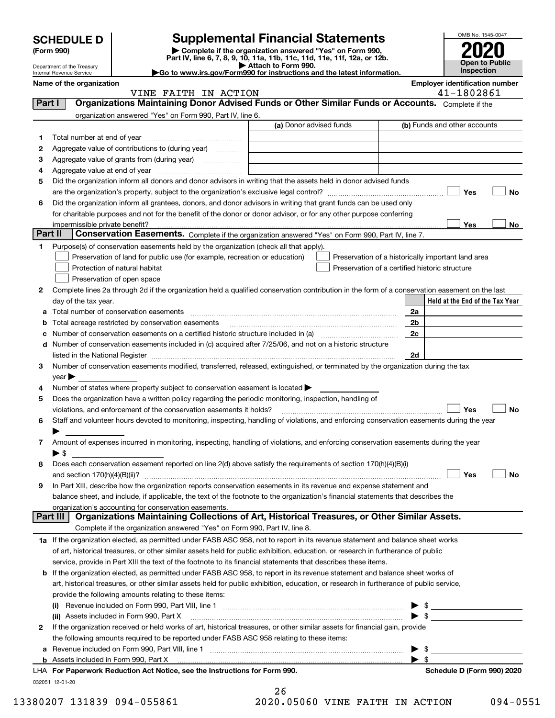| <b>SCHEDULE D</b> |                                                        |                                                                                                                                                                                                             | <b>Supplemental Financial Statements</b>                                                                                                       |                          | OMB No. 1545-0047                                   |
|-------------------|--------------------------------------------------------|-------------------------------------------------------------------------------------------------------------------------------------------------------------------------------------------------------------|------------------------------------------------------------------------------------------------------------------------------------------------|--------------------------|-----------------------------------------------------|
|                   | (Form 990)                                             |                                                                                                                                                                                                             | Complete if the organization answered "Yes" on Form 990,                                                                                       |                          |                                                     |
|                   |                                                        |                                                                                                                                                                                                             | Part IV, line 6, 7, 8, 9, 10, 11a, 11b, 11c, 11d, 11e, 11f, 12a, or 12b.<br>Attach to Form 990.                                                |                          | Open to Public                                      |
|                   | Department of the Treasury<br>Internal Revenue Service |                                                                                                                                                                                                             | Go to www.irs.gov/Form990 for instructions and the latest information.                                                                         |                          | Inspection                                          |
|                   | Name of the organization                               | VINE FAITH IN ACTION                                                                                                                                                                                        |                                                                                                                                                |                          | <b>Employer identification number</b><br>41-1802861 |
| Part I            |                                                        |                                                                                                                                                                                                             | Organizations Maintaining Donor Advised Funds or Other Similar Funds or Accounts. Complete if the                                              |                          |                                                     |
|                   |                                                        | organization answered "Yes" on Form 990, Part IV, line 6.                                                                                                                                                   |                                                                                                                                                |                          |                                                     |
|                   |                                                        |                                                                                                                                                                                                             | (a) Donor advised funds                                                                                                                        |                          | (b) Funds and other accounts                        |
| 1                 |                                                        |                                                                                                                                                                                                             |                                                                                                                                                |                          |                                                     |
| 2<br>з            |                                                        | Aggregate value of contributions to (during year)                                                                                                                                                           |                                                                                                                                                |                          |                                                     |
| 4                 |                                                        |                                                                                                                                                                                                             |                                                                                                                                                |                          |                                                     |
| 5                 |                                                        |                                                                                                                                                                                                             | Did the organization inform all donors and donor advisors in writing that the assets held in donor advised funds                               |                          |                                                     |
|                   |                                                        |                                                                                                                                                                                                             |                                                                                                                                                |                          | Yes<br><b>No</b>                                    |
| 6                 |                                                        |                                                                                                                                                                                                             | Did the organization inform all grantees, donors, and donor advisors in writing that grant funds can be used only                              |                          |                                                     |
|                   |                                                        |                                                                                                                                                                                                             | for charitable purposes and not for the benefit of the donor or donor advisor, or for any other purpose conferring                             |                          |                                                     |
|                   |                                                        |                                                                                                                                                                                                             |                                                                                                                                                |                          | <b>Yes</b><br>No                                    |
| Part II           |                                                        |                                                                                                                                                                                                             | Conservation Easements. Complete if the organization answered "Yes" on Form 990, Part IV, line 7.                                              |                          |                                                     |
| 1                 |                                                        | Purpose(s) of conservation easements held by the organization (check all that apply).                                                                                                                       |                                                                                                                                                |                          |                                                     |
|                   |                                                        | Preservation of land for public use (for example, recreation or education)                                                                                                                                  |                                                                                                                                                |                          | Preservation of a historically important land area  |
|                   |                                                        | Protection of natural habitat<br>Preservation of open space                                                                                                                                                 | Preservation of a certified historic structure                                                                                                 |                          |                                                     |
| 2                 |                                                        |                                                                                                                                                                                                             | Complete lines 2a through 2d if the organization held a qualified conservation contribution in the form of a conservation easement on the last |                          |                                                     |
|                   | day of the tax year.                                   |                                                                                                                                                                                                             |                                                                                                                                                |                          | Held at the End of the Tax Year                     |
| а                 |                                                        |                                                                                                                                                                                                             |                                                                                                                                                | 2a                       |                                                     |
| b                 |                                                        | Total acreage restricted by conservation easements                                                                                                                                                          |                                                                                                                                                | 2b                       |                                                     |
|                   |                                                        |                                                                                                                                                                                                             | Number of conservation easements on a certified historic structure included in (a) manufacture included in (a)                                 | 2c                       |                                                     |
|                   |                                                        |                                                                                                                                                                                                             | d Number of conservation easements included in (c) acquired after 7/25/06, and not on a historic structure                                     |                          |                                                     |
|                   |                                                        |                                                                                                                                                                                                             |                                                                                                                                                | 2d                       |                                                     |
| 3                 |                                                        |                                                                                                                                                                                                             | Number of conservation easements modified, transferred, released, extinguished, or terminated by the organization during the tax               |                          |                                                     |
|                   | $year \blacktriangleright$                             |                                                                                                                                                                                                             |                                                                                                                                                |                          |                                                     |
| 4<br>5            |                                                        | Number of states where property subject to conservation easement is located $\blacktriangleright$<br>Does the organization have a written policy regarding the periodic monitoring, inspection, handling of |                                                                                                                                                |                          |                                                     |
|                   |                                                        | violations, and enforcement of the conservation easements it holds?                                                                                                                                         |                                                                                                                                                |                          | Yes<br><b>No</b>                                    |
| 6                 |                                                        |                                                                                                                                                                                                             | Staff and volunteer hours devoted to monitoring, inspecting, handling of violations, and enforcing conservation easements during the year      |                          |                                                     |
|                   |                                                        |                                                                                                                                                                                                             |                                                                                                                                                |                          |                                                     |
| 7                 |                                                        |                                                                                                                                                                                                             | Amount of expenses incurred in monitoring, inspecting, handling of violations, and enforcing conservation easements during the year            |                          |                                                     |
|                   | ▶ \$                                                   |                                                                                                                                                                                                             |                                                                                                                                                |                          |                                                     |
| 8                 |                                                        |                                                                                                                                                                                                             | Does each conservation easement reported on line 2(d) above satisfy the requirements of section 170(h)(4)(B)(i)                                |                          |                                                     |
|                   |                                                        |                                                                                                                                                                                                             |                                                                                                                                                |                          | Yes<br>No                                           |
| 9                 |                                                        |                                                                                                                                                                                                             | In Part XIII, describe how the organization reports conservation easements in its revenue and expense statement and                            |                          |                                                     |
|                   |                                                        | organization's accounting for conservation easements.                                                                                                                                                       | balance sheet, and include, if applicable, the text of the footnote to the organization's financial statements that describes the              |                          |                                                     |
|                   | Part III                                               |                                                                                                                                                                                                             | Organizations Maintaining Collections of Art, Historical Treasures, or Other Similar Assets.                                                   |                          |                                                     |
|                   |                                                        | Complete if the organization answered "Yes" on Form 990, Part IV, line 8.                                                                                                                                   |                                                                                                                                                |                          |                                                     |
|                   |                                                        |                                                                                                                                                                                                             | 1a If the organization elected, as permitted under FASB ASC 958, not to report in its revenue statement and balance sheet works                |                          |                                                     |
|                   |                                                        |                                                                                                                                                                                                             | of art, historical treasures, or other similar assets held for public exhibition, education, or research in furtherance of public              |                          |                                                     |
|                   |                                                        |                                                                                                                                                                                                             | service, provide in Part XIII the text of the footnote to its financial statements that describes these items.                                 |                          |                                                     |
|                   |                                                        |                                                                                                                                                                                                             | <b>b</b> If the organization elected, as permitted under FASB ASC 958, to report in its revenue statement and balance sheet works of           |                          |                                                     |
|                   |                                                        |                                                                                                                                                                                                             | art, historical treasures, or other similar assets held for public exhibition, education, or research in furtherance of public service,        |                          |                                                     |
|                   |                                                        | provide the following amounts relating to these items:                                                                                                                                                      |                                                                                                                                                |                          |                                                     |
|                   |                                                        |                                                                                                                                                                                                             | (i) Revenue included on Form 990, Part VIII, line 1 [2000] [2010] Contract the included on Form 990, Part VIII, line 1                         |                          | $\blacktriangleright$ \$                            |
|                   |                                                        | (ii) Assets included in Form 990, Part X                                                                                                                                                                    | If the organization received or held works of art, historical treasures, or other similar assets for financial gain, provide                   | $\blacktriangleright$ \$ |                                                     |
| 2                 |                                                        | the following amounts required to be reported under FASB ASC 958 relating to these items:                                                                                                                   |                                                                                                                                                |                          |                                                     |
|                   |                                                        |                                                                                                                                                                                                             |                                                                                                                                                |                          | -\$                                                 |
|                   |                                                        |                                                                                                                                                                                                             |                                                                                                                                                | $\blacktriangleright$ \$ |                                                     |
|                   |                                                        | LHA For Paperwork Reduction Act Notice, see the Instructions for Form 990.                                                                                                                                  |                                                                                                                                                |                          | Schedule D (Form 990) 2020                          |

032051 12-01-20

| 26  |  |      |  |
|-----|--|------|--|
| ، م |  | ハヒハム |  |

13380207 131839 094-055861 2020.05060 VINE FAITH IN ACTION 094-0551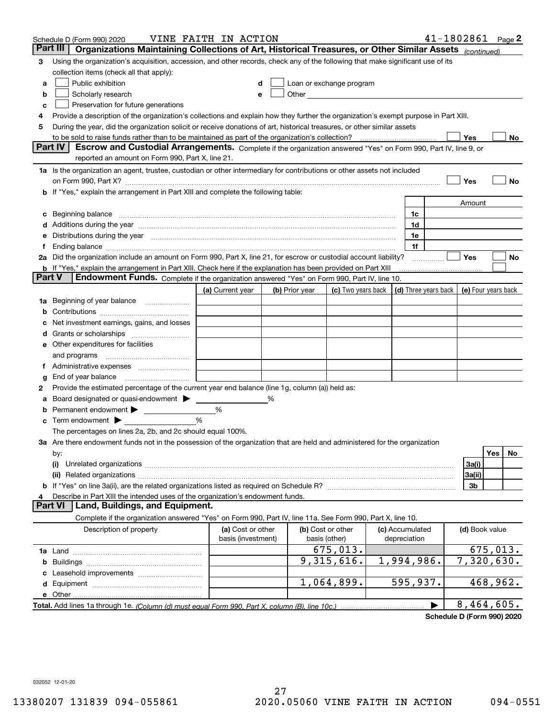|        | Schedule D (Form 990) 2020                                                                                                                                                                                                     | VINE FAITH IN ACTION                    |   |                |                                                                                                                                                                                                                               |  |                                 | 41-1802861 |                     |          | Page 2 |
|--------|--------------------------------------------------------------------------------------------------------------------------------------------------------------------------------------------------------------------------------|-----------------------------------------|---|----------------|-------------------------------------------------------------------------------------------------------------------------------------------------------------------------------------------------------------------------------|--|---------------------------------|------------|---------------------|----------|--------|
|        | Part III<br>Organizations Maintaining Collections of Art, Historical Treasures, or Other Similar Assets (continued)                                                                                                            |                                         |   |                |                                                                                                                                                                                                                               |  |                                 |            |                     |          |        |
| 3      | Using the organization's acquisition, accession, and other records, check any of the following that make significant use of its                                                                                                |                                         |   |                |                                                                                                                                                                                                                               |  |                                 |            |                     |          |        |
|        | collection items (check all that apply):                                                                                                                                                                                       |                                         |   |                |                                                                                                                                                                                                                               |  |                                 |            |                     |          |        |
| a      | Public exhibition                                                                                                                                                                                                              |                                         |   |                | Loan or exchange program                                                                                                                                                                                                      |  |                                 |            |                     |          |        |
| b      | Scholarly research                                                                                                                                                                                                             |                                         |   |                | Other and the contract of the contract of the contract of the contract of the contract of the contract of the contract of the contract of the contract of the contract of the contract of the contract of the contract of the |  |                                 |            |                     |          |        |
| с      | Preservation for future generations                                                                                                                                                                                            |                                         |   |                |                                                                                                                                                                                                                               |  |                                 |            |                     |          |        |
| 4      | Provide a description of the organization's collections and explain how they further the organization's exempt purpose in Part XIII.                                                                                           |                                         |   |                |                                                                                                                                                                                                                               |  |                                 |            |                     |          |        |
| 5      | During the year, did the organization solicit or receive donations of art, historical treasures, or other similar assets                                                                                                       |                                         |   |                |                                                                                                                                                                                                                               |  |                                 |            |                     |          |        |
|        | to be sold to raise funds rather than to be maintained as part of the organization's collection?                                                                                                                               |                                         |   |                |                                                                                                                                                                                                                               |  |                                 |            | Yes                 |          | No     |
|        | Escrow and Custodial Arrangements. Complete if the organization answered "Yes" on Form 990, Part IV, line 9, or<br><b>Part IV</b>                                                                                              |                                         |   |                |                                                                                                                                                                                                                               |  |                                 |            |                     |          |        |
|        | reported an amount on Form 990, Part X, line 21.                                                                                                                                                                               |                                         |   |                |                                                                                                                                                                                                                               |  |                                 |            |                     |          |        |
|        | 1a Is the organization an agent, trustee, custodian or other intermediary for contributions or other assets not included                                                                                                       |                                         |   |                |                                                                                                                                                                                                                               |  |                                 |            |                     |          |        |
|        | on Form 990, Part X? <b>Entitled Strategie Control</b> and Terms and Terms and Terms and Terms and Terms and Terms and                                                                                                         |                                         |   |                |                                                                                                                                                                                                                               |  |                                 |            | Yes                 |          | No     |
|        | If "Yes," explain the arrangement in Part XIII and complete the following table:                                                                                                                                               |                                         |   |                |                                                                                                                                                                                                                               |  |                                 |            |                     |          |        |
|        |                                                                                                                                                                                                                                |                                         |   |                |                                                                                                                                                                                                                               |  |                                 |            | Amount              |          |        |
| с      | Beginning balance manufactured and contain an account of the state of the state of the state of the state of the state of the state of the state of the state of the state of the state of the state of the state of the state |                                         |   |                |                                                                                                                                                                                                                               |  | 1c                              |            |                     |          |        |
|        | Additions during the year manufactured and an account of the year manufactured and account of the year manufactured and account of the state of the state of the state of the state of the state of the state of the state of  |                                         |   |                |                                                                                                                                                                                                                               |  | 1d                              |            |                     |          |        |
| е      | Distributions during the year manufactured and contain an account of the year manufactured and the year manufactured and the year manufactured and the year manufactured and the year manufactured and the state of the state  |                                         |   |                |                                                                                                                                                                                                                               |  | 1e                              |            |                     |          |        |
| Ť.     |                                                                                                                                                                                                                                |                                         |   |                |                                                                                                                                                                                                                               |  | 1f                              |            |                     |          |        |
|        | 2a Did the organization include an amount on Form 990, Part X, line 21, for escrow or custodial account liability?                                                                                                             |                                         |   |                |                                                                                                                                                                                                                               |  |                                 | .          | Yes                 |          | No     |
| Part V | <b>b</b> If "Yes," explain the arrangement in Part XIII. Check here if the explanation has been provided on Part XIII<br>Endowment Funds. Complete if the organization answered "Yes" on Form 990, Part IV, line 10.           |                                         |   |                |                                                                                                                                                                                                                               |  |                                 |            |                     |          |        |
|        |                                                                                                                                                                                                                                |                                         |   |                |                                                                                                                                                                                                                               |  |                                 |            |                     |          |        |
|        |                                                                                                                                                                                                                                | (a) Current year                        |   | (b) Prior year | (c) Two years back                                                                                                                                                                                                            |  | (d) Three years back            |            | (e) Four years back |          |        |
| 1a     | Beginning of year balance                                                                                                                                                                                                      |                                         |   |                |                                                                                                                                                                                                                               |  |                                 |            |                     |          |        |
| b      |                                                                                                                                                                                                                                |                                         |   |                |                                                                                                                                                                                                                               |  |                                 |            |                     |          |        |
|        | Net investment earnings, gains, and losses                                                                                                                                                                                     |                                         |   |                |                                                                                                                                                                                                                               |  |                                 |            |                     |          |        |
| a      | e Other expenditures for facilities                                                                                                                                                                                            |                                         |   |                |                                                                                                                                                                                                                               |  |                                 |            |                     |          |        |
|        |                                                                                                                                                                                                                                |                                         |   |                |                                                                                                                                                                                                                               |  |                                 |            |                     |          |        |
|        | and programs                                                                                                                                                                                                                   |                                         |   |                |                                                                                                                                                                                                                               |  |                                 |            |                     |          |        |
|        | End of year balance                                                                                                                                                                                                            |                                         |   |                |                                                                                                                                                                                                                               |  |                                 |            |                     |          |        |
| g<br>2 | Provide the estimated percentage of the current year end balance (line 1g, column (a)) held as:                                                                                                                                |                                         |   |                |                                                                                                                                                                                                                               |  |                                 |            |                     |          |        |
| а      | Board designated or quasi-endowment                                                                                                                                                                                            |                                         | % |                |                                                                                                                                                                                                                               |  |                                 |            |                     |          |        |
|        | Permanent endowment > <u>example</u>                                                                                                                                                                                           | %                                       |   |                |                                                                                                                                                                                                                               |  |                                 |            |                     |          |        |
| с      | Term endowment $\blacktriangleright$                                                                                                                                                                                           | %                                       |   |                |                                                                                                                                                                                                                               |  |                                 |            |                     |          |        |
|        | The percentages on lines 2a, 2b, and 2c should equal 100%.                                                                                                                                                                     |                                         |   |                |                                                                                                                                                                                                                               |  |                                 |            |                     |          |        |
|        | 3a Are there endowment funds not in the possession of the organization that are held and administered for the organization                                                                                                     |                                         |   |                |                                                                                                                                                                                                                               |  |                                 |            |                     |          |        |
|        | by:                                                                                                                                                                                                                            |                                         |   |                |                                                                                                                                                                                                                               |  |                                 |            |                     | Yes      | No.    |
|        | (i)                                                                                                                                                                                                                            |                                         |   |                |                                                                                                                                                                                                                               |  |                                 |            | 3a(i)               |          |        |
|        |                                                                                                                                                                                                                                |                                         |   |                |                                                                                                                                                                                                                               |  |                                 |            | 3a(ii)              |          |        |
|        |                                                                                                                                                                                                                                |                                         |   |                |                                                                                                                                                                                                                               |  |                                 |            | 3b                  |          |        |
|        | Describe in Part XIII the intended uses of the organization's endowment funds.                                                                                                                                                 |                                         |   |                |                                                                                                                                                                                                                               |  |                                 |            |                     |          |        |
|        | Land, Buildings, and Equipment.<br>Part VI                                                                                                                                                                                     |                                         |   |                |                                                                                                                                                                                                                               |  |                                 |            |                     |          |        |
|        | Complete if the organization answered "Yes" on Form 990, Part IV, line 11a. See Form 990, Part X, line 10.                                                                                                                     |                                         |   |                |                                                                                                                                                                                                                               |  |                                 |            |                     |          |        |
|        | Description of property                                                                                                                                                                                                        | (a) Cost or other<br>basis (investment) |   |                | (b) Cost or other<br>basis (other)                                                                                                                                                                                            |  | (c) Accumulated<br>depreciation |            | (d) Book value      |          |        |
|        |                                                                                                                                                                                                                                |                                         |   |                | 675,013.                                                                                                                                                                                                                      |  |                                 |            |                     | 675,013. |        |
| b      |                                                                                                                                                                                                                                |                                         |   |                | 9,315,616.                                                                                                                                                                                                                    |  | 1,994,986.                      |            | 7,320,630.          |          |        |
|        | Leasehold improvements                                                                                                                                                                                                         |                                         |   |                |                                                                                                                                                                                                                               |  |                                 |            |                     |          |        |
|        |                                                                                                                                                                                                                                |                                         |   |                | 1,064,899.                                                                                                                                                                                                                    |  | 595,937.                        |            |                     | 468,962. |        |
|        | e Other.                                                                                                                                                                                                                       |                                         |   |                |                                                                                                                                                                                                                               |  |                                 |            |                     |          |        |
|        |                                                                                                                                                                                                                                |                                         |   |                |                                                                                                                                                                                                                               |  |                                 |            | 8,464,605.          |          |        |
|        |                                                                                                                                                                                                                                |                                         |   |                |                                                                                                                                                                                                                               |  |                                 |            |                     |          |        |

**Schedule D (Form 990) 2020**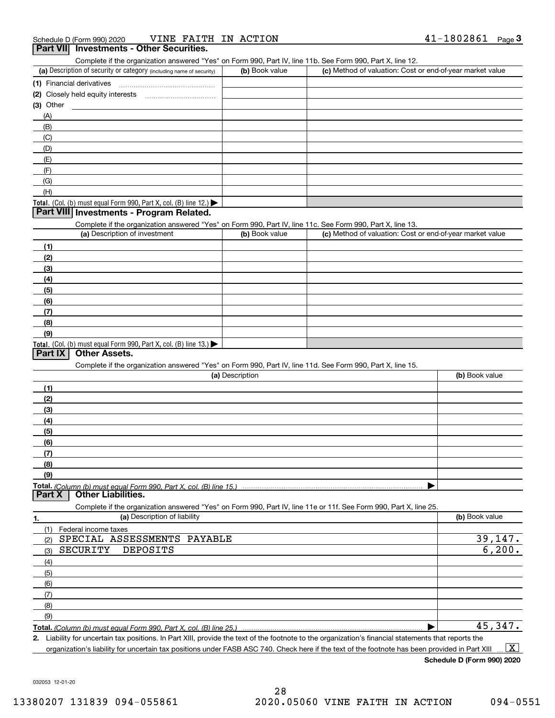Complete if the organization answered "Yes" on Form 990, Part IV, line 11b. See Form 990, Part X, line 12.

| (a) Description of security or category (including name of security)                   | (b) Book value | (c) Method of valuation: Cost or end-of-year market value |
|----------------------------------------------------------------------------------------|----------------|-----------------------------------------------------------|
| (1) Financial derivatives                                                              |                |                                                           |
| (2) Closely held equity interests                                                      |                |                                                           |
| (3) Other                                                                              |                |                                                           |
| (A)                                                                                    |                |                                                           |
| (B)                                                                                    |                |                                                           |
| (C)                                                                                    |                |                                                           |
| (D)                                                                                    |                |                                                           |
| (E)                                                                                    |                |                                                           |
| (F)                                                                                    |                |                                                           |
| (G)                                                                                    |                |                                                           |
| (H)                                                                                    |                |                                                           |
| Total. (Col. (b) must equal Form 990, Part X, col. (B) line 12.) $\blacktriangleright$ |                |                                                           |

#### **Part VIII Investments - Program Related.**

Complete if the organization answered "Yes" on Form 990, Part IV, line 11c. See Form 990, Part X, line 13.

| (a) Description of investment                                                                 | (b) Book value | (c) Method of valuation: Cost or end-of-year market value |
|-----------------------------------------------------------------------------------------------|----------------|-----------------------------------------------------------|
| (1)                                                                                           |                |                                                           |
| (2)                                                                                           |                |                                                           |
| $\frac{1}{2}$                                                                                 |                |                                                           |
| (4)                                                                                           |                |                                                           |
| $\left(5\right)$                                                                              |                |                                                           |
| (6)                                                                                           |                |                                                           |
| (7)                                                                                           |                |                                                           |
| (8)                                                                                           |                |                                                           |
| (9)                                                                                           |                |                                                           |
| <b>Total.</b> (Col. (b) must equal Form 990, Part X, col. (B) line 13.) $\blacktriangleright$ |                |                                                           |

#### **Part IX Other Assets.**

Complete if the organization answered "Yes" on Form 990, Part IV, line 11d. See Form 990, Part X, line 15.

| (a) Description                                                                                                   | (b) Book value |
|-------------------------------------------------------------------------------------------------------------------|----------------|
| (1)                                                                                                               |                |
| (2)                                                                                                               |                |
| (3)                                                                                                               |                |
| (4)                                                                                                               |                |
| $\frac{1}{2}$                                                                                                     |                |
| (6)                                                                                                               |                |
| (7)                                                                                                               |                |
| (8)                                                                                                               |                |
| (9)                                                                                                               |                |
|                                                                                                                   |                |
| <b>Part X   Other Liabilities.</b>                                                                                |                |
| Complete if the organization answered "Yes" on Form 990, Part IV, line 11e or 11f. See Form 990, Part X, line 25. |                |

| (a) Description of liability<br>1. | (b) Book value |
|------------------------------------|----------------|
| Federal income taxes<br>(1)        |                |
| SPECIAL ASSESSMENTS PAYABLE<br>(2) | 39,147.        |
| SECURITY<br>DEPOSITS<br>(3)        | 6, 200.        |
| (4)                                |                |
| (5)                                |                |
| (6)                                |                |
| (7)                                |                |
| (8)                                |                |
| (9)                                |                |
|                                    | 45,347.        |

**2.** Liability for uncertain tax positions. In Part XIII, provide the text of the footnote to the organization's financial statements that reports the organization's liability for uncertain tax positions under FASB ASC 740. Check here if the text of the footnote has been provided in Part XIII  $\boxed{\text{X}}$ 

**Schedule D (Form 990) 2020**

032053 12-01-20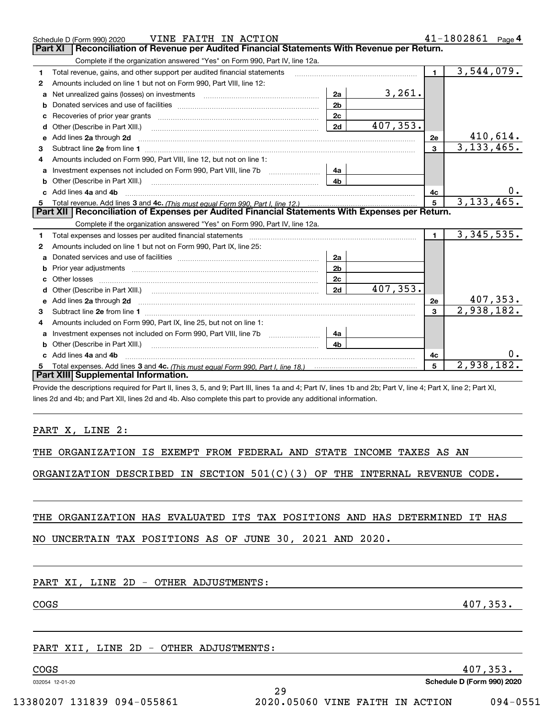|    | VINE FAITH IN ACTION<br>Schedule D (Form 990) 2020                                                                                                             |                | $41 - 1802861$ Page 4 |
|----|----------------------------------------------------------------------------------------------------------------------------------------------------------------|----------------|-----------------------|
|    | Reconciliation of Revenue per Audited Financial Statements With Revenue per Return.<br>Part XI                                                                 |                |                       |
|    | Complete if the organization answered "Yes" on Form 990, Part IV, line 12a.                                                                                    |                |                       |
| 1  | Total revenue, gains, and other support per audited financial statements                                                                                       | $\blacksquare$ | 3,544,079.            |
| 2  | Amounts included on line 1 but not on Form 990, Part VIII, line 12:                                                                                            |                |                       |
| a  | 3,261.<br>2a                                                                                                                                                   |                |                       |
| b  | 2 <sub>b</sub>                                                                                                                                                 |                |                       |
| с  | 2c                                                                                                                                                             |                |                       |
| d  | 407,353.<br>2d<br>Other (Describe in Part XIII.)                                                                                                               |                |                       |
| е  | Add lines 2a through 2d                                                                                                                                        | 2e             | 410,614.              |
| 3  |                                                                                                                                                                | 3              | 3, 133, 465.          |
| 4  | Amounts included on Form 990, Part VIII, line 12, but not on line 1:                                                                                           |                |                       |
| a  | Investment expenses not included on Form 990, Part VIII, line 7b<br>4a                                                                                         |                |                       |
| b  | Other (Describe in Part XIII.)<br>4b                                                                                                                           |                |                       |
| c. | Add lines 4a and 4b                                                                                                                                            | 4c             |                       |
| 5  |                                                                                                                                                                | 5              | 3,133,465.            |
|    | Part XII   Reconciliation of Expenses per Audited Financial Statements With Expenses per Return.                                                               |                |                       |
|    | Complete if the organization answered "Yes" on Form 990, Part IV, line 12a.                                                                                    |                |                       |
| 1  | Total expenses and losses per audited financial statements                                                                                                     | $\blacksquare$ | 3,345,535.            |
| 2  | Amounts included on line 1 but not on Form 990, Part IX, line 25:                                                                                              |                |                       |
| a  | 2a                                                                                                                                                             |                |                       |
| b  | 2 <sub>b</sub>                                                                                                                                                 |                |                       |
| c  | 2c                                                                                                                                                             |                |                       |
| d  | 407,353.<br>2d                                                                                                                                                 |                |                       |
| е  | Add lines 2a through 2d                                                                                                                                        | <b>2e</b>      | 407,353.              |
| 3  |                                                                                                                                                                | 3              | 2,938,182.            |
| 4  | Amounts included on Form 990, Part IX, line 25, but not on line 1:                                                                                             |                |                       |
| a  | Investment expenses not included on Form 990, Part VIII, line 7b<br>4a                                                                                         |                |                       |
| b  | 4b<br>Other (Describe in Part XIII.)                                                                                                                           |                |                       |
| c. | Add lines 4a and 4b                                                                                                                                            | 4с             |                       |
| 5  |                                                                                                                                                                | 5              | 2,938,182.            |
|    | Part XIII Supplemental Information.                                                                                                                            |                |                       |
|    | Provide the descriptions required for Part II, lines 3, 5, and 9; Part III, lines 1a and 4; Part IV, lines 1b and 2b; Part V, line 4; Part X, line 2; Part XI, |                |                       |
|    | lines 2d and 4b; and Part XII, lines 2d and 4b. Also complete this part to provide any additional information.                                                 |                |                       |
|    |                                                                                                                                                                |                |                       |
|    |                                                                                                                                                                |                |                       |
|    | PART X, LINE 2:                                                                                                                                                |                |                       |

THE ORGANIZATION IS EXEMPT FROM FEDERAL AND STATE INCOME TAXES AS AN

ORGANIZATION DESCRIBED IN SECTION 501(C)(3) OF THE INTERNAL REVENUE CODE.

| THE ORGANIZATION HAS EVALUATED ITS TAX POSITIONS AND HAS DETERMINED IT HAS |  |
|----------------------------------------------------------------------------|--|
|----------------------------------------------------------------------------|--|

29

NO UNCERTAIN TAX POSITIONS AS OF JUNE 30, 2021 AND 2020.

## PART XI, LINE 2D - OTHER ADJUSTMENTS:

 $\sim$   $407,353$ .

## PART XII, LINE 2D - OTHER ADJUSTMENTS:

032054 12-01-20

COGS 407,353.

**Schedule D (Form 990) 2020**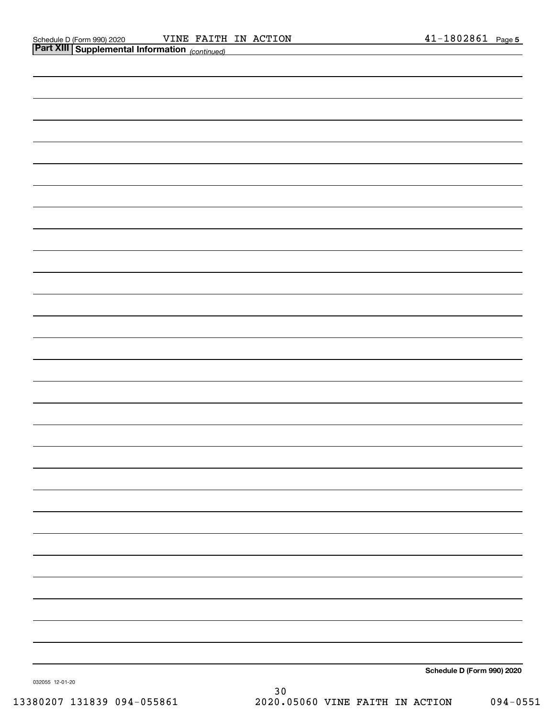| <b>Part XIII Supplemental Information</b> (continued) |                            |
|-------------------------------------------------------|----------------------------|
|                                                       |                            |
|                                                       |                            |
|                                                       |                            |
|                                                       |                            |
|                                                       |                            |
|                                                       |                            |
|                                                       |                            |
|                                                       |                            |
|                                                       |                            |
|                                                       |                            |
|                                                       |                            |
|                                                       |                            |
|                                                       |                            |
|                                                       |                            |
|                                                       |                            |
|                                                       |                            |
|                                                       |                            |
|                                                       |                            |
|                                                       |                            |
|                                                       |                            |
|                                                       |                            |
|                                                       |                            |
|                                                       |                            |
|                                                       |                            |
|                                                       |                            |
|                                                       |                            |
|                                                       |                            |
|                                                       |                            |
|                                                       |                            |
|                                                       | Schedule D (Form 990) 2020 |

032055 12-01-20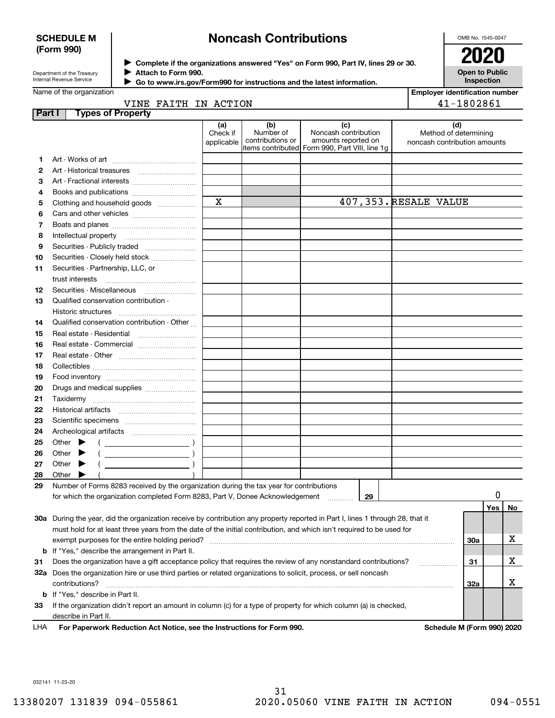#### **SCHEDULE M (Form 990)**

# **Noncash Contributions**

OMB No. 1545-0047

| Department of the Treasury |
|----------------------------|
| Internal Revenue Service   |

**Complete if the organizations answered "Yes" on Form 990, Part IV, lines 29 or 30. Attach to Form 990.**  $\triangleright$  Complete if the organizations answered "Yes" on Form 990, Part IV, lines 29 or 30.  $2020$  $\blacktriangleright$ 

|                              | <b>Open to Public</b><br><b>Inspection</b> |  |  |  |  |  |
|------------------------------|--------------------------------------------|--|--|--|--|--|
| alover identification number |                                            |  |  |  |  |  |

|        | Internal Revenue Service                                                                                                       |                         |                               | ► Go to www.irs.gov/Form990 for instructions and the latest information. |  |                                       | Inspection |    |
|--------|--------------------------------------------------------------------------------------------------------------------------------|-------------------------|-------------------------------|--------------------------------------------------------------------------|--|---------------------------------------|------------|----|
|        | Name of the organization                                                                                                       |                         |                               |                                                                          |  | <b>Employer identification number</b> |            |    |
|        | VINE FAITH IN ACTION                                                                                                           |                         |                               |                                                                          |  | 41-1802861                            |            |    |
| Part I | <b>Types of Property</b>                                                                                                       |                         |                               |                                                                          |  |                                       |            |    |
|        |                                                                                                                                | (a)                     | (b)                           | (c)                                                                      |  | (d)                                   |            |    |
|        |                                                                                                                                | Check if                | Number of<br>contributions or | Noncash contribution<br>amounts reported on                              |  | Method of determining                 |            |    |
|        |                                                                                                                                | applicable              |                               | items contributed Form 990, Part VIII, line 1g                           |  | noncash contribution amounts          |            |    |
| 1      |                                                                                                                                |                         |                               |                                                                          |  |                                       |            |    |
| 2      |                                                                                                                                |                         |                               |                                                                          |  |                                       |            |    |
| 3      |                                                                                                                                |                         |                               |                                                                          |  |                                       |            |    |
| 4      |                                                                                                                                |                         |                               |                                                                          |  |                                       |            |    |
| 5      | Clothing and household goods                                                                                                   | $\overline{\mathbf{x}}$ |                               | 407,353. RESALE VALUE                                                    |  |                                       |            |    |
| 6      |                                                                                                                                |                         |                               |                                                                          |  |                                       |            |    |
| 7      |                                                                                                                                |                         |                               |                                                                          |  |                                       |            |    |
| 8      |                                                                                                                                |                         |                               |                                                                          |  |                                       |            |    |
| 9      |                                                                                                                                |                         |                               |                                                                          |  |                                       |            |    |
| 10     | Securities - Closely held stock                                                                                                |                         |                               |                                                                          |  |                                       |            |    |
| 11     | Securities - Partnership, LLC, or                                                                                              |                         |                               |                                                                          |  |                                       |            |    |
|        | trust interests                                                                                                                |                         |                               |                                                                          |  |                                       |            |    |
| 12     |                                                                                                                                |                         |                               |                                                                          |  |                                       |            |    |
| 13     | Qualified conservation contribution -                                                                                          |                         |                               |                                                                          |  |                                       |            |    |
|        |                                                                                                                                |                         |                               |                                                                          |  |                                       |            |    |
| 14     | Qualified conservation contribution - Other                                                                                    |                         |                               |                                                                          |  |                                       |            |    |
| 15     | Real estate - Residential                                                                                                      |                         |                               |                                                                          |  |                                       |            |    |
| 16     |                                                                                                                                |                         |                               |                                                                          |  |                                       |            |    |
| 17     |                                                                                                                                |                         |                               |                                                                          |  |                                       |            |    |
| 18     |                                                                                                                                |                         |                               |                                                                          |  |                                       |            |    |
| 19     |                                                                                                                                |                         |                               |                                                                          |  |                                       |            |    |
| 20     | Drugs and medical supplies                                                                                                     |                         |                               |                                                                          |  |                                       |            |    |
| 21     |                                                                                                                                |                         |                               |                                                                          |  |                                       |            |    |
| 22     |                                                                                                                                |                         |                               |                                                                          |  |                                       |            |    |
| 23     |                                                                                                                                |                         |                               |                                                                          |  |                                       |            |    |
| 24     |                                                                                                                                |                         |                               |                                                                          |  |                                       |            |    |
| 25     | Other<br>▶<br>$($ $)$                                                                                                          |                         |                               |                                                                          |  |                                       |            |    |
| 26     | $\qquad \qquad (\qquad \qquad \underbrace{\qquad \qquad }% )$<br>Other<br>▶                                                    |                         |                               |                                                                          |  |                                       |            |    |
| 27     | Other<br>▶                                                                                                                     |                         |                               |                                                                          |  |                                       |            |    |
| 28     | Other $\blacktriangleright$                                                                                                    |                         |                               |                                                                          |  |                                       |            |    |
|        | Number of Forms 8283 received by the organization during the tax year for contributions                                        |                         |                               |                                                                          |  |                                       |            |    |
|        | for which the organization completed Form 8283, Part V, Donee Acknowledgement                                                  |                         |                               | 29                                                                       |  |                                       | 0          |    |
|        |                                                                                                                                |                         |                               |                                                                          |  |                                       | Yes        | No |
|        | 30a During the year, did the organization receive by contribution any property reported in Part I, lines 1 through 28, that it |                         |                               |                                                                          |  |                                       |            |    |
|        | must hold for at least three years from the date of the initial contribution, and which isn't required to be used for          |                         |                               |                                                                          |  |                                       |            |    |
|        |                                                                                                                                |                         |                               |                                                                          |  | 30a                                   |            | х  |
|        | exempt purposes for the entire holding period?<br><b>b</b> If "Yes," describe the arrangement in Part II.                      |                         |                               |                                                                          |  |                                       |            |    |
|        | Does the organization have a gift acceptance policy that requires the review of any nonstandard contributions?                 |                         |                               |                                                                          |  |                                       |            | х  |
| 31     | 32a Does the organization hire or use third parties or related organizations to solicit, process, or sell noncash              |                         |                               |                                                                          |  | 31                                    |            |    |
|        |                                                                                                                                |                         |                               |                                                                          |  |                                       |            | x  |
|        | contributions?                                                                                                                 |                         |                               |                                                                          |  | 32a                                   |            |    |
|        | <b>b</b> If "Yes," describe in Part II.                                                                                        |                         |                               |                                                                          |  |                                       |            |    |

**33**If the organization didn't report an amount in column (c) for a type of property for which column (a) is checked, describe in Part II.

**For Paperwork Reduction Act Notice, see the Instructions for Form 990. Schedule M (Form 990) 2020** LHA

032141 11-23-20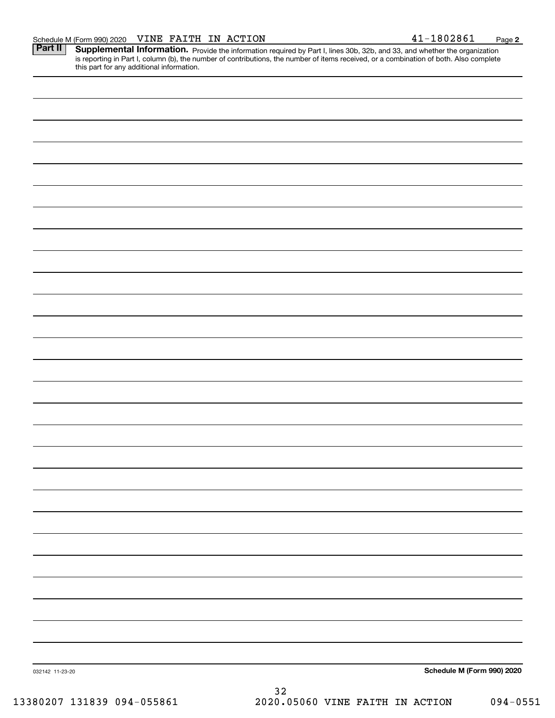Part II | Supplemental Information. Provide the information required by Part I, lines 30b, 32b, and 33, and whether the organization is reporting in Part I, column (b), the number of contributions, the number of items received, or a combination of both. Also complete this part for any additional information.

| 13380207 131839 094-055861 | $3\,2$<br>2020.05060 VINE FAITH IN ACTION<br>$094 - 0551$ |
|----------------------------|-----------------------------------------------------------|
| 032142 11-23-20            | Schedule M (Form 990) 2020                                |
|                            |                                                           |
|                            |                                                           |
|                            |                                                           |
|                            |                                                           |
|                            |                                                           |
|                            |                                                           |
|                            |                                                           |
|                            |                                                           |
|                            |                                                           |
|                            |                                                           |
|                            |                                                           |
|                            |                                                           |
|                            |                                                           |
|                            |                                                           |
|                            |                                                           |
|                            |                                                           |
|                            |                                                           |
|                            |                                                           |
|                            |                                                           |
|                            |                                                           |
|                            |                                                           |
|                            |                                                           |
|                            |                                                           |
|                            |                                                           |
|                            |                                                           |
|                            |                                                           |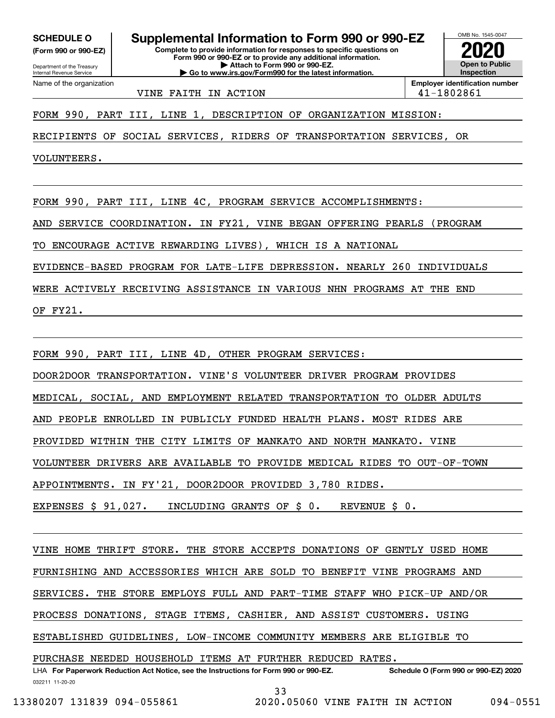**(Form 990 or 990-EZ)**

Department of the Treasury Internal Revenue Service Name of the organization

**Complete to provide information for responses to specific questions on Form 990 or 990-EZ or to provide any additional information. SCHEDULE O Supplemental Information to Form 990 or 990-EZ**

**| Attach to Form 990 or 990-EZ. | Go to www.irs.gov/Form990 for the latest information.** **Open to Public Inspection2020**

OMB No. 1545-0047

VINE FAITH IN ACTION 41-1802861

**Employer identification number**

FORM 990, PART III, LINE 1, DESCRIPTION OF ORGANIZATION MISSION:

RECIPIENTS OF SOCIAL SERVICES, RIDERS OF TRANSPORTATION SERVICES, OR

VOLUNTEERS.

FORM 990, PART III, LINE 4C, PROGRAM SERVICE ACCOMPLISHMENTS:

AND SERVICE COORDINATION. IN FY21, VINE BEGAN OFFERING PEARLS (PROGRAM

TO ENCOURAGE ACTIVE REWARDING LIVES), WHICH IS A NATIONAL

EVIDENCE-BASED PROGRAM FOR LATE-LIFE DEPRESSION. NEARLY 260 INDIVIDUALS

WERE ACTIVELY RECEIVING ASSISTANCE IN VARIOUS NHN PROGRAMS AT THE END

OF FY21.

FORM 990, PART III, LINE 4D, OTHER PROGRAM SERVICES:

DOOR2DOOR TRANSPORTATION. VINE'S VOLUNTEER DRIVER PROGRAM PROVIDES

MEDICAL, SOCIAL, AND EMPLOYMENT RELATED TRANSPORTATION TO OLDER ADULTS

AND PEOPLE ENROLLED IN PUBLICLY FUNDED HEALTH PLANS. MOST RIDES ARE

PROVIDED WITHIN THE CITY LIMITS OF MANKATO AND NORTH MANKATO. VINE

VOLUNTEER DRIVERS ARE AVAILABLE TO PROVIDE MEDICAL RIDES TO OUT-OF-TOWN

APPOINTMENTS. IN FY'21, DOOR2DOOR PROVIDED 3,780 RIDES.

EXPENSES \$ 91,027. INCLUDING GRANTS OF \$ 0. REVENUE \$ 0.

VINE HOME THRIFT STORE. THE STORE ACCEPTS DONATIONS OF GENTLY USED HOME FURNISHING AND ACCESSORIES WHICH ARE SOLD TO BENEFIT VINE PROGRAMS AND SERVICES. THE STORE EMPLOYS FULL AND PART-TIME STAFF WHO PICK-UP AND/OR PROCESS DONATIONS, STAGE ITEMS, CASHIER, AND ASSIST CUSTOMERS. USING ESTABLISHED GUIDELINES, LOW-INCOME COMMUNITY MEMBERS ARE ELIGIBLE TO PURCHASE NEEDED HOUSEHOLD ITEMS AT FURTHER REDUCED RATES.

032211 11-20-20 LHA For Paperwork Reduction Act Notice, see the Instructions for Form 990 or 990-EZ. Schedule O (Form 990 or 990-EZ) 2020

33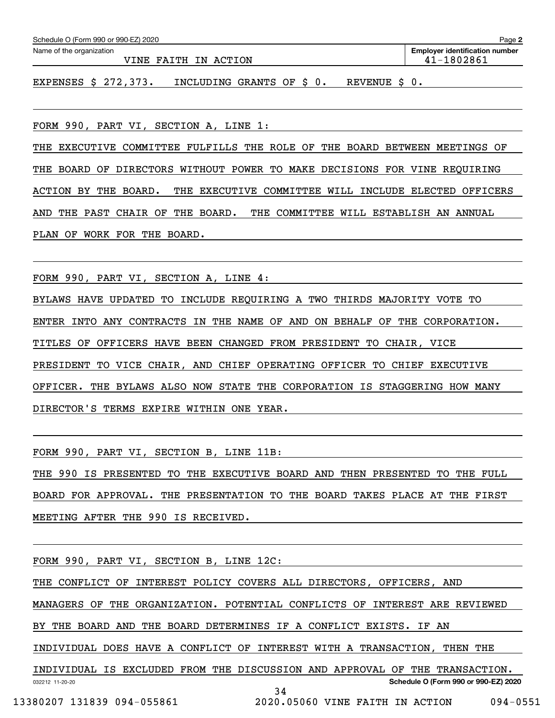| Schedule O (Form 990 or 990-EZ) 2020                                          | Page 2                                              |
|-------------------------------------------------------------------------------|-----------------------------------------------------|
| Name of the organization<br>VINE FAITH IN ACTION                              | <b>Employer identification number</b><br>41-1802861 |
| EXPENSES \$ 272,373.<br>INCLUDING GRANTS OF \$ 0.<br>REVENUE \$ 0.            |                                                     |
| FORM 990, PART VI, SECTION A, LINE 1:                                         |                                                     |
| EXECUTIVE COMMITTEE FULFILLS THE ROLE OF THE BOARD BETWEEN MEETINGS OF<br>THE |                                                     |

THE BOARD OF DIRECTORS WITHOUT POWER TO MAKE DECISIONS FOR VINE REQUIRING ACTION BY THE BOARD. THE EXECUTIVE COMMITTEE WILL INCLUDE ELECTED OFFICERS AND THE PAST CHAIR OF THE BOARD. THE COMMITTEE WILL ESTABLISH AN ANNUAL PLAN OF WORK FOR THE BOARD.

FORM 990, PART VI, SECTION A, LINE 4:

BYLAWS HAVE UPDATED TO INCLUDE REQUIRING A TWO THIRDS MAJORITY VOTE TO ENTER INTO ANY CONTRACTS IN THE NAME OF AND ON BEHALF OF THE CORPORATION. TITLES OF OFFICERS HAVE BEEN CHANGED FROM PRESIDENT TO CHAIR, VICE PRESIDENT TO VICE CHAIR, AND CHIEF OPERATING OFFICER TO CHIEF EXECUTIVE OFFICER. THE BYLAWS ALSO NOW STATE THE CORPORATION IS STAGGERING HOW MANY DIRECTOR'S TERMS EXPIRE WITHIN ONE YEAR.

FORM 990, PART VI, SECTION B, LINE 11B:

THE 990 IS PRESENTED TO THE EXECUTIVE BOARD AND THEN PRESENTED TO THE FULL BOARD FOR APPROVAL. THE PRESENTATION TO THE BOARD TAKES PLACE AT THE FIRST MEETING AFTER THE 990 IS RECEIVED.

FORM 990, PART VI, SECTION B, LINE 12C:

THE CONFLICT OF INTEREST POLICY COVERS ALL DIRECTORS, OFFICERS, AND

MANAGERS OF THE ORGANIZATION. POTENTIAL CONFLICTS OF INTEREST ARE REVIEWED

BY THE BOARD AND THE BOARD DETERMINES IF A CONFLICT EXISTS. IF AN

INDIVIDUAL DOES HAVE A CONFLICT OF INTEREST WITH A TRANSACTION, THEN THE

032212 11-20-20 **Schedule O (Form 990 or 990-EZ) 2020** INDIVIDUAL IS EXCLUDED FROM THE DISCUSSION AND APPROVAL OF THE TRANSACTION. 34

13380207 131839 094-055861 2020.05060 VINE FAITH IN ACTION 094-0551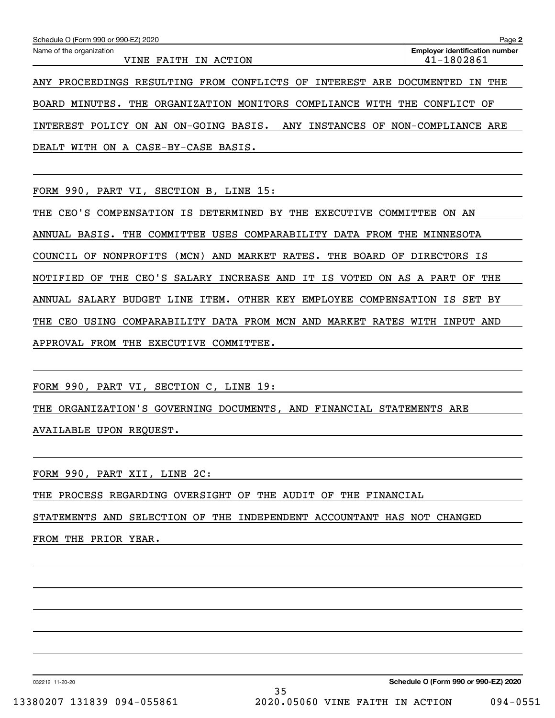| Schedule O (Form 990 or 990-EZ) 2020                                  | Page 2                                              |
|-----------------------------------------------------------------------|-----------------------------------------------------|
| Name of the organization<br>VINE FAITH IN ACTION                      | <b>Employer identification number</b><br>41-1802861 |
| ANY PROCEEDINGS RESULTING FROM CONFLICTS OF INTEREST ARE DOCUMENTED   | IN THE                                              |
| ORGANIZATION MONITORS COMPLIANCE WITH THE<br>MINUTES.<br>THE<br>BOARD | CONFLICT OF                                         |
| INTEREST POLICY ON AN ON-GOING BASIS. ANY                             | INSTANCES OF NON-COMPLIANCE ARE                     |
| DEALT WITH ON A CASE-BY-CASE BASIS.                                   |                                                     |

FORM 990, PART VI, SECTION B, LINE 15:

THE CEO'S COMPENSATION IS DETERMINED BY THE EXECUTIVE COMMITTEE ON AN ANNUAL BASIS. THE COMMITTEE USES COMPARABILITY DATA FROM THE MINNESOTA COUNCIL OF NONPROFITS (MCN) AND MARKET RATES. THE BOARD OF DIRECTORS IS NOTIFIED OF THE CEO'S SALARY INCREASE AND IT IS VOTED ON AS A PART OF THE ANNUAL SALARY BUDGET LINE ITEM. OTHER KEY EMPLOYEE COMPENSATION IS SET BY THE CEO USING COMPARABILITY DATA FROM MCN AND MARKET RATES WITH INPUT AND APPROVAL FROM THE EXECUTIVE COMMITTEE.

FORM 990, PART VI, SECTION C, LINE 19:

THE ORGANIZATION'S GOVERNING DOCUMENTS, AND FINANCIAL STATEMENTS ARE AVAILABLE UPON REQUEST.

FORM 990, PART XII, LINE 2C:

THE PROCESS REGARDING OVERSIGHT OF THE AUDIT OF THE FINANCIAL

STATEMENTS AND SELECTION OF THE INDEPENDENT ACCOUNTANT HAS NOT CHANGED

35

FROM THE PRIOR YEAR.

032212 11-20-20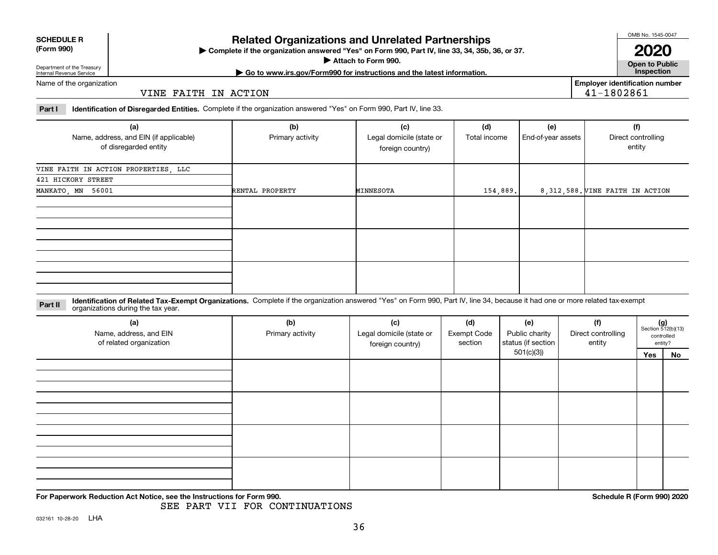| <b>SCHEDULE R</b>          |  |
|----------------------------|--|
| $(T - m \cdot \mathbf{A})$ |  |

**(Form 990)**

### **Related Organizations and Unrelated Partnerships**

**Complete if the organization answered "Yes" on Form 990, Part IV, line 33, 34, 35b, 36, or 37.** |

**Attach to Form 990.**  |

OMB No. 1545-0047

**Open to Public 2020**

**Employer identification number**

41-1802861

Department of the Treasury Internal Revenue Service

**| Go to www.irs.gov/Form990 for instructions and the latest information. Inspection**

Name of the organization

#### VINE FAITH IN ACTION

**Part I Identification of Disregarded Entities.**  Complete if the organization answered "Yes" on Form 990, Part IV, line 33.

| (a)<br>Name, address, and EIN (if applicable)<br>of disregarded entity | (b)<br>Primary activity | (c)<br>Legal domicile (state or<br>foreign country) | (d)<br>Total income | (e)<br>End-of-year assets | (f)<br>Direct controlling<br>entity |
|------------------------------------------------------------------------|-------------------------|-----------------------------------------------------|---------------------|---------------------------|-------------------------------------|
| VINE FAITH IN ACTION PROPERTIES, LLC                                   |                         |                                                     |                     |                           |                                     |
| 421 HICKORY STREET                                                     |                         |                                                     |                     |                           |                                     |
| MANKATO, MN 56001                                                      | RENTAL PROPERTY         | MINNESOTA                                           | 154,889.            |                           | 8, 312, 588. VINE FAITH IN ACTION   |
|                                                                        |                         |                                                     |                     |                           |                                     |
|                                                                        |                         |                                                     |                     |                           |                                     |
|                                                                        |                         |                                                     |                     |                           |                                     |

**Identification of Related Tax-Exempt Organizations.** Complete if the organization answered "Yes" on Form 990, Part IV, line 34, because it had one or more related tax-exempt **Part II** organizations during the tax year.

| (a)<br>Name, address, and EIN<br>of related organization | (b)<br>Primary activity | (c)<br>Legal domicile (state or<br>foreign country) | (d)<br><b>Exempt Code</b><br>section | (e)<br>Public charity<br>status (if section | (f)<br>Direct controlling<br>entity | $(g)$<br>Section 512(b)(13) | controlled<br>entity? |
|----------------------------------------------------------|-------------------------|-----------------------------------------------------|--------------------------------------|---------------------------------------------|-------------------------------------|-----------------------------|-----------------------|
|                                                          |                         |                                                     |                                      | 501(c)(3)                                   |                                     | Yes                         | No                    |
|                                                          |                         |                                                     |                                      |                                             |                                     |                             |                       |
|                                                          |                         |                                                     |                                      |                                             |                                     |                             |                       |
|                                                          |                         |                                                     |                                      |                                             |                                     |                             |                       |

**For Paperwork Reduction Act Notice, see the Instructions for Form 990. Schedule R (Form 990) 2020**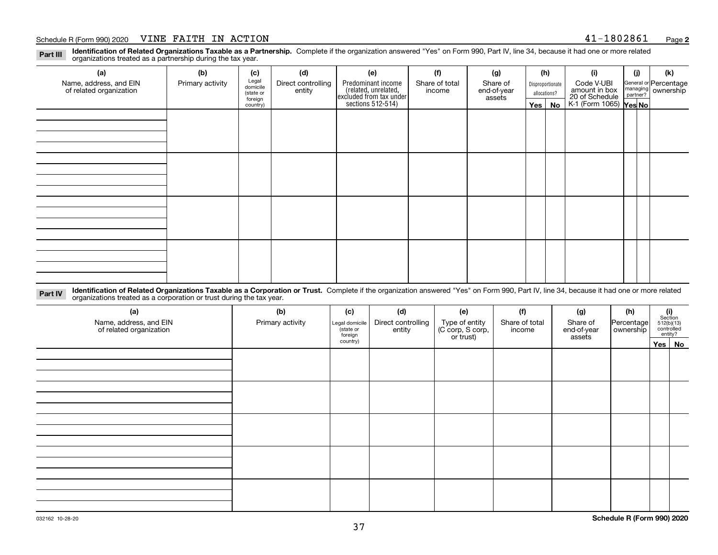**Identification of Related Organizations Taxable as a Partnership.** Complete if the organization answered "Yes" on Form 990, Part IV, line 34, because it had one or more related **Part III** organizations treated as a partnership during the tax year.

| (a)                                               | (b)              | (c)                  | (d)                          | (e)                                                                 | (f)                      | (g)                     |         | (h)              | (i)                                      | (j) | (k)                                                       |  |  |  |  |  |  |  |  |  |  |  |  |  |  |  |  |  |  |  |  |  |
|---------------------------------------------------|------------------|----------------------|------------------------------|---------------------------------------------------------------------|--------------------------|-------------------------|---------|------------------|------------------------------------------|-----|-----------------------------------------------------------|--|--|--|--|--|--|--|--|--|--|--|--|--|--|--|--|--|--|--|--|--|
| Name, address, and EIN<br>of related organization | Primary activity | Legal<br>domicile    | Direct controlling<br>entity | Predominant income                                                  | Share of total<br>income | Share of<br>end-of-year |         | Disproportionate | Code V-UBI<br>amount in box              |     | General or Percentage<br>managing<br>partner?<br>partner? |  |  |  |  |  |  |  |  |  |  |  |  |  |  |  |  |  |  |  |  |  |
|                                                   |                  | (state or<br>foreign |                              |                                                                     |                          | assets                  |         | allocations?     |                                          |     |                                                           |  |  |  |  |  |  |  |  |  |  |  |  |  |  |  |  |  |  |  |  |  |
|                                                   |                  | country)             |                              | related, unrelated,<br>excluded from tax under<br>sections 512-514) |                          |                         | Yes $ $ | No               | 20 of Schedule<br>K-1 (Form 1065) Yes No |     |                                                           |  |  |  |  |  |  |  |  |  |  |  |  |  |  |  |  |  |  |  |  |  |
|                                                   |                  |                      |                              |                                                                     |                          |                         |         |                  |                                          |     |                                                           |  |  |  |  |  |  |  |  |  |  |  |  |  |  |  |  |  |  |  |  |  |
|                                                   |                  |                      |                              |                                                                     |                          |                         |         |                  |                                          |     |                                                           |  |  |  |  |  |  |  |  |  |  |  |  |  |  |  |  |  |  |  |  |  |
|                                                   |                  |                      |                              |                                                                     |                          |                         |         |                  |                                          |     |                                                           |  |  |  |  |  |  |  |  |  |  |  |  |  |  |  |  |  |  |  |  |  |
|                                                   |                  |                      |                              |                                                                     |                          |                         |         |                  |                                          |     |                                                           |  |  |  |  |  |  |  |  |  |  |  |  |  |  |  |  |  |  |  |  |  |
|                                                   |                  |                      |                              |                                                                     |                          |                         |         |                  |                                          |     |                                                           |  |  |  |  |  |  |  |  |  |  |  |  |  |  |  |  |  |  |  |  |  |
|                                                   |                  |                      |                              |                                                                     |                          |                         |         |                  |                                          |     |                                                           |  |  |  |  |  |  |  |  |  |  |  |  |  |  |  |  |  |  |  |  |  |
|                                                   |                  |                      |                              |                                                                     |                          |                         |         |                  |                                          |     |                                                           |  |  |  |  |  |  |  |  |  |  |  |  |  |  |  |  |  |  |  |  |  |
|                                                   |                  |                      |                              |                                                                     |                          |                         |         |                  |                                          |     |                                                           |  |  |  |  |  |  |  |  |  |  |  |  |  |  |  |  |  |  |  |  |  |
|                                                   |                  |                      |                              |                                                                     |                          |                         |         |                  |                                          |     |                                                           |  |  |  |  |  |  |  |  |  |  |  |  |  |  |  |  |  |  |  |  |  |
|                                                   |                  |                      |                              |                                                                     |                          |                         |         |                  |                                          |     |                                                           |  |  |  |  |  |  |  |  |  |  |  |  |  |  |  |  |  |  |  |  |  |
|                                                   |                  |                      |                              |                                                                     |                          |                         |         |                  |                                          |     |                                                           |  |  |  |  |  |  |  |  |  |  |  |  |  |  |  |  |  |  |  |  |  |
|                                                   |                  |                      |                              |                                                                     |                          |                         |         |                  |                                          |     |                                                           |  |  |  |  |  |  |  |  |  |  |  |  |  |  |  |  |  |  |  |  |  |
|                                                   |                  |                      |                              |                                                                     |                          |                         |         |                  |                                          |     |                                                           |  |  |  |  |  |  |  |  |  |  |  |  |  |  |  |  |  |  |  |  |  |
|                                                   |                  |                      |                              |                                                                     |                          |                         |         |                  |                                          |     |                                                           |  |  |  |  |  |  |  |  |  |  |  |  |  |  |  |  |  |  |  |  |  |
|                                                   |                  |                      |                              |                                                                     |                          |                         |         |                  |                                          |     |                                                           |  |  |  |  |  |  |  |  |  |  |  |  |  |  |  |  |  |  |  |  |  |
|                                                   |                  |                      |                              |                                                                     |                          |                         |         |                  |                                          |     |                                                           |  |  |  |  |  |  |  |  |  |  |  |  |  |  |  |  |  |  |  |  |  |
|                                                   |                  |                      |                              |                                                                     |                          |                         |         |                  |                                          |     |                                                           |  |  |  |  |  |  |  |  |  |  |  |  |  |  |  |  |  |  |  |  |  |

**Identification of Related Organizations Taxable as a Corporation or Trust.** Complete if the organization answered "Yes" on Form 990, Part IV, line 34, because it had one or more related **Part IV** organizations treated as a corporation or trust during the tax year.

| (a)<br>Name, address, and EIN<br>of related organization | (b)<br>Primary activity | (c)<br>Legal domicile<br>(state or<br>foreign | (d)<br>Direct controlling<br>entity | (e)<br>Type of entity<br>(C corp, S corp,<br>or trust) | (f)<br>Share of total<br>income | (g)<br>Share of<br>end-of-year<br>assets | (h)<br>Percentage<br>ownership | $\begin{array}{c} \textbf{(i)}\\ \text{Section}\\ 512 \text{(b)} \text{(13)}\\ \text{controlled}\\ \text{entity?} \end{array}$ |  |  |
|----------------------------------------------------------|-------------------------|-----------------------------------------------|-------------------------------------|--------------------------------------------------------|---------------------------------|------------------------------------------|--------------------------------|--------------------------------------------------------------------------------------------------------------------------------|--|--|
|                                                          |                         | country)                                      |                                     |                                                        |                                 |                                          |                                | Yes No                                                                                                                         |  |  |
|                                                          |                         |                                               |                                     |                                                        |                                 |                                          |                                |                                                                                                                                |  |  |
|                                                          |                         |                                               |                                     |                                                        |                                 |                                          |                                |                                                                                                                                |  |  |
|                                                          |                         |                                               |                                     |                                                        |                                 |                                          |                                |                                                                                                                                |  |  |
|                                                          |                         |                                               |                                     |                                                        |                                 |                                          |                                |                                                                                                                                |  |  |
|                                                          |                         |                                               |                                     |                                                        |                                 |                                          |                                |                                                                                                                                |  |  |
|                                                          |                         |                                               |                                     |                                                        |                                 |                                          |                                |                                                                                                                                |  |  |
|                                                          |                         |                                               |                                     |                                                        |                                 |                                          |                                |                                                                                                                                |  |  |
|                                                          |                         |                                               |                                     |                                                        |                                 |                                          |                                |                                                                                                                                |  |  |
|                                                          |                         |                                               |                                     |                                                        |                                 |                                          |                                |                                                                                                                                |  |  |
|                                                          |                         |                                               |                                     |                                                        |                                 |                                          |                                |                                                                                                                                |  |  |
|                                                          |                         |                                               |                                     |                                                        |                                 |                                          |                                |                                                                                                                                |  |  |
|                                                          |                         |                                               |                                     |                                                        |                                 |                                          |                                |                                                                                                                                |  |  |
|                                                          |                         |                                               |                                     |                                                        |                                 |                                          |                                |                                                                                                                                |  |  |
|                                                          |                         |                                               |                                     |                                                        |                                 |                                          |                                |                                                                                                                                |  |  |
|                                                          |                         |                                               |                                     |                                                        |                                 |                                          |                                |                                                                                                                                |  |  |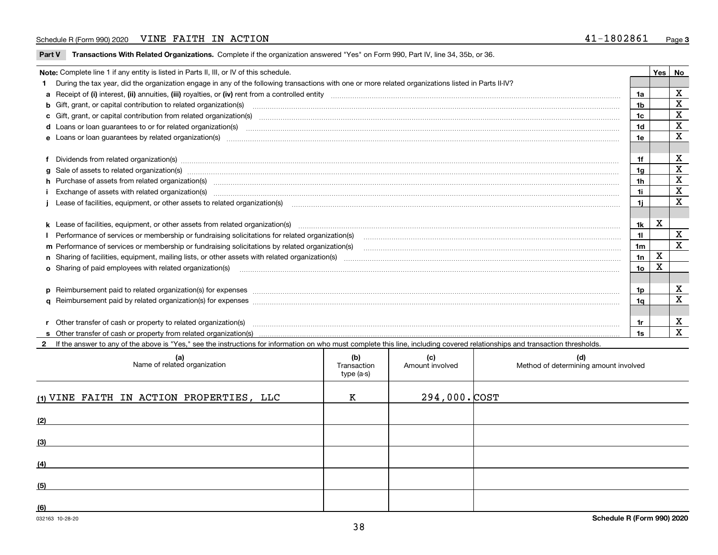**Part V** T**ransactions With Related Organizations.** Complete if the organization answered "Yes" on Form 990, Part IV, line 34, 35b, or 36.

| Note: Complete line 1 if any entity is listed in Parts II, III, or IV of this schedule.                                                                                                                                        |                 | Yes I | No                      |
|--------------------------------------------------------------------------------------------------------------------------------------------------------------------------------------------------------------------------------|-----------------|-------|-------------------------|
| During the tax year, did the organization engage in any of the following transactions with one or more related organizations listed in Parts II-IV?                                                                            |                 |       |                         |
|                                                                                                                                                                                                                                | 1a              |       | X                       |
| b Gift, grant, or capital contribution to related organization(s) manufaction(s) and content to related organization (s) and contribution to related organization(s) manufactured content and content of the state of Gift, gr | 1b              |       | X                       |
| c Gift, grant, or capital contribution from related organization(s) manufaction contains and contribution from related organization(s) manufaction contains and contribution from related organization(s) manufaction contains | 1c              |       | $\mathbf X$             |
| d Loans or loan guarantees to or for related organization(s) committion contracts are constructed as a control or contract or contract or contract or contract or contract or contract or contract or contract or contract or  | 1 <sub>d</sub>  |       | $\mathbf x$             |
| e Loans or loan guarantees by related organization(s) encontraction contains and contain a construction of the state of the state organization (s) encoderation and construction of the state of the state of the state of the | 1e              |       | X                       |
|                                                                                                                                                                                                                                |                 |       |                         |
| f Dividends from related organization(s) manufactured contains and contained a series of the contact of the contact of the contact of the contact of the contact of the contact of the contact of the contact of the contact o | 1f              |       | X                       |
| g Sale of assets to related organization(s) www.assettion.com/www.assettion.com/www.assettion.com/www.assettion.com/www.assettion.com/www.assettion.com/www.assettion.com/www.assettion.com/www.assettion.com/www.assettion.co | 1a              |       | X                       |
| h Purchase of assets from related organization(s) manufactured and content to content the content of assets from related organization(s)                                                                                       | 1 <sub>h</sub>  |       | X                       |
| Exchange of assets with related organization(s) www.wallen.com/www.wallen.com/www.wallen.com/www.wallen.com/www.wallen.com/www.wallen.com/www.wallen.com/www.wallen.com/www.wallen.com/www.wallen.com/www.wallen.com/www.walle | 1i              |       | $\mathbf x$             |
| Lease of facilities, equipment, or other assets to related organization(s) [11] manufactured manufactured manufactured manufactured manufactured manufactured manufactured manufactured manufactured manufactured manufactured | 1i.             |       | $\overline{\mathbf{x}}$ |
|                                                                                                                                                                                                                                |                 |       |                         |
|                                                                                                                                                                                                                                | 1k              | X     |                         |
| Performance of services or membership or fundraising solicitations for related organization(s) [11] production content in the service of services or membership or fundraising solicitations for related organization(s) [11]  | 11              |       | $\mathbf X$             |
| m Performance of services or membership or fundraising solicitations by related organization(s)                                                                                                                                | 1m              |       | X                       |
|                                                                                                                                                                                                                                | 1n              | X     |                         |
| <b>o</b> Sharing of paid employees with related organization(s)                                                                                                                                                                | 10 <sub>o</sub> | X     |                         |
|                                                                                                                                                                                                                                |                 |       |                         |
| p Reimbursement paid to related organization(s) for expenses [111] resummand content to content the set of the set of the set of the set of the set of the set of the set of the set of the set of the set of the set of the s | 1p.             |       | X                       |
|                                                                                                                                                                                                                                | 1a              |       | X                       |
|                                                                                                                                                                                                                                |                 |       |                         |
| r Other transfer of cash or property to related organization(s)                                                                                                                                                                | 1r              |       | X                       |
|                                                                                                                                                                                                                                | 1s              |       | X                       |
| 2 If the answer to any of the above is "Yes," see the instructions for information on who must complete this line, including covered relationships and transaction thresholds.                                                 |                 |       |                         |

| (a)<br>Name of related organization      | (b)<br>Transaction<br>type (a-s) | (c)<br>Amount involved | (d)<br>Method of determining amount involved |
|------------------------------------------|----------------------------------|------------------------|----------------------------------------------|
| (1) VINE FAITH IN ACTION PROPERTIES, LLC | Κ                                | 294,000. COST          |                                              |
| (2)                                      |                                  |                        |                                              |
| (3)                                      |                                  |                        |                                              |
| (4)                                      |                                  |                        |                                              |
| (5)                                      |                                  |                        |                                              |
| (6)                                      |                                  |                        |                                              |
|                                          |                                  |                        |                                              |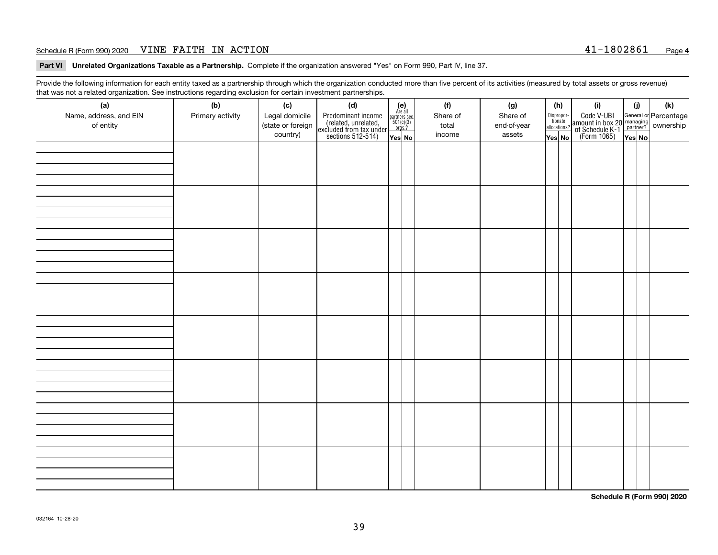**Part VI Unrelated Organizations Taxable as a Partnership. Complete if the organization answered "Yes" on Form 990, Part IV, line 37.** 

Provide the following information for each entity taxed as a partnership through which the organization conducted more than five percent of its activities (measured by total assets or gross revenue) that was not a related organization. See instructions regarding exclusion for certain investment partnerships.

| ັ                      | ັ<br>ັ           |                   |                                                                                            |                                                                                               |          |             |                                  |  |                                                                                                  |        |     |  |  |  |  |
|------------------------|------------------|-------------------|--------------------------------------------------------------------------------------------|-----------------------------------------------------------------------------------------------|----------|-------------|----------------------------------|--|--------------------------------------------------------------------------------------------------|--------|-----|--|--|--|--|
| (a)                    | (b)              | (c)               | (d)                                                                                        | $(e)$<br>Are all                                                                              | (f)      | (g)         | (h)                              |  | (i)                                                                                              | (i)    | (k) |  |  |  |  |
| Name, address, and EIN | Primary activity | Legal domicile    | Predominant income<br>(related, unrelated,<br>excluded from tax under<br>sections 512-514) |                                                                                               | Share of | Share of    | Disproportionate<br>allocations? |  | Code V-UBI<br>amount in box 20 managing<br>of Schedule K-1<br>(Form 1065)<br>$\overline{Yes}$ No |        |     |  |  |  |  |
| of entity              |                  | (state or foreign |                                                                                            | $\begin{array}{c}\n\text{partners} & \text{sec.} \\ 501(c)(3) & \text{orgs.?} \\ \end{array}$ | total    | end-of-year |                                  |  |                                                                                                  |        |     |  |  |  |  |
|                        |                  | country)          |                                                                                            |                                                                                               | income   | assets      |                                  |  |                                                                                                  |        |     |  |  |  |  |
|                        |                  |                   |                                                                                            | Yes No                                                                                        |          |             | Yes No                           |  |                                                                                                  | Yes No |     |  |  |  |  |
|                        |                  |                   |                                                                                            |                                                                                               |          |             |                                  |  |                                                                                                  |        |     |  |  |  |  |
|                        |                  |                   |                                                                                            |                                                                                               |          |             |                                  |  |                                                                                                  |        |     |  |  |  |  |
|                        |                  |                   |                                                                                            |                                                                                               |          |             |                                  |  |                                                                                                  |        |     |  |  |  |  |
|                        |                  |                   |                                                                                            |                                                                                               |          |             |                                  |  |                                                                                                  |        |     |  |  |  |  |
|                        |                  |                   |                                                                                            |                                                                                               |          |             |                                  |  |                                                                                                  |        |     |  |  |  |  |
|                        |                  |                   |                                                                                            |                                                                                               |          |             |                                  |  |                                                                                                  |        |     |  |  |  |  |
|                        |                  |                   |                                                                                            |                                                                                               |          |             |                                  |  |                                                                                                  |        |     |  |  |  |  |
|                        |                  |                   |                                                                                            |                                                                                               |          |             |                                  |  |                                                                                                  |        |     |  |  |  |  |
|                        |                  |                   |                                                                                            |                                                                                               |          |             |                                  |  |                                                                                                  |        |     |  |  |  |  |
|                        |                  |                   |                                                                                            |                                                                                               |          |             |                                  |  |                                                                                                  |        |     |  |  |  |  |
|                        |                  |                   |                                                                                            |                                                                                               |          |             |                                  |  |                                                                                                  |        |     |  |  |  |  |
|                        |                  |                   |                                                                                            |                                                                                               |          |             |                                  |  |                                                                                                  |        |     |  |  |  |  |
|                        |                  |                   |                                                                                            |                                                                                               |          |             |                                  |  |                                                                                                  |        |     |  |  |  |  |
|                        |                  |                   |                                                                                            |                                                                                               |          |             |                                  |  |                                                                                                  |        |     |  |  |  |  |
|                        |                  |                   |                                                                                            |                                                                                               |          |             |                                  |  |                                                                                                  |        |     |  |  |  |  |
|                        |                  |                   |                                                                                            |                                                                                               |          |             |                                  |  |                                                                                                  |        |     |  |  |  |  |
|                        |                  |                   |                                                                                            |                                                                                               |          |             |                                  |  |                                                                                                  |        |     |  |  |  |  |
|                        |                  |                   |                                                                                            |                                                                                               |          |             |                                  |  |                                                                                                  |        |     |  |  |  |  |
|                        |                  |                   |                                                                                            |                                                                                               |          |             |                                  |  |                                                                                                  |        |     |  |  |  |  |
|                        |                  |                   |                                                                                            |                                                                                               |          |             |                                  |  |                                                                                                  |        |     |  |  |  |  |
|                        |                  |                   |                                                                                            |                                                                                               |          |             |                                  |  |                                                                                                  |        |     |  |  |  |  |
|                        |                  |                   |                                                                                            |                                                                                               |          |             |                                  |  |                                                                                                  |        |     |  |  |  |  |
|                        |                  |                   |                                                                                            |                                                                                               |          |             |                                  |  |                                                                                                  |        |     |  |  |  |  |
|                        |                  |                   |                                                                                            |                                                                                               |          |             |                                  |  |                                                                                                  |        |     |  |  |  |  |
|                        |                  |                   |                                                                                            |                                                                                               |          |             |                                  |  |                                                                                                  |        |     |  |  |  |  |
|                        |                  |                   |                                                                                            |                                                                                               |          |             |                                  |  |                                                                                                  |        |     |  |  |  |  |
|                        |                  |                   |                                                                                            |                                                                                               |          |             |                                  |  |                                                                                                  |        |     |  |  |  |  |
|                        |                  |                   |                                                                                            |                                                                                               |          |             |                                  |  |                                                                                                  |        |     |  |  |  |  |
|                        |                  |                   |                                                                                            |                                                                                               |          |             |                                  |  |                                                                                                  |        |     |  |  |  |  |
|                        |                  |                   |                                                                                            |                                                                                               |          |             |                                  |  |                                                                                                  |        |     |  |  |  |  |
|                        |                  |                   |                                                                                            |                                                                                               |          |             |                                  |  |                                                                                                  |        |     |  |  |  |  |
|                        |                  |                   |                                                                                            |                                                                                               |          |             |                                  |  |                                                                                                  |        |     |  |  |  |  |
|                        |                  |                   |                                                                                            |                                                                                               |          |             |                                  |  |                                                                                                  |        |     |  |  |  |  |
|                        |                  |                   |                                                                                            |                                                                                               |          |             |                                  |  |                                                                                                  |        |     |  |  |  |  |
|                        |                  |                   |                                                                                            |                                                                                               |          |             |                                  |  |                                                                                                  |        |     |  |  |  |  |
|                        |                  |                   |                                                                                            |                                                                                               |          |             |                                  |  |                                                                                                  |        |     |  |  |  |  |
|                        |                  |                   |                                                                                            |                                                                                               |          |             |                                  |  |                                                                                                  |        |     |  |  |  |  |
|                        |                  |                   |                                                                                            |                                                                                               |          |             |                                  |  |                                                                                                  |        |     |  |  |  |  |
|                        |                  |                   |                                                                                            |                                                                                               |          |             |                                  |  |                                                                                                  |        |     |  |  |  |  |
|                        |                  |                   |                                                                                            |                                                                                               |          |             |                                  |  |                                                                                                  |        |     |  |  |  |  |
|                        |                  |                   |                                                                                            |                                                                                               |          |             |                                  |  |                                                                                                  |        |     |  |  |  |  |
|                        |                  |                   |                                                                                            |                                                                                               |          |             |                                  |  |                                                                                                  |        |     |  |  |  |  |
|                        |                  |                   |                                                                                            |                                                                                               |          |             |                                  |  |                                                                                                  |        |     |  |  |  |  |

**Schedule R (Form 990) 2020**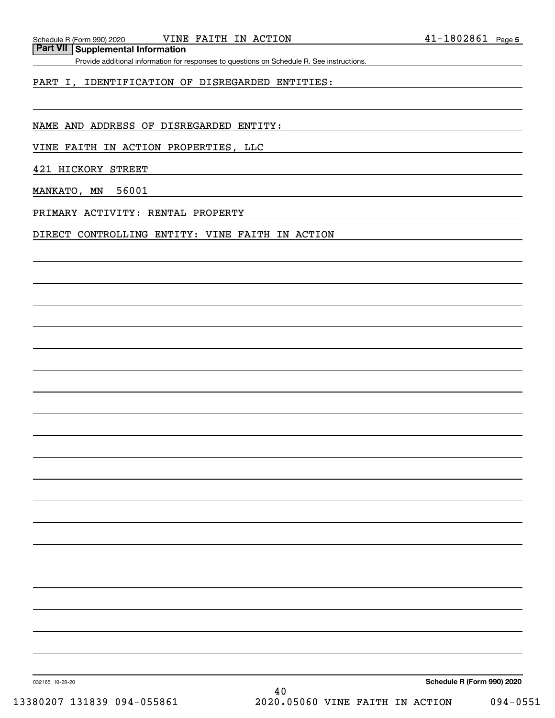**Part VII Supplemental Information**

Provide additional information for responses to questions on Schedule R. See instructions.

#### PART I, IDENTIFICATION OF DISREGARDED ENTITIES:

NAME AND ADDRESS OF DISREGARDED ENTITY:

VINE FAITH IN ACTION PROPERTIES, LLC

421 HICKORY STREET

MANKATO, MN 56001

PRIMARY ACTIVITY: RENTAL PROPERTY

DIRECT CONTROLLING ENTITY: VINE FAITH IN ACTION

**Schedule R (Form 990) 2020**

032165 10-28-20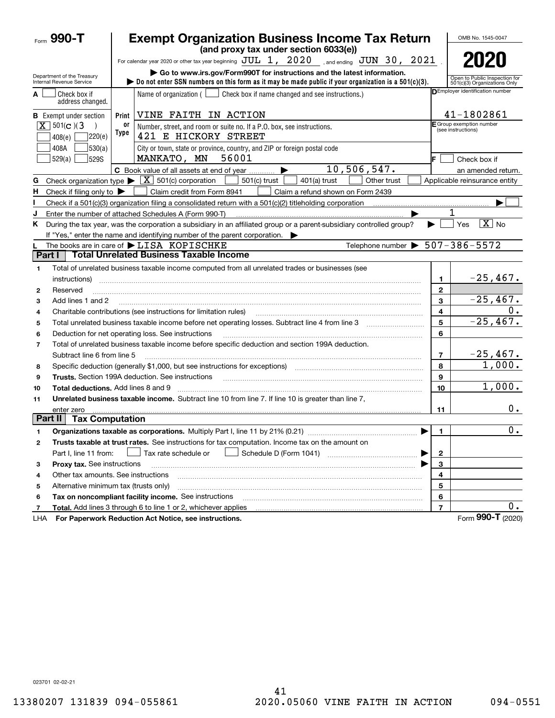|                          | Form 990-T                                             |            | <b>Exempt Organization Business Income Tax Return</b>                                                                                                                                               |                | OMB No. 1545-0047                                             |
|--------------------------|--------------------------------------------------------|------------|-----------------------------------------------------------------------------------------------------------------------------------------------------------------------------------------------------|----------------|---------------------------------------------------------------|
|                          |                                                        |            | (and proxy tax under section 6033(e))                                                                                                                                                               |                |                                                               |
|                          |                                                        |            | For calendar year 2020 or other tax year beginning $JUL$ 1, $2020$ , and ending $JUN$ 30, $2021$ .                                                                                                  |                | 2020                                                          |
|                          | Department of the Treasury<br>Internal Revenue Service |            | Go to www.irs.gov/Form990T for instructions and the latest information.<br>bo not enter SSN numbers on this form as it may be made public if your organization is a $501(c)(3)$ .                   |                | Open to Public Inspection for<br>501(c)(3) Organizations Only |
| A                        | Check box if<br>address changed.                       |            | Name of organization $($<br>Check box if name changed and see instructions.)                                                                                                                        |                | DEmployer identification number                               |
|                          | <b>B</b> Exempt under section                          | Print      | VINE FAITH IN ACTION                                                                                                                                                                                |                | 41-1802861                                                    |
|                          | $\boxed{\mathbf{X}}$ 501(c)(3<br>220(e)<br>408(e)      | 0r<br>Type | Number, street, and room or suite no. If a P.O. box, see instructions.<br>421 E HICKORY STREET                                                                                                      |                | E Group exemption number<br>(see instructions)                |
|                          | 530(a) <br>408A<br>529S<br>529(a)                      |            | City or town, state or province, country, and ZIP or foreign postal code<br>MANKATO, MN<br>56001                                                                                                    | lF.            | Check box if                                                  |
|                          |                                                        |            | 10,506,547.<br>C Book value of all assets at end of year                                                                                                                                            |                | an amended return.                                            |
| G                        |                                                        |            | Check organization type $\blacktriangleright \boxed{X}$ 501(c) corporation<br>501(c) trust<br>401(a) trust<br>Other trust                                                                           |                | Applicable reinsurance entity                                 |
| Н.                       | Check if filing only to $\blacktriangleright$          |            | Claim credit from Form 8941<br>Claim a refund shown on Form 2439                                                                                                                                    |                |                                                               |
|                          |                                                        |            |                                                                                                                                                                                                     |                |                                                               |
|                          |                                                        |            | Enter the number of attached Schedules A (Form 990-T)<br>▶                                                                                                                                          |                |                                                               |
| Κ                        |                                                        |            | During the tax year, was the corporation a subsidiary in an affiliated group or a parent-subsidiary controlled group?<br>If "Yes," enter the name and identifying number of the parent corporation. |                | $\overline{X}$ No<br>Yes                                      |
|                          |                                                        |            | Telephone number $\triangleright$ 507-386-5572<br>The books are in care of $\blacktriangleright$ LISA KOPISCHKE                                                                                     |                |                                                               |
| Part I                   |                                                        |            | <b>Total Unrelated Business Taxable Income</b>                                                                                                                                                      |                |                                                               |
| 1                        |                                                        |            | Total of unrelated business taxable income computed from all unrelated trades or businesses (see                                                                                                    |                |                                                               |
|                          | instructions)                                          |            |                                                                                                                                                                                                     | 1              | $-25,467.$                                                    |
| 2                        | Reserved                                               |            |                                                                                                                                                                                                     | $\mathbf{2}$   |                                                               |
| 3                        | Add lines 1 and 2                                      |            |                                                                                                                                                                                                     | 3              | $-25, 467.$                                                   |
| 4                        |                                                        |            | Charitable contributions (see instructions for limitation rules)                                                                                                                                    | 4              | 0.                                                            |
| 5                        |                                                        |            |                                                                                                                                                                                                     | 5              | $-25,467.$                                                    |
| 6                        |                                                        |            | Deduction for net operating loss. See instructions                                                                                                                                                  | 6              |                                                               |
| $\overline{\phantom{a}}$ |                                                        |            | Total of unrelated business taxable income before specific deduction and section 199A deduction.                                                                                                    |                |                                                               |
|                          | Subtract line 6 from line 5                            |            |                                                                                                                                                                                                     | $\overline{7}$ | $-25$ , 467.                                                  |
| 8                        |                                                        |            | Specific deduction (generally \$1,000, but see instructions for exceptions) manufactured contains an exception of                                                                                   | 8              | 1,000.                                                        |
| 9                        |                                                        |            | <b>Trusts.</b> Section 199A deduction. See instructions                                                                                                                                             | 9              |                                                               |
| 10                       | Total deductions. Add lines 8 and 9                    |            |                                                                                                                                                                                                     | 10             | 1,000.                                                        |
| 11                       |                                                        |            | Unrelated business taxable income. Subtract line 10 from line 7. If line 10 is greater than line 7,                                                                                                 |                |                                                               |
|                          | enter zero                                             |            |                                                                                                                                                                                                     | 11             | 0.                                                            |
| Part II                  | <b>Tax Computation</b>                                 |            |                                                                                                                                                                                                     |                |                                                               |
|                          |                                                        |            | Organizations taxable as corporations. Multiply Part I, line 11 by 21% (0.21)                                                                                                                       | $\mathbf{1}$   | $0$ .                                                         |
| 2                        |                                                        |            | Trusts taxable at trust rates. See instructions for tax computation. Income tax on the amount on                                                                                                    |                |                                                               |
|                          | Part I, line 11 from:                                  |            | Schedule D (Form 1041)<br>Tax rate schedule or                                                                                                                                                      | $\mathbf{2}$   |                                                               |
| з                        | Proxy tax. See instructions                            |            |                                                                                                                                                                                                     | 3              |                                                               |
| 4                        | Other tax amounts. See instructions                    |            |                                                                                                                                                                                                     | 4              |                                                               |
| 5                        | Alternative minimum tax (trusts only)                  |            |                                                                                                                                                                                                     | 5              |                                                               |
| 6                        |                                                        |            | Tax on noncompliant facility income. See instructions                                                                                                                                               | 6              |                                                               |
| 7                        |                                                        |            | Total. Add lines 3 through 6 to line 1 or 2, whichever applies                                                                                                                                      | $\overline{7}$ | $0$ .                                                         |
| LHA                      |                                                        |            | For Paperwork Reduction Act Notice, see instructions.                                                                                                                                               |                | Form 990-T (2020)                                             |

023701 02-02-21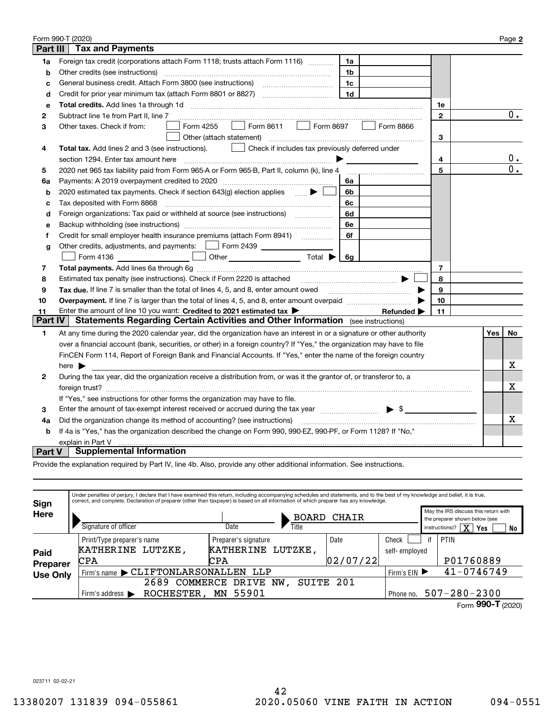|                   | Form 990-T (2020)                                                                                                       |    |     | Page 2 |  |  |
|-------------------|-------------------------------------------------------------------------------------------------------------------------|----|-----|--------|--|--|
| <b>Part III</b>   | <b>Tax and Payments</b>                                                                                                 |    |     |        |  |  |
| 1a                | Foreign tax credit (corporations attach Form 1118; trusts attach Form 1116)<br>1a                                       |    |     |        |  |  |
| b                 | Other credits (see instructions)<br>1b                                                                                  |    |     |        |  |  |
| c                 | 1c                                                                                                                      |    |     |        |  |  |
| d                 | 1 <sub>d</sub>                                                                                                          |    |     |        |  |  |
| e                 | <b>Total credits.</b> Add lines 1a through 1d                                                                           | 1e |     |        |  |  |
| 2                 | Subtract line 1e from Part II, line 7                                                                                   | 2  |     | 0.     |  |  |
| 3                 | Form 8611<br>Form 8697<br>Form 8866<br>Form 4255<br>Other taxes. Check if from:<br>$\mathbf{L}$                         |    |     |        |  |  |
|                   | Other (attach statement)                                                                                                | 3  |     |        |  |  |
| 4                 | Check if includes tax previously deferred under<br>Total tax. Add lines 2 and 3 (see instructions).                     |    |     |        |  |  |
|                   | section 1294. Enter tax amount here                                                                                     | 4  |     | 0.     |  |  |
| 5                 | 2020 net 965 tax liability paid from Form 965-A or Form 965-B, Part II, column (k), line 4                              | 5  |     | 0.     |  |  |
| 6a                | Payments: A 2019 overpayment credited to 2020 [11] [11] maximum materials: A 2019 overpayment credited to 2020<br>6a    |    |     |        |  |  |
| b                 | 2020 estimated tax payments. Check if section 643(g) election applies<br>6b                                             |    |     |        |  |  |
| c                 | Tax deposited with Form 8868<br>6с                                                                                      |    |     |        |  |  |
| d                 | Foreign organizations: Tax paid or withheld at source (see instructions) [100010000000000000000000000000000000<br>6d    |    |     |        |  |  |
| е                 | 6е                                                                                                                      |    |     |        |  |  |
| f                 | Credit for small employer health insurance premiums (attach Form 8941) [<br>6f                                          |    |     |        |  |  |
| g                 | Other credits, adjustments, and payments:   Form 2439                                                                   |    |     |        |  |  |
|                   | Other $\overline{\hspace{1cm}}$ Total $\blacktriangleright \begin{array}{ c c c }\hline \hspace{1.5cm}6g\end{array}$    |    |     |        |  |  |
| 7                 |                                                                                                                         | 7  |     |        |  |  |
| 8                 |                                                                                                                         | 8  |     |        |  |  |
| 9                 | Tax due. If line 7 is smaller than the total of lines 4, 5, and 8, enter amount owed <i>manumenon containers</i>        | 9  |     |        |  |  |
| 10                |                                                                                                                         | 10 |     |        |  |  |
| 11                | Enter the amount of line 10 you want: Credited to 2021 estimated tax $\blacktriangleright$<br>Refunded >                | 11 |     |        |  |  |
| Part IV           | <b>Statements Regarding Certain Activities and Other Information</b> (see instructions)                                 |    |     |        |  |  |
| $\mathbf{1}$      | At any time during the 2020 calendar year, did the organization have an interest in or a signature or other authority   |    | Yes | No     |  |  |
|                   | over a financial account (bank, securities, or other) in a foreign country? If "Yes," the organization may have to file |    |     |        |  |  |
|                   | FinCEN Form 114, Report of Foreign Bank and Financial Accounts. If "Yes," enter the name of the foreign country         |    |     |        |  |  |
|                   | here $\blacktriangleright$                                                                                              |    |     | х      |  |  |
| 2                 | During the tax year, did the organization receive a distribution from, or was it the grantor of, or transferor to, a    |    |     |        |  |  |
|                   |                                                                                                                         |    |     | x      |  |  |
|                   | If "Yes," see instructions for other forms the organization may have to file.                                           |    |     |        |  |  |
| 3                 | Enter the amount of tax-exempt interest received or accrued during the tax year manufactured $\blacktriangleright$ \$   |    |     |        |  |  |
| 4a                | Did the organization change its method of accounting? (see instructions)                                                |    |     |        |  |  |
| b                 | If 4a is "Yes," has the organization described the change on Form 990, 990-EZ, 990-PF, or Form 1128? If "No,"           |    |     |        |  |  |
| explain in Part V |                                                                                                                         |    |     |        |  |  |
| <b>Part V</b>     | <b>Supplemental Information</b>                                                                                         |    |     |        |  |  |

Provide the explanation required by Part IV, line 4b. Also, provide any other additional information. See instructions.

| Sign            | Under penalties of perjury, I declare that I have examined this return, including accompanying schedules and statements, and to the best of my knowledge and belief, it is true,<br>correct, and complete. Declaration of preparer (other than taxpayer) is based on all information of which preparer has any knowledge. |                                               |                                     |         |          |                                                                       |  |                                            |                             |    |
|-----------------|---------------------------------------------------------------------------------------------------------------------------------------------------------------------------------------------------------------------------------------------------------------------------------------------------------------------------|-----------------------------------------------|-------------------------------------|---------|----------|-----------------------------------------------------------------------|--|--------------------------------------------|-----------------------------|----|
| Here            |                                                                                                                                                                                                                                                                                                                           |                                               | CHAIR<br>BOARD                      |         |          | May the IRS discuss this return with<br>the preparer shown below (see |  |                                            |                             |    |
|                 | Signature of officer                                                                                                                                                                                                                                                                                                      |                                               | Date                                | Title   |          |                                                                       |  | $\boxed{\mathbf{X}}$ Yes<br>instructions)? |                             | No |
|                 | Print/Type preparer's name                                                                                                                                                                                                                                                                                                |                                               | Preparer's signature                |         | Date     | Check                                                                 |  | PTIN                                       |                             |    |
| Paid            | KATHERINE LUTZKE,                                                                                                                                                                                                                                                                                                         |                                               | KATHERINE                           | LUTZKE, |          | self-employed                                                         |  |                                            |                             |    |
| <b>Preparer</b> | <b>CPA</b>                                                                                                                                                                                                                                                                                                                |                                               | CPA                                 |         | 02/07/22 |                                                                       |  | P01760889                                  |                             |    |
| <b>Use Only</b> |                                                                                                                                                                                                                                                                                                                           | Firm's name CLIFTONLARSONALLEN LLP            |                                     |         |          |                                                                       |  | $41 - 0746749$                             |                             |    |
|                 |                                                                                                                                                                                                                                                                                                                           | SUITE 201<br>COMMERCE<br>2689<br>DRIVE<br>NW. |                                     |         |          |                                                                       |  |                                            |                             |    |
|                 | Firm's address $\blacktriangleright$                                                                                                                                                                                                                                                                                      |                                               | MN 55901<br>ROCHESTER,<br>Phone no. |         |          |                                                                       |  | $507 - 280 - 2300$                         |                             |    |
|                 |                                                                                                                                                                                                                                                                                                                           |                                               |                                     |         |          |                                                                       |  |                                            | $-$ 000 $\mathbf{T}$ (2000) |    |

Form (2020)  **990-T**

023711 02-02-21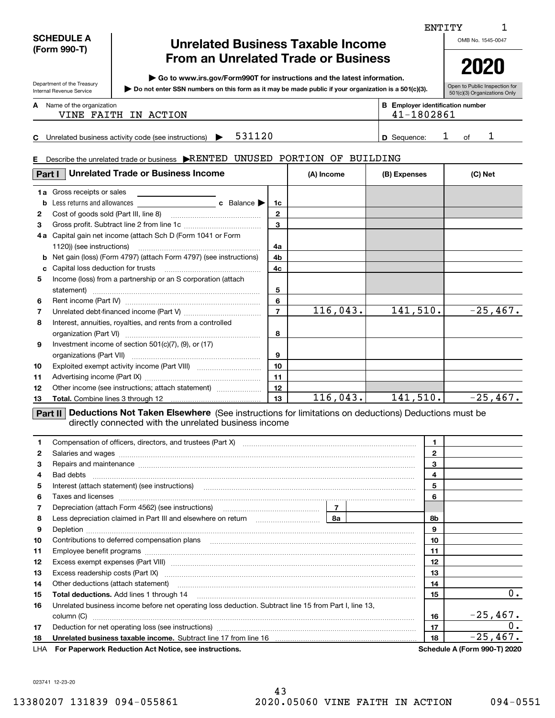|         | <b>SCHEDULE A</b><br><b>Unrelated Business Taxable Income</b><br>(Form 990-T)                                                                                 |                                                                                                                                                                                                                                                                                                 |                |                |                                         |              | OMB No. 1545-0047            |
|---------|---------------------------------------------------------------------------------------------------------------------------------------------------------------|-------------------------------------------------------------------------------------------------------------------------------------------------------------------------------------------------------------------------------------------------------------------------------------------------|----------------|----------------|-----------------------------------------|--------------|------------------------------|
|         | <b>From an Unrelated Trade or Business</b><br>► Go to www.irs.gov/Form990T for instructions and the latest information.                                       |                                                                                                                                                                                                                                                                                                 |                |                |                                         |              |                              |
|         | Department of the Treasury<br>Do not enter SSN numbers on this form as it may be made public if your organization is a 501(c)(3).<br>Internal Revenue Service |                                                                                                                                                                                                                                                                                                 |                |                |                                         |              |                              |
|         | <b>A</b> Name of the organization                                                                                                                             |                                                                                                                                                                                                                                                                                                 |                |                | <b>B</b> Employer identification number |              | 501(c)(3) Organizations Only |
|         |                                                                                                                                                               | VINE FAITH IN ACTION                                                                                                                                                                                                                                                                            |                |                | 41-1802861                              |              |                              |
|         |                                                                                                                                                               |                                                                                                                                                                                                                                                                                                 |                |                |                                         |              |                              |
|         |                                                                                                                                                               | 531120<br>C Unrelated business activity code (see instructions) $\blacktriangleright$                                                                                                                                                                                                           |                |                | <b>D</b> Sequence:                      | ı.           | 1<br>of                      |
|         |                                                                                                                                                               | E Describe the unrelated trade or business RENTED UNUSED PORTION OF BUILDING                                                                                                                                                                                                                    |                |                |                                         |              |                              |
| Part I  |                                                                                                                                                               | <b>Unrelated Trade or Business Income</b>                                                                                                                                                                                                                                                       |                | (A) Income     | (B) Expenses                            |              | (C) Net                      |
|         | <b>1a</b> Gross receipts or sales                                                                                                                             |                                                                                                                                                                                                                                                                                                 |                |                |                                         |              |                              |
|         |                                                                                                                                                               |                                                                                                                                                                                                                                                                                                 | 1c             |                |                                         |              |                              |
| 2       |                                                                                                                                                               |                                                                                                                                                                                                                                                                                                 | $\mathbf{2}$   |                |                                         |              |                              |
| 3       |                                                                                                                                                               |                                                                                                                                                                                                                                                                                                 | $\mathbf{3}$   |                |                                         |              |                              |
|         |                                                                                                                                                               | 4a Capital gain net income (attach Sch D (Form 1041 or Form                                                                                                                                                                                                                                     |                |                |                                         |              |                              |
|         | 1120)) (see instructions)                                                                                                                                     |                                                                                                                                                                                                                                                                                                 | 4a             |                |                                         |              |                              |
|         |                                                                                                                                                               | <b>b</b> Net gain (loss) (Form 4797) (attach Form 4797) (see instructions)                                                                                                                                                                                                                      | 4b             |                |                                         |              |                              |
| с<br>5  |                                                                                                                                                               | Income (loss) from a partnership or an S corporation (attach                                                                                                                                                                                                                                    | 4c             |                |                                         |              |                              |
|         |                                                                                                                                                               |                                                                                                                                                                                                                                                                                                 | 5              |                |                                         |              |                              |
| 6       |                                                                                                                                                               |                                                                                                                                                                                                                                                                                                 | 6              |                |                                         |              |                              |
| 7       |                                                                                                                                                               |                                                                                                                                                                                                                                                                                                 | $\overline{7}$ | 116,043.       | 141, 510.                               |              | $-25,467.$                   |
| 8       |                                                                                                                                                               | Interest, annuities, royalties, and rents from a controlled                                                                                                                                                                                                                                     |                |                |                                         |              |                              |
|         |                                                                                                                                                               |                                                                                                                                                                                                                                                                                                 | 8              |                |                                         |              |                              |
| 9       |                                                                                                                                                               | Investment income of section 501(c)(7), (9), or (17)                                                                                                                                                                                                                                            |                |                |                                         |              |                              |
|         |                                                                                                                                                               |                                                                                                                                                                                                                                                                                                 | 9              |                |                                         |              |                              |
| 10      |                                                                                                                                                               |                                                                                                                                                                                                                                                                                                 | 10             |                |                                         |              |                              |
| 11      |                                                                                                                                                               |                                                                                                                                                                                                                                                                                                 | 11             |                |                                         |              |                              |
| 12      |                                                                                                                                                               | Other income (see instructions; attach statement)                                                                                                                                                                                                                                               | 12             |                |                                         |              |                              |
| 13      |                                                                                                                                                               |                                                                                                                                                                                                                                                                                                 | 13             | 116,043.       |                                         |              | $141, 510.$ $-25, 467.$      |
|         |                                                                                                                                                               | <b>Part II</b> Deductions Not Taken Elsewhere (See instructions for limitations on deductions) Deductions must be<br>directly connected with the unrelated business income                                                                                                                      |                |                |                                         |              |                              |
| 1.      |                                                                                                                                                               | Compensation of officers, directors, and trustees (Part X) [11] [2010] [2010] [2010] [2010] [2010] [2010] [2010] [2010] [2010] [2010] [2010] [2010] [2010] [2010] [2010] [2010] [2010] [2010] [2010] [2010] [2010] [2010] [201                                                                  |                |                |                                         | 1.           |                              |
| 2       |                                                                                                                                                               |                                                                                                                                                                                                                                                                                                 |                |                |                                         | $\mathbf{2}$ |                              |
| 3       |                                                                                                                                                               | Repairs and maintenance measurements are all and the contract of the contract of the contract of the contract of the contract of the contract of the contract of the contract of the contract of the contract of the contract                                                                   |                |                |                                         | 3            |                              |
| 4       |                                                                                                                                                               |                                                                                                                                                                                                                                                                                                 |                |                |                                         | 4            |                              |
| 5       |                                                                                                                                                               |                                                                                                                                                                                                                                                                                                 |                |                |                                         | 5            |                              |
| 6       |                                                                                                                                                               | Taxes and licenses <b>communications</b> and interest contract the contract of the contract of the contract of the contract of the contract of the contract of the contract of the contract of the contract of the contract of the                                                              |                |                |                                         | 6            |                              |
| 7       |                                                                                                                                                               |                                                                                                                                                                                                                                                                                                 |                | $\overline{7}$ |                                         |              |                              |
| 8       |                                                                                                                                                               | Less depreciation claimed in Part III and elsewhere on return [100] [100] [100] [100] [100] [100] [100] [100] [                                                                                                                                                                                 |                |                |                                         | 8b<br>9      |                              |
| 9<br>10 |                                                                                                                                                               |                                                                                                                                                                                                                                                                                                 |                |                |                                         | 10           |                              |
| 11      |                                                                                                                                                               |                                                                                                                                                                                                                                                                                                 |                |                |                                         | 11           |                              |
| 12      |                                                                                                                                                               |                                                                                                                                                                                                                                                                                                 |                |                |                                         | 12           |                              |
| 13      |                                                                                                                                                               | Excess readership costs (Part IX) [11] [2000] [2000] [2010] [3000] [3000] [3000] [3000] [3000] [3000] [3000] [                                                                                                                                                                                  |                |                |                                         | 13           |                              |
| 14      |                                                                                                                                                               | Other deductions (attach statement) www.communically.communically.communically.communically                                                                                                                                                                                                     |                |                |                                         | 14           |                              |
| 15      |                                                                                                                                                               |                                                                                                                                                                                                                                                                                                 |                |                |                                         | 15           | $\overline{0}$ .             |
| 16      |                                                                                                                                                               | Unrelated business income before net operating loss deduction. Subtract line 15 from Part I, line 13,                                                                                                                                                                                           |                |                |                                         |              |                              |
|         |                                                                                                                                                               | $\begin{minipage}[c]{0.5\textwidth} \centering \begin{tabular}{p{0.5cm}p{0.5cm}p{0.5cm}p{0.5cm}p{0.5cm}p{0.5cm}p{0.5cm}p{0.5cm}p{0.5cm}p{0.5cm}p{0.5cm}p{0.5cm}p{0.5cm}p{0.5cm}p{0.5cm}p{0.5cm}p{0.5cm}p{0.5cm}p{0.5cm}p{0.5cm}p{0.5cm}p{0.5cm}p{0.5cm}p{0.5cm}p{0.5cm}p{0.5cm}p{0.5cm}p{0.5cm$ |                |                |                                         | 16           | $-25,467.$                   |
| 17      |                                                                                                                                                               | Deduction for net operating loss (see instructions) manufactions.com/manufactions.com/manufactions.com/manufactions.                                                                                                                                                                            |                |                |                                         | 17           | 0.                           |
| 18      |                                                                                                                                                               |                                                                                                                                                                                                                                                                                                 |                |                |                                         | 18           | $-25,467.$                   |
| LHA     |                                                                                                                                                               | For Paperwork Reduction Act Notice, see instructions.                                                                                                                                                                                                                                           |                |                |                                         |              | Schedule A (Form 990-T) 2020 |

023741 12-23-20

1 ENTITY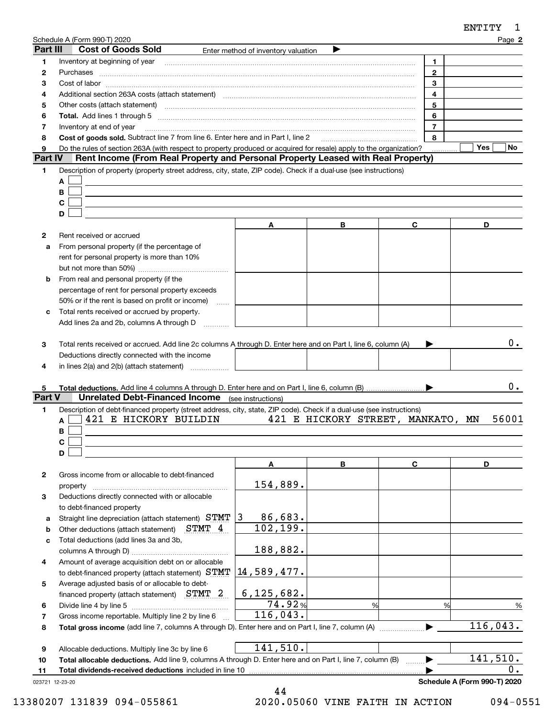|          | Schedule A (Form 990-T) 2020                                                                                                                                                                                                   |                                     |                                   |                       | Page 2           |
|----------|--------------------------------------------------------------------------------------------------------------------------------------------------------------------------------------------------------------------------------|-------------------------------------|-----------------------------------|-----------------------|------------------|
| Part III | <b>Cost of Goods Sold</b>                                                                                                                                                                                                      | Enter method of inventory valuation | ▶                                 |                       |                  |
| 1        | Inventory at beginning of year                                                                                                                                                                                                 |                                     |                                   | 1                     |                  |
| 2        |                                                                                                                                                                                                                                |                                     |                                   | $\mathbf{2}$          |                  |
| з        |                                                                                                                                                                                                                                |                                     |                                   | 3                     |                  |
| 4        | Additional section 263A costs (attach statement) material content and according term and according term and actional section 263A costs (attach statement) material content and according term and according term and actional |                                     |                                   | 4                     |                  |
| 5        | Other costs (attach statement) encouragement and according to the costs (attach statement) encouragement and according to the costs (attach statement)                                                                         |                                     |                                   | 5                     |                  |
| 6        |                                                                                                                                                                                                                                |                                     |                                   | 6                     |                  |
| 7        | Inventory at end of year                                                                                                                                                                                                       |                                     |                                   | $\overline{7}$        |                  |
| 8        | Cost of goods sold. Subtract line 7 from line 6. Enter here and in Part I, line 2                                                                                                                                              |                                     |                                   | 8                     |                  |
| 9        |                                                                                                                                                                                                                                |                                     |                                   |                       | Yes<br><b>No</b> |
| Part IV  | Do the rules of section 263A (with respect to property produced or acquired for resale) apply to the organization?<br>Rent Income (From Real Property and Personal Property Leased with Real Property)                         |                                     |                                   |                       |                  |
|          |                                                                                                                                                                                                                                |                                     |                                   |                       |                  |
| 1        | Description of property (property street address, city, state, ZIP code). Check if a dual-use (see instructions)                                                                                                               |                                     |                                   |                       |                  |
|          | A                                                                                                                                                                                                                              |                                     |                                   |                       |                  |
|          | В                                                                                                                                                                                                                              |                                     |                                   |                       |                  |
|          | C                                                                                                                                                                                                                              |                                     |                                   |                       |                  |
|          | D                                                                                                                                                                                                                              |                                     |                                   |                       |                  |
|          |                                                                                                                                                                                                                                | Α                                   | В                                 | C                     | D                |
| 2        | Rent received or accrued                                                                                                                                                                                                       |                                     |                                   |                       |                  |
| a        | From personal property (if the percentage of                                                                                                                                                                                   |                                     |                                   |                       |                  |
|          | rent for personal property is more than 10%                                                                                                                                                                                    |                                     |                                   |                       |                  |
|          |                                                                                                                                                                                                                                |                                     |                                   |                       |                  |
| b        | From real and personal property (if the                                                                                                                                                                                        |                                     |                                   |                       |                  |
|          | percentage of rent for personal property exceeds                                                                                                                                                                               |                                     |                                   |                       |                  |
|          | 50% or if the rent is based on profit or income)                                                                                                                                                                               |                                     |                                   |                       |                  |
|          | .<br>Total rents received or accrued by property.                                                                                                                                                                              |                                     |                                   |                       |                  |
| с        |                                                                                                                                                                                                                                |                                     |                                   |                       |                  |
|          | Add lines 2a and 2b, columns A through D                                                                                                                                                                                       |                                     |                                   |                       |                  |
|          |                                                                                                                                                                                                                                |                                     |                                   |                       | $0$ .            |
| 3        | Total rents received or accrued. Add line 2c columns A through D. Enter here and on Part I, line 6, column (A)                                                                                                                 |                                     |                                   |                       |                  |
|          | Deductions directly connected with the income                                                                                                                                                                                  |                                     |                                   |                       |                  |
| 4        | in lines $2(a)$ and $2(b)$ (attach statement) $\ldots$                                                                                                                                                                         |                                     |                                   |                       |                  |
|          |                                                                                                                                                                                                                                |                                     |                                   |                       |                  |
| 5        |                                                                                                                                                                                                                                |                                     |                                   |                       | $0$ .            |
| Part V   | <b>Unrelated Debt-Financed Income</b>                                                                                                                                                                                          | (see instructions)                  |                                   |                       |                  |
| 1        | Description of debt-financed property (street address, city, state, ZIP code). Check if a dual-use (see instructions)                                                                                                          |                                     |                                   |                       |                  |
|          | 421 E HICKORY BUILDIN<br>A                                                                                                                                                                                                     |                                     | 421 E HICKORY STREET, MANKATO, MN |                       | 56001            |
|          | В                                                                                                                                                                                                                              |                                     |                                   |                       |                  |
|          | C                                                                                                                                                                                                                              |                                     |                                   |                       |                  |
|          | D                                                                                                                                                                                                                              |                                     |                                   |                       |                  |
|          |                                                                                                                                                                                                                                | Α                                   | В                                 | $\mathbf c$           | D                |
| 2        | Gross income from or allocable to debt-financed                                                                                                                                                                                |                                     |                                   |                       |                  |
|          | property                                                                                                                                                                                                                       | 154,889.                            |                                   |                       |                  |
| 3        | Deductions directly connected with or allocable                                                                                                                                                                                |                                     |                                   |                       |                  |
|          | to debt-financed property                                                                                                                                                                                                      |                                     |                                   |                       |                  |
|          |                                                                                                                                                                                                                                |                                     |                                   |                       |                  |
| а        | Straight line depreciation (attach statement) STMT                                                                                                                                                                             | 86,683.<br> 3                       |                                   |                       |                  |
| b        | Other deductions (attach statement)<br>STMT 4                                                                                                                                                                                  | 102, 199.                           |                                   |                       |                  |
| c        | Total deductions (add lines 3a and 3b,                                                                                                                                                                                         |                                     |                                   |                       |                  |
|          |                                                                                                                                                                                                                                | 188,882.                            |                                   |                       |                  |
| 4        | Amount of average acquisition debt on or allocable                                                                                                                                                                             |                                     |                                   |                       |                  |
|          | to debt-financed property (attach statement) STMT                                                                                                                                                                              | 14,589,477.                         |                                   |                       |                  |
| 5        | Average adjusted basis of or allocable to debt-                                                                                                                                                                                |                                     |                                   |                       |                  |
|          | financed property (attach statement) $S TMT 2$                                                                                                                                                                                 | 6, 125, 682.                        |                                   |                       |                  |
| 6        |                                                                                                                                                                                                                                | 74.92%                              | %                                 | %                     | $\%$             |
| 7        | Gross income reportable. Multiply line 2 by line 6                                                                                                                                                                             | 116,043.                            |                                   |                       |                  |
| 8        | Total gross income (add line 7, columns A through D). Enter here and on Part I, line 7, column (A)                                                                                                                             |                                     |                                   | $\blacktriangleright$ | 116,043.         |
|          |                                                                                                                                                                                                                                |                                     |                                   |                       |                  |
|          |                                                                                                                                                                                                                                | 141,510.                            |                                   |                       |                  |
| 9        | Allocable deductions. Multiply line 3c by line 6                                                                                                                                                                               |                                     |                                   |                       |                  |
| 10       | Total allocable deductions. Add line 9, columns A through D. Enter here and on Part I, line 7, column (B)                                                                                                                      |                                     |                                   | $\Box$                | 141,510.         |
| 11       | Total dividends-received deductions included in line 10                                                                                                                                                                        |                                     |                                   |                       | 0.               |

023721 12-23-20

44 13380207 131839 094-055861 2020.05060 VINE FAITH IN ACTION 094-0551

**Schedule A (Form 990-T) 2020**

**2**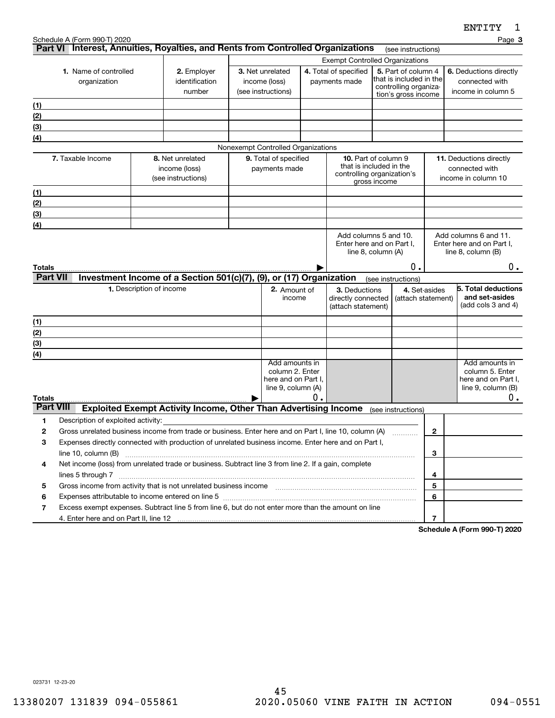|                  |                                                                                                                   |                                                                        |                                         |  |                                                                                |    |                                                                                                                   |                                                                        |                                     | <b>CNITII</b>                                                                        |  |
|------------------|-------------------------------------------------------------------------------------------------------------------|------------------------------------------------------------------------|-----------------------------------------|--|--------------------------------------------------------------------------------|----|-------------------------------------------------------------------------------------------------------------------|------------------------------------------------------------------------|-------------------------------------|--------------------------------------------------------------------------------------|--|
|                  | Schedule A (Form 990-T) 2020<br>Part VI Interest, Annuities, Royalties, and Rents from Controlled Organizations   |                                                                        |                                         |  |                                                                                |    |                                                                                                                   |                                                                        | (see instructions)                  | Page 3                                                                               |  |
|                  |                                                                                                                   |                                                                        |                                         |  |                                                                                |    | <b>Exempt Controlled Organizations</b>                                                                            |                                                                        |                                     |                                                                                      |  |
|                  | 1. Name of controlled<br>organization                                                                             |                                                                        | 2. Employer<br>identification<br>number |  | 3. Net unrelated<br>income (loss)<br>(see instructions)                        |    | 5. Part of column 4<br>4. Total of specified<br>that is included in the<br>payments made<br>controlling organiza- |                                                                        | tion's gross income                 | 6. Deductions directly<br>connected with<br>income in column 5                       |  |
| <u>(1)</u>       |                                                                                                                   |                                                                        |                                         |  |                                                                                |    |                                                                                                                   |                                                                        |                                     |                                                                                      |  |
| (2)              |                                                                                                                   |                                                                        |                                         |  |                                                                                |    |                                                                                                                   |                                                                        |                                     |                                                                                      |  |
| (3)              |                                                                                                                   |                                                                        |                                         |  |                                                                                |    |                                                                                                                   |                                                                        |                                     |                                                                                      |  |
| (4)              |                                                                                                                   |                                                                        |                                         |  |                                                                                |    |                                                                                                                   |                                                                        |                                     |                                                                                      |  |
|                  |                                                                                                                   |                                                                        |                                         |  | Nonexempt Controlled Organizations                                             |    |                                                                                                                   |                                                                        |                                     |                                                                                      |  |
|                  | 7. Taxable Income                                                                                                 | 8. Net unrelated<br>income (loss)<br>(see instructions)                |                                         |  | 9. Total of specified<br>payments made                                         |    | controlling organization's                                                                                        | <b>10.</b> Part of column 9<br>that is included in the<br>gross income |                                     | <b>11.</b> Deductions directly<br>connected with<br>income in column 10              |  |
| (1)              |                                                                                                                   |                                                                        |                                         |  |                                                                                |    |                                                                                                                   |                                                                        |                                     |                                                                                      |  |
| (2)              |                                                                                                                   |                                                                        |                                         |  |                                                                                |    |                                                                                                                   |                                                                        |                                     |                                                                                      |  |
| (3)              |                                                                                                                   |                                                                        |                                         |  |                                                                                |    |                                                                                                                   |                                                                        |                                     |                                                                                      |  |
| (4)              |                                                                                                                   |                                                                        |                                         |  |                                                                                |    |                                                                                                                   |                                                                        |                                     |                                                                                      |  |
| Totals           |                                                                                                                   |                                                                        |                                         |  |                                                                                |    |                                                                                                                   | Enter here and on Part I,<br>line 8, column (A)                        | 0.                                  | Enter here and on Part I,<br>line $8$ , column $(B)$<br>0.                           |  |
| <b>Part VII</b>  |                                                                                                                   | Investment Income of a Section 501(c)(7), (9), or (17) Organization    |                                         |  |                                                                                |    |                                                                                                                   | (see instructions)                                                     |                                     |                                                                                      |  |
|                  |                                                                                                                   | 1. Description of income                                               |                                         |  | 2. Amount of<br>income                                                         |    | 3. Deductions<br>directly connected<br>(attach statement)                                                         |                                                                        | 4. Set-asides<br>(attach statement) | 5. Total deductions<br>and set-asides<br>(add cols 3 and 4)                          |  |
| (1)              |                                                                                                                   |                                                                        |                                         |  |                                                                                |    |                                                                                                                   |                                                                        |                                     |                                                                                      |  |
| (2)              |                                                                                                                   |                                                                        |                                         |  |                                                                                |    |                                                                                                                   |                                                                        |                                     |                                                                                      |  |
| (3)              |                                                                                                                   |                                                                        |                                         |  |                                                                                |    |                                                                                                                   |                                                                        |                                     |                                                                                      |  |
| (4)              |                                                                                                                   |                                                                        |                                         |  |                                                                                |    |                                                                                                                   |                                                                        |                                     |                                                                                      |  |
| Totals           |                                                                                                                   |                                                                        |                                         |  | Add amounts in<br>column 2. Enter<br>here and on Part I,<br>line 9, column (A) | Ο. |                                                                                                                   |                                                                        |                                     | Add amounts in<br>column 5. Enter<br>here and on Part I,<br>line 9, column (B)<br>0. |  |
| <b>Part VIII</b> |                                                                                                                   | <b>Exploited Exempt Activity Income, Other Than Advertising Income</b> |                                         |  |                                                                                |    |                                                                                                                   | (see instructions)                                                     |                                     |                                                                                      |  |
| 1                | Description of exploited activity:                                                                                |                                                                        |                                         |  |                                                                                |    |                                                                                                                   |                                                                        |                                     |                                                                                      |  |
| 2                | Gross unrelated business income from trade or business. Enter here and on Part I, line 10, column (A)             |                                                                        |                                         |  |                                                                                |    |                                                                                                                   |                                                                        | $\mathbf{2}$                        |                                                                                      |  |
| 3                | Expenses directly connected with production of unrelated business income. Enter here and on Part I,               |                                                                        |                                         |  |                                                                                |    |                                                                                                                   |                                                                        |                                     |                                                                                      |  |
|                  | line 10, column (B)                                                                                               |                                                                        |                                         |  |                                                                                |    |                                                                                                                   |                                                                        | 3                                   |                                                                                      |  |
| 4                | Net income (loss) from unrelated trade or business. Subtract line 3 from line 2. If a gain, complete              |                                                                        |                                         |  |                                                                                |    |                                                                                                                   |                                                                        | 4                                   |                                                                                      |  |
| 5                |                                                                                                                   |                                                                        |                                         |  |                                                                                |    |                                                                                                                   |                                                                        | 5                                   |                                                                                      |  |
| 6                | Expenses attributable to income entered on line 5 [111] [12] manufacture attributable to income entered on line 5 |                                                                        |                                         |  |                                                                                |    |                                                                                                                   |                                                                        | 6                                   |                                                                                      |  |
| 7                | Excess exempt expenses. Subtract line 5 from line 6, but do not enter more than the amount on line                |                                                                        |                                         |  |                                                                                |    |                                                                                                                   |                                                                        |                                     |                                                                                      |  |
|                  |                                                                                                                   |                                                                        |                                         |  |                                                                                |    |                                                                                                                   |                                                                        | 7                                   |                                                                                      |  |

**Schedule A (Form 990-T) 2020**

023731 12-23-20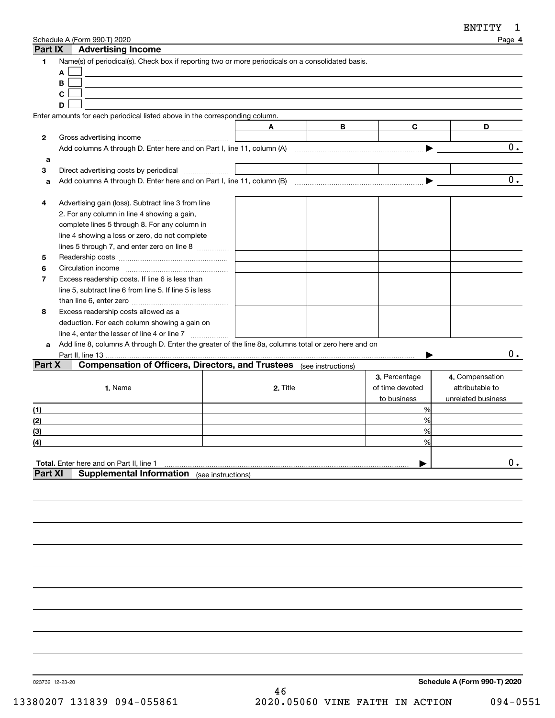| Part IX | Schedule A (Form 990-T) 2020<br><b>Advertising Income</b>                                              |          |   |                 | Page 4             |
|---------|--------------------------------------------------------------------------------------------------------|----------|---|-----------------|--------------------|
| 1       | Name(s) of periodical(s). Check box if reporting two or more periodicals on a consolidated basis.<br>A |          |   |                 |                    |
|         | B                                                                                                      |          |   |                 |                    |
|         | C                                                                                                      |          |   |                 |                    |
|         | D                                                                                                      |          |   |                 |                    |
|         | Enter amounts for each periodical listed above in the corresponding column.                            |          |   |                 |                    |
|         |                                                                                                        | A        | B | C               | D                  |
| 2       | Gross advertising income                                                                               |          |   |                 |                    |
|         |                                                                                                        |          |   | ▶               | 0.                 |
| а       |                                                                                                        |          |   |                 |                    |
| 3       | Direct advertising costs by periodical <i>mimimum</i>                                                  |          |   |                 |                    |
| а       | Add columns A through D. Enter here and on Part I, line 11, column (B)                                 |          |   |                 | 0.                 |
|         |                                                                                                        |          |   |                 |                    |
| 4       | Advertising gain (loss). Subtract line 3 from line                                                     |          |   |                 |                    |
|         | 2. For any column in line 4 showing a gain,                                                            |          |   |                 |                    |
|         | complete lines 5 through 8. For any column in                                                          |          |   |                 |                    |
|         | line 4 showing a loss or zero, do not complete                                                         |          |   |                 |                    |
|         | lines 5 through 7, and enter zero on line 8                                                            |          |   |                 |                    |
| 5       |                                                                                                        |          |   |                 |                    |
| 6       |                                                                                                        |          |   |                 |                    |
| 7       | Excess readership costs. If line 6 is less than                                                        |          |   |                 |                    |
|         | line 5, subtract line 6 from line 5. If line 5 is less                                                 |          |   |                 |                    |
|         |                                                                                                        |          |   |                 |                    |
| 8       | Excess readership costs allowed as a                                                                   |          |   |                 |                    |
|         | deduction. For each column showing a gain on                                                           |          |   |                 |                    |
|         |                                                                                                        |          |   |                 |                    |
| a       | Add line 8, columns A through D. Enter the greater of the line 8a, columns total or zero here and on   |          |   |                 |                    |
|         | Part II, line 13                                                                                       |          |   |                 | $0$ .              |
| Part X  | <b>Compensation of Officers, Directors, and Trustees</b> (see instructions)                            |          |   |                 |                    |
|         |                                                                                                        |          |   | 3. Percentage   | 4. Compensation    |
|         | 1. Name                                                                                                | 2. Title |   | of time devoted | attributable to    |
|         |                                                                                                        |          |   | to business     | unrelated business |
| (1)     |                                                                                                        |          |   | %               |                    |
| (2)     |                                                                                                        |          |   | %               |                    |
| (3)     |                                                                                                        |          |   | %               |                    |
| (4)     |                                                                                                        |          |   | $\frac{0}{0}$   |                    |
|         |                                                                                                        |          |   |                 |                    |
|         | Total. Enter here and on Part II, line 1                                                               |          |   |                 | 0.                 |
| Part XI | <b>Supplemental Information</b> (see instructions)                                                     |          |   |                 |                    |
|         |                                                                                                        |          |   |                 |                    |
|         |                                                                                                        |          |   |                 |                    |

023732 12-23-20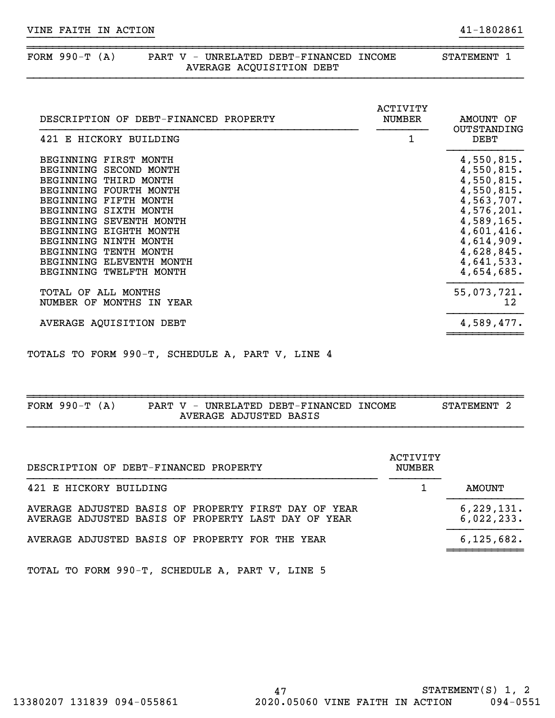#### FORM 990-T (A) PART V - UNRELATED DEBT-FINANCED INCOME STATEMENT 1 AVERAGE ACQUISITION DEBT

|                          | <b>DEBT</b> |
|--------------------------|-------------|
| BEGINNING FIRST MONTH    | 4,550,815.  |
| BEGINNING SECOND MONTH   | 4,550,815.  |
| BEGINNING THIRD MONTH    | 4,550,815.  |
| BEGINNING FOURTH MONTH   | 4,550,815.  |
| BEGINNING FIFTH MONTH    | 4,563,707.  |
| BEGINNING SIXTH MONTH    | 4,576,201.  |
| BEGINNING SEVENTH MONTH  | 4,589,165.  |
| BEGINNING EIGHTH MONTH   | 4,601,416.  |
| BEGINNING NINTH MONTH    | 4,614,909.  |
| BEGINNING TENTH MONTH    | 4,628,845.  |
| BEGINNING ELEVENTH MONTH | 4,641,533.  |
| BEGINNING TWELFTH MONTH  | 4,654,685.  |
| TOTAL OF ALL MONTHS      | 55,073,721. |
| NUMBER OF MONTHS IN YEAR | 12          |
| AVERAGE AQUISITION DEBT  | 4,589,477.  |

}}}}}}}}}}}}}}}}}}}} }}}}}}}}}}

~~~~~~~~~~~~~~~~~~~~~~~~~~~~~~~~~~~~~~~~~~~~~~~~~~~~~~~~~~~~~~~~~~~~~~~~~~~~~~

TOTALS TO FORM 990-T, SCHEDULE A, PART V, LINE 4

| FORM $990-T$<br>(A) | <b>INCOME</b><br>- 37<br>UNRELATED DEBT-FINANCED<br>PART<br>$\overline{\phantom{m}}$ | <b>STATEMENT</b> |
|---------------------|--------------------------------------------------------------------------------------|------------------|
|                     | AVERAGE ADJUSTED BASIS                                                               |                  |

| DESCRIPTION OF DEBT-FINANCED PROPERTY                                                                       | ACTIVITY<br>NUMBER |                            |
|-------------------------------------------------------------------------------------------------------------|--------------------|----------------------------|
| 421 E HICKORY BUILDING                                                                                      |                    | AMOUNT                     |
| AVERAGE ADJUSTED BASIS OF PROPERTY FIRST DAY OF YEAR<br>AVERAGE ADJUSTED BASIS OF PROPERTY LAST DAY OF YEAR |                    | 6, 229, 131.<br>6,022,233. |
| AVERAGE ADJUSTED BASIS OF PROPERTY FOR THE YEAR                                                             |                    | 6, 125, 682.               |
|                                                                                                             |                    |                            |

TOTAL TO FORM 990-T, SCHEDULE A, PART V, LINE 5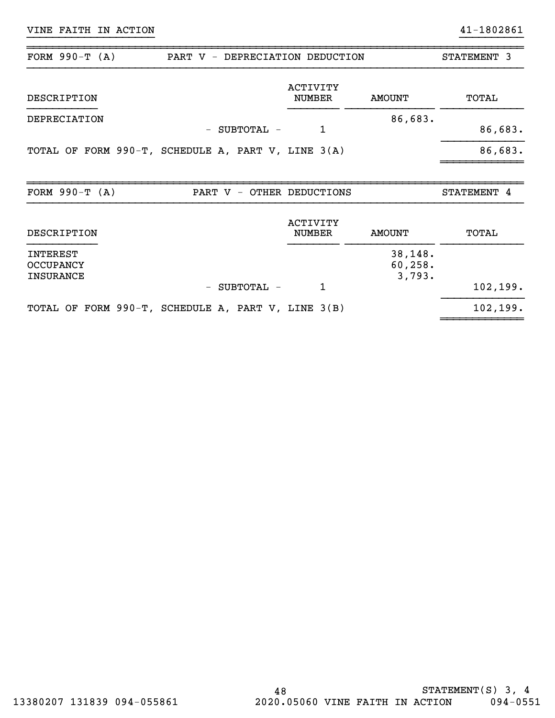| FORM $990-T (A)$                                        | PART V - DEPRECIATION DEDUCTION        |                                  |                               | STATEMENT 3 |
|---------------------------------------------------------|----------------------------------------|----------------------------------|-------------------------------|-------------|
| DESCRIPTION                                             |                                        | <b>ACTIVITY</b><br><b>NUMBER</b> | <b>AMOUNT</b>                 | TOTAL       |
| DEPRECIATION                                            | SUBTOTAL -<br>$\overline{\phantom{0}}$ | 1                                | 86,683.                       | 86,683.     |
| TOTAL OF FORM 990-T, SCHEDULE A, PART V, LINE $3(A)$    |                                        |                                  |                               | 86,683.     |
| FORM $990-T (A)$                                        | PART V - OTHER DEDUCTIONS              |                                  |                               | STATEMENT 4 |
| DESCRIPTION                                             |                                        | <b>ACTIVITY</b><br><b>NUMBER</b> | <b>AMOUNT</b>                 | TOTAL       |
| <b>INTEREST</b><br><b>OCCUPANCY</b><br><b>INSURANCE</b> |                                        |                                  | 38,148.<br>60, 258.<br>3,793. |             |
|                                                         | - SUBTOTAL -                           | 1                                |                               | 102, 199.   |
| TOTAL OF FORM 990-T, SCHEDULE A, PART V, LINE 3(B)      |                                        |                                  |                               | 102, 199.   |

}}}}}}}}}}}}}}}}}}}} }}}}}}}}}}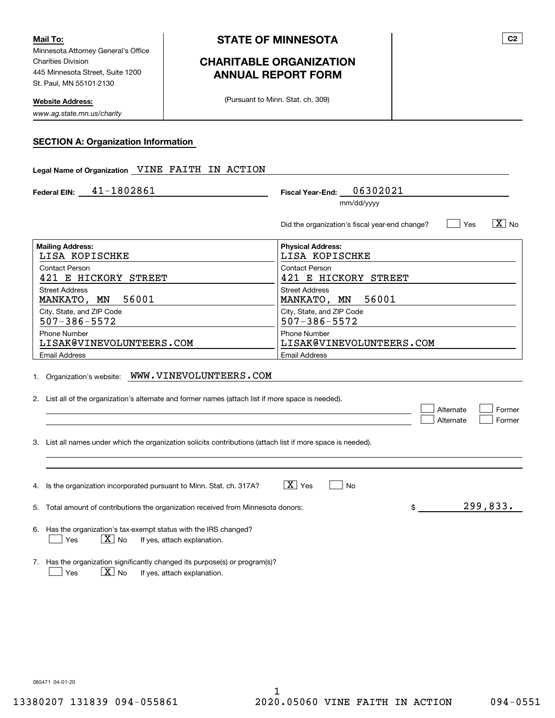Minnesota Attorney General's Office Charities Division 445 Minnesota Street, Suite 1200 St. Paul, MN 55101-2130 **Mail To:**

**Website Address:**

*www.ag.state.mn.us/charity*

### **STATE OF MINNESOTA**

## **CHARITABLE ORGANIZATION ANNUAL REPORT FORM**

(Pursuant to Minn. Stat. ch. 309)

#### **SECTION A: Organization Information**

| Legal Name of Organization VINE FAITH IN ACTION                                                                                                          |                                                                   |  |  |  |  |
|----------------------------------------------------------------------------------------------------------------------------------------------------------|-------------------------------------------------------------------|--|--|--|--|
| 41-1802861<br><b>Federal EIN:</b>                                                                                                                        | 06302021<br><b>Fiscal Year-End:</b><br>mm/dd/yyyy                 |  |  |  |  |
|                                                                                                                                                          | $ X $ No<br>Yes<br>Did the organization's fiscal year-end change? |  |  |  |  |
| <b>Mailing Address:</b><br>LISA KOPISCHKE                                                                                                                | <b>Physical Address:</b><br>LISA KOPISCHKE                        |  |  |  |  |
| Contact Person<br>421 E HICKORY STREET                                                                                                                   | <b>Contact Person</b><br>421 E HICKORY STREET                     |  |  |  |  |
| <b>Street Address</b><br>56001<br>MANKATO, MN                                                                                                            | <b>Street Address</b><br>56001<br>MANKATO, MN                     |  |  |  |  |
| City, State, and ZIP Code<br>$507 - 386 - 5572$                                                                                                          | City, State, and ZIP Code<br>$507 - 386 - 5572$                   |  |  |  |  |
| Phone Number<br>LISAK@VINEVOLUNTEERS.COM                                                                                                                 | Phone Number<br>LISAK@VINEVOLUNTEERS.COM                          |  |  |  |  |
| <b>Email Address</b>                                                                                                                                     | <b>Email Address</b>                                              |  |  |  |  |
| 1. Organization's website: WWW.VINEVOLUNTEERS.COM<br>2. List all of the organization's alternate and former names (attach list if more space is needed). | Alternate<br>Former                                               |  |  |  |  |
| 3. List all names under which the organization solicits contributions (attach list if more space is needed).                                             | Former<br>Alternate                                               |  |  |  |  |
| 4. Is the organization incorporated pursuant to Minn. Stat. ch. 317A?                                                                                    | $ \overline{X} $ Yes<br><b>No</b>                                 |  |  |  |  |
| 5. Total amount of contributions the organization received from Minnesota donors:                                                                        | 299,833.<br>\$                                                    |  |  |  |  |
| 6. Has the organization's tax-exempt status with the IRS changed?<br>$X_{\text{No}}$<br>Yes<br>If yes, attach explanation.                               |                                                                   |  |  |  |  |
| 7. Has the organization significantly changed its purpose(s) or program(s)?<br>$\boxed{\mathbf{X}}$ No<br><b>Yes</b><br>If yes, attach explanation.      |                                                                   |  |  |  |  |

085471 04-01-20

**C2**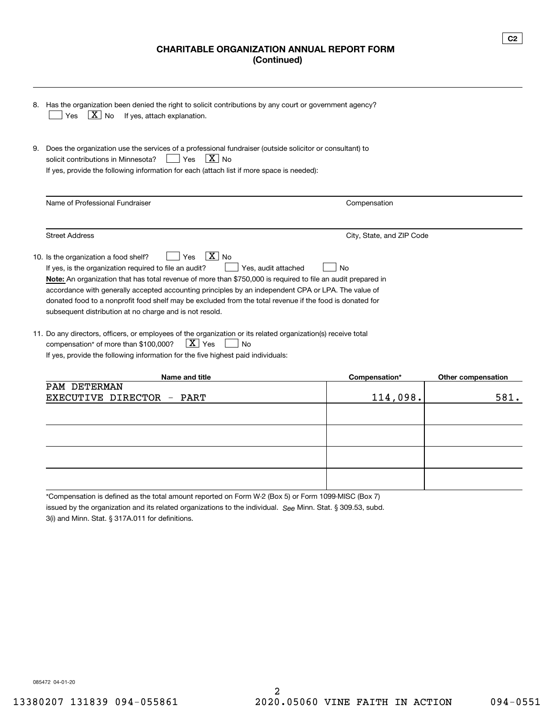#### **CHARITABLE ORGANIZATION ANNUAL REPORT FORM (Continued)**

|    | 8. Has the organization been denied the right to solicit contributions by any court or government agency?<br>$\boxed{\text{X}}$ No<br>If yes, attach explanation.<br>Yes                                                                                                                                                                                                                                                                                                                                                                      |                           |                    |  |  |  |  |  |
|----|-----------------------------------------------------------------------------------------------------------------------------------------------------------------------------------------------------------------------------------------------------------------------------------------------------------------------------------------------------------------------------------------------------------------------------------------------------------------------------------------------------------------------------------------------|---------------------------|--------------------|--|--|--|--|--|
| 9. | Does the organization use the services of a professional fundraiser (outside solicitor or consultant) to<br>$X $ No<br>solicit contributions in Minnesota?<br>Yes<br>If yes, provide the following information for each (attach list if more space is needed):                                                                                                                                                                                                                                                                                |                           |                    |  |  |  |  |  |
|    | Name of Professional Fundraiser                                                                                                                                                                                                                                                                                                                                                                                                                                                                                                               | Compensation              |                    |  |  |  |  |  |
|    | <b>Street Address</b>                                                                                                                                                                                                                                                                                                                                                                                                                                                                                                                         | City, State, and ZIP Code |                    |  |  |  |  |  |
|    | ΧI<br>10. Is the organization a food shelf?<br>No<br>Yes<br>If yes, is the organization required to file an audit?<br>Yes, audit attached<br>No<br>Note: An organization that has total revenue of more than \$750,000 is required to file an audit prepared in<br>accordance with generally accepted accounting principles by an independent CPA or LPA. The value of<br>donated food to a nonprofit food shelf may be excluded from the total revenue if the food is donated for<br>subsequent distribution at no charge and is not resold. |                           |                    |  |  |  |  |  |
|    | 11. Do any directors, officers, or employees of the organization or its related organization(s) receive total<br>$X \mid Y$ es<br>compensation* of more than \$100,000?<br>No<br>If yes, provide the following information for the five highest paid individuals:                                                                                                                                                                                                                                                                             |                           |                    |  |  |  |  |  |
|    | Name and title                                                                                                                                                                                                                                                                                                                                                                                                                                                                                                                                | Compensation*             | Other compensation |  |  |  |  |  |
|    | PAM DETERMAN                                                                                                                                                                                                                                                                                                                                                                                                                                                                                                                                  |                           |                    |  |  |  |  |  |
|    | EXECUTIVE DIRECTOR<br>PART                                                                                                                                                                                                                                                                                                                                                                                                                                                                                                                    | 114,098.                  | 581.               |  |  |  |  |  |

\*Compensation is defined as the total amount reported on Form W-2 (Box 5) or Form 1099-MISC (Box 7)

issued by the organization and its related organizations to the individual. S<sub>ee</sub> Minn. Stat. § 309.53, subd.

3(i) and Minn. Stat. § 317A.011 for definitions.

085472 04-01-20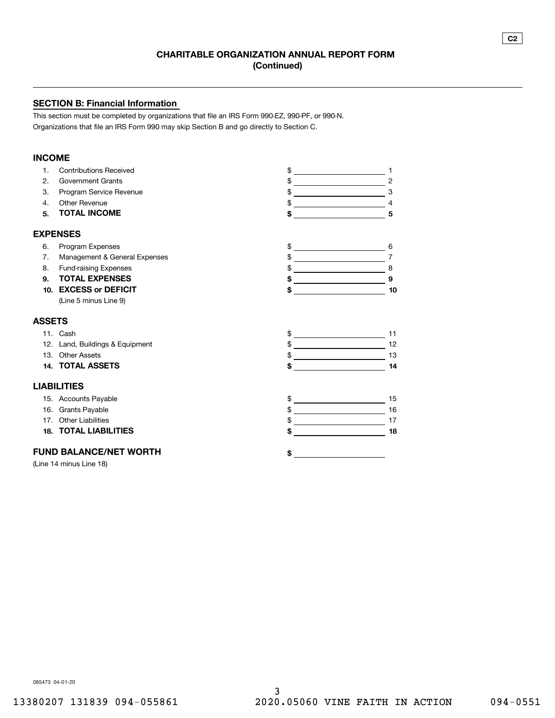#### **SECTION B: Financial Information**

This section must be completed by organizations that file an IRS Form 990-EZ, 990-PF, or 990-N. Organizations that file an IRS Form 990 may skip Section B and go directly to Section C.

#### **INCOME**

| $\mathbf{1}$ . | <b>Contributions Received</b>   | \$                                                                    |
|----------------|---------------------------------|-----------------------------------------------------------------------|
| 2.             | <b>Government Grants</b>        | \$<br>$\overline{c}$<br><u> 1989 - Johann Stoff, fransk politik (</u> |
| 3.             | Program Service Revenue         | \$<br>3                                                               |
| 4.             | Other Revenue                   | \$                                                                    |
| 5.             | <b>TOTAL INCOME</b>             | \$<br>5                                                               |
|                | <b>EXPENSES</b>                 |                                                                       |
| 6.             | Program Expenses                | \$<br>6<br><u> 1989 - Johann Barn, mars eta bainar eta idazlea (</u>  |
| 7.             | Management & General Expenses   | \$<br>$\overline{7}$<br>the control of the control of the control of  |
| 8.             | <b>Fund-raising Expenses</b>    | \$<br>8                                                               |
| 9.             | <b>TOTAL EXPENSES</b>           | \$<br>9                                                               |
| 10.            | <b>EXCESS or DEFICIT</b>        | \$<br>10                                                              |
|                | (Line 5 minus Line 9)           |                                                                       |
| <b>ASSETS</b>  |                                 |                                                                       |
|                | 11. Cash                        | \$<br>11<br><u> 1989 - Johann Barn, mars ann an t-</u>                |
|                | 12. Land, Buildings & Equipment | \$<br>12<br><u> 1980 - Johann Barbara, martxa a</u>                   |
|                | 13. Other Assets                | 13                                                                    |
|                | <b>14. TOTAL ASSETS</b>         | \$<br>14<br>$\overline{\phantom{a}}$                                  |
|                | <b>LIABILITIES</b>              |                                                                       |
|                | 15. Accounts Payable            | \$<br>15<br><u> 1989 - Johann Barbara, martxa a</u>                   |
|                | 16. Grants Payable              | 16<br><u> 1989 - Johann Barnett, fransk politik (</u>                 |
| 17.            | <b>Other Liabilities</b>        | 17                                                                    |
| 18.            | <b>TOTAL LIABILITIES</b>        | \$<br>18                                                              |
|                | <b>FUND BALANCE/NET WORTH</b>   | \$                                                                    |
|                | (Line 14 minus Line 18)         |                                                                       |

085473 04-01-20

**C2**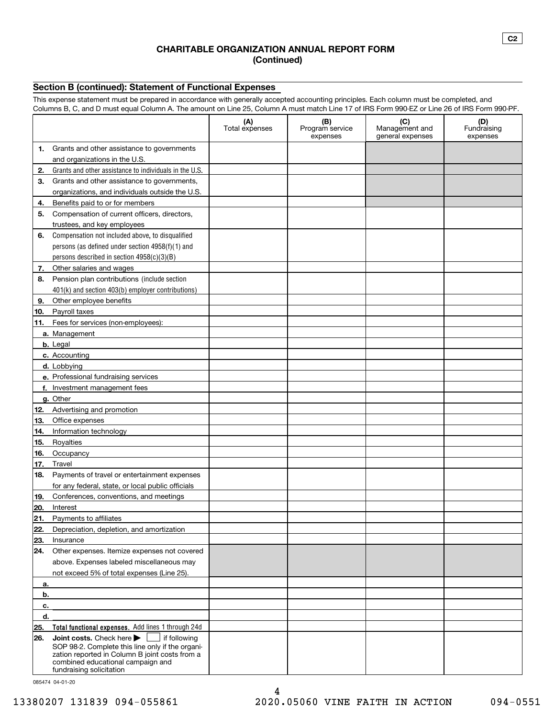#### **CHARITABLE ORGANIZATION ANNUAL REPORT FORM (Continued)**

#### **Section B (continued): Statement of Functional Expenses**

This expense statement must be prepared in accordance with generally accepted accounting principles. Each column must be completed, and Columns B, C, and D must equal Column A. The amount on Line 25, Column A must match Line 17 of IRS Form 990-EZ or Line 26 of IRS Form 990-PF.

|     |                                                                                                                                                                                                                | (A)<br>Total expenses | (B)<br>Program service<br>expenses | (C)<br>Management and<br>general expenses | (D)<br>Fundraising<br>expenses |
|-----|----------------------------------------------------------------------------------------------------------------------------------------------------------------------------------------------------------------|-----------------------|------------------------------------|-------------------------------------------|--------------------------------|
| 1.  | Grants and other assistance to governments                                                                                                                                                                     |                       |                                    |                                           |                                |
|     | and organizations in the U.S.                                                                                                                                                                                  |                       |                                    |                                           |                                |
| 2.  | Grants and other assistance to individuals in the U.S.                                                                                                                                                         |                       |                                    |                                           |                                |
| З.  | Grants and other assistance to governments,                                                                                                                                                                    |                       |                                    |                                           |                                |
|     | organizations, and individuals outside the U.S.                                                                                                                                                                |                       |                                    |                                           |                                |
| 4.  | Benefits paid to or for members                                                                                                                                                                                |                       |                                    |                                           |                                |
| 5.  | Compensation of current officers, directors,                                                                                                                                                                   |                       |                                    |                                           |                                |
|     | trustees, and key employees                                                                                                                                                                                    |                       |                                    |                                           |                                |
| 6.  | Compensation not included above, to disqualified                                                                                                                                                               |                       |                                    |                                           |                                |
|     | persons (as defined under section 4958(f)(1) and                                                                                                                                                               |                       |                                    |                                           |                                |
|     | persons described in section 4958(c)(3)(B)                                                                                                                                                                     |                       |                                    |                                           |                                |
| 7.  | Other salaries and wages                                                                                                                                                                                       |                       |                                    |                                           |                                |
| 8.  | Pension plan contributions (include section                                                                                                                                                                    |                       |                                    |                                           |                                |
|     | 401(k) and section 403(b) employer contributions)                                                                                                                                                              |                       |                                    |                                           |                                |
| 9.  | Other employee benefits                                                                                                                                                                                        |                       |                                    |                                           |                                |
| 10. | Payroll taxes                                                                                                                                                                                                  |                       |                                    |                                           |                                |
| 11. | Fees for services (non-employees):                                                                                                                                                                             |                       |                                    |                                           |                                |
|     | a. Management                                                                                                                                                                                                  |                       |                                    |                                           |                                |
|     | b. Legal                                                                                                                                                                                                       |                       |                                    |                                           |                                |
|     | c. Accounting                                                                                                                                                                                                  |                       |                                    |                                           |                                |
|     | d. Lobbying                                                                                                                                                                                                    |                       |                                    |                                           |                                |
|     | e. Professional fundraising services                                                                                                                                                                           |                       |                                    |                                           |                                |
|     | f. Investment management fees                                                                                                                                                                                  |                       |                                    |                                           |                                |
|     | g. Other                                                                                                                                                                                                       |                       |                                    |                                           |                                |
| 12. | Advertising and promotion                                                                                                                                                                                      |                       |                                    |                                           |                                |
| 13. | Office expenses                                                                                                                                                                                                |                       |                                    |                                           |                                |
| 14. | Information technology                                                                                                                                                                                         |                       |                                    |                                           |                                |
| 15. | Royalties                                                                                                                                                                                                      |                       |                                    |                                           |                                |
| 16. | Occupancy                                                                                                                                                                                                      |                       |                                    |                                           |                                |
| 17. | Travel                                                                                                                                                                                                         |                       |                                    |                                           |                                |
| 18. | Payments of travel or entertainment expenses                                                                                                                                                                   |                       |                                    |                                           |                                |
|     | for any federal, state, or local public officials                                                                                                                                                              |                       |                                    |                                           |                                |
| 19. | Conferences, conventions, and meetings                                                                                                                                                                         |                       |                                    |                                           |                                |
| 20. | Interest                                                                                                                                                                                                       |                       |                                    |                                           |                                |
| 21. | Payments to affiliates                                                                                                                                                                                         |                       |                                    |                                           |                                |
| 22. | Depreciation, depletion, and amortization                                                                                                                                                                      |                       |                                    |                                           |                                |
| 23. | Insurance                                                                                                                                                                                                      |                       |                                    |                                           |                                |
| 24. | Other expenses. Itemize expenses not covered                                                                                                                                                                   |                       |                                    |                                           |                                |
|     | above. Expenses labeled miscellaneous may                                                                                                                                                                      |                       |                                    |                                           |                                |
|     | not exceed 5% of total expenses (Line 25).                                                                                                                                                                     |                       |                                    |                                           |                                |
| a.  |                                                                                                                                                                                                                |                       |                                    |                                           |                                |
| b.  |                                                                                                                                                                                                                |                       |                                    |                                           |                                |
| c.  |                                                                                                                                                                                                                |                       |                                    |                                           |                                |
| d.  |                                                                                                                                                                                                                |                       |                                    |                                           |                                |
| 25. | Total functional expenses. Add lines 1 through 24d                                                                                                                                                             |                       |                                    |                                           |                                |
| 26. | Joint costs. Check here<br>if following<br>SOP 98-2. Complete this line only if the organi-<br>zation reported in Column B joint costs from a<br>combined educational campaign and<br>fundraising solicitation |                       |                                    |                                           |                                |

085474 04-01-20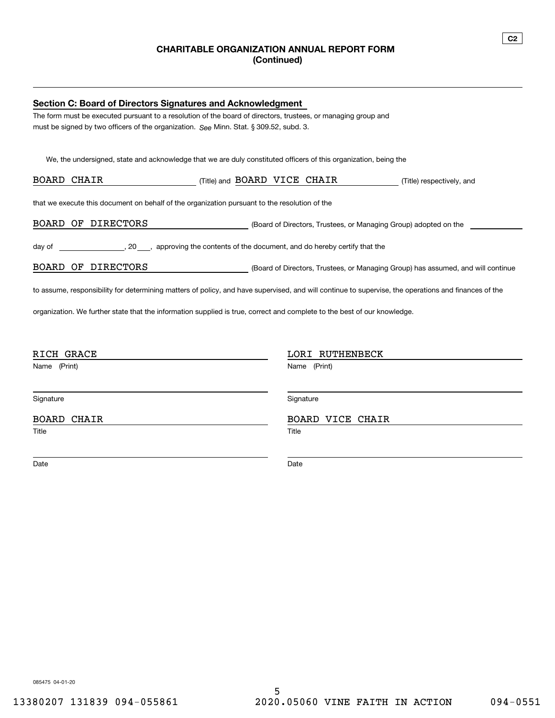#### **CHARITABLE ORGANIZATION ANNUAL REPORT FORM (Continued)**

| Section C: Board of Directors Signatures and Acknowledgment                                                                                          |
|------------------------------------------------------------------------------------------------------------------------------------------------------|
| The form must be executed pursuant to a resolution of the board of directors, trustees, or managing group and                                        |
| must be signed by two officers of the organization. See Minn. Stat. § 309.52, subd. 3.                                                               |
|                                                                                                                                                      |
| We, the undersigned, state and acknowledge that we are duly constituted officers of this organization, being the                                     |
| (Title) and BOARD VICE CHAIR<br>(Title) respectively, and                                                                                            |
| that we execute this document on behalf of the organization pursuant to the resolution of the                                                        |
| (Board of Directors, Trustees, or Managing Group) adopted on the                                                                                     |
| 20 ___, approving the contents of the document, and do hereby certify that the                                                                       |
| (Board of Directors, Trustees, or Managing Group) has assumed, and will continue                                                                     |
| to assume, responsibility for determining matters of policy, and have supervised, and will continue to supervise, the operations and finances of the |
| organization. We further state that the information supplied is true, correct and complete to the best of our knowledge.                             |
| LORI RUTHENBECK                                                                                                                                      |
| Name (Print)                                                                                                                                         |
| Signature                                                                                                                                            |
| BOARD VICE CHAIR                                                                                                                                     |
| Title                                                                                                                                                |
| Date                                                                                                                                                 |
|                                                                                                                                                      |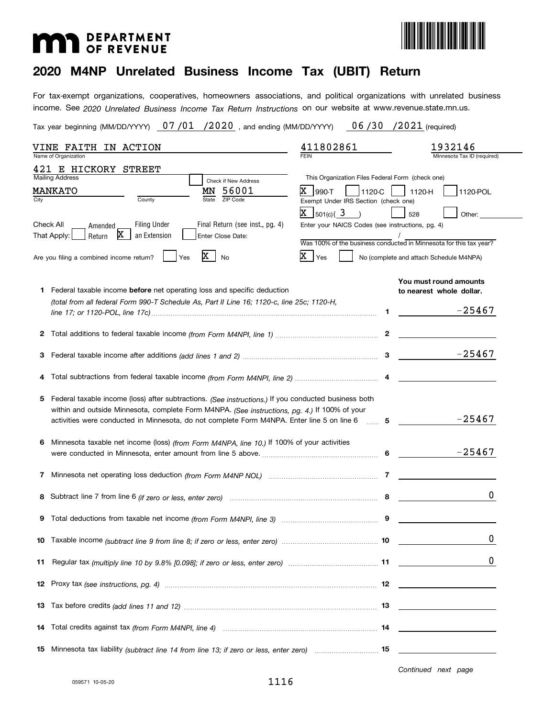# **MID** DEPARTMENT



# **2020 M4NP Unrelated Business Income Tax (UBIT) Return**

income. See 2020 Unrelated Business Income Tax Return Instructions on our website at www.revenue.state.mn.us. For tax-exempt organizations, cooperatives, homeowners associations, and political organizations with unrelated business

Tax year beginning (MM/DD/YYYY)  $\,$   $\,$   $\,07$  / $\,01$   $\,$  / $\,2020$   $\,$  , and ending (MM/DD/YYYY)  $\,$   $\,$   $\,06$  / $\,30$   $\,$  / $\,2021$  (required)

| <b>VINE FAITH IN ACTION</b>                                                                                                                                                                                                                                                                                          | 411802861                                                                                                                              | 1932146                                                        |
|----------------------------------------------------------------------------------------------------------------------------------------------------------------------------------------------------------------------------------------------------------------------------------------------------------------------|----------------------------------------------------------------------------------------------------------------------------------------|----------------------------------------------------------------|
| Name of Organization                                                                                                                                                                                                                                                                                                 | <b>FEIN</b>                                                                                                                            | Minnesota Tax ID (required)                                    |
| 421 E HICKORY STREET<br><b>Mailing Address</b><br>Check if New Address<br><b>MANKATO</b><br>56001<br>ΜN                                                                                                                                                                                                              | This Organization Files Federal Form (check one)<br>$ 990-T$                                                                           | 1120-H                                                         |
| ZIP Code<br>County<br>State                                                                                                                                                                                                                                                                                          | 1120-C<br>Exempt Under IRS Section (check one)<br>$X \mid 501(c) (-3)$                                                                 | 1120-POL<br>528<br>Other:                                      |
| <b>Filing Under</b><br>Check All<br>Final Return (see inst., pg. 4)<br>Amended<br>X<br>an Extension<br>That Apply:<br>Enter Close Date:<br>Return<br>x<br>Are you filing a combined income return?<br>Yes<br>No                                                                                                      | Enter your NAICS Codes (see instructions, pg. 4)<br>Was 100% of the business conducted in Minnesota for this tax year?<br>$X \mid$ Yes | No (complete and attach Schedule M4NPA)                        |
| Federal taxable income <b>before</b> net operating loss and specific deduction<br>(total from all federal Form 990-T Schedule As, Part II Line 16; 1120-c, line 25c; 1120-H,                                                                                                                                         |                                                                                                                                        | You must round amounts<br>to nearest whole dollar.<br>$-25467$ |
|                                                                                                                                                                                                                                                                                                                      | п.                                                                                                                                     |                                                                |
| З                                                                                                                                                                                                                                                                                                                    |                                                                                                                                        | $-25467$                                                       |
|                                                                                                                                                                                                                                                                                                                      |                                                                                                                                        |                                                                |
| Federal taxable income (loss) after subtractions. (See instructions.) If you conducted business both<br>5.<br>within and outside Minnesota, complete Form M4NPA. (See instructions, pg. 4.) If 100% of your<br>activities were conducted in Minnesota, do not complete Form M4NPA. Enter line 5 on line 6 [11, 2016] |                                                                                                                                        | $-25467$                                                       |
| Minnesota taxable net income (loss) (from Form M4NPA, line 10.) If 100% of your activities                                                                                                                                                                                                                           |                                                                                                                                        | $-25467$                                                       |
| 7                                                                                                                                                                                                                                                                                                                    |                                                                                                                                        |                                                                |
|                                                                                                                                                                                                                                                                                                                      |                                                                                                                                        | 0                                                              |
|                                                                                                                                                                                                                                                                                                                      |                                                                                                                                        |                                                                |
|                                                                                                                                                                                                                                                                                                                      |                                                                                                                                        | 0                                                              |
| 11                                                                                                                                                                                                                                                                                                                   |                                                                                                                                        | $\boldsymbol{0}$                                               |
|                                                                                                                                                                                                                                                                                                                      |                                                                                                                                        |                                                                |
|                                                                                                                                                                                                                                                                                                                      |                                                                                                                                        |                                                                |
|                                                                                                                                                                                                                                                                                                                      |                                                                                                                                        |                                                                |
| 15 Minnesota tax liability (subtract line 14 from line 13; if zero or less, enter zero)  15                                                                                                                                                                                                                          |                                                                                                                                        |                                                                |

*Continued next page*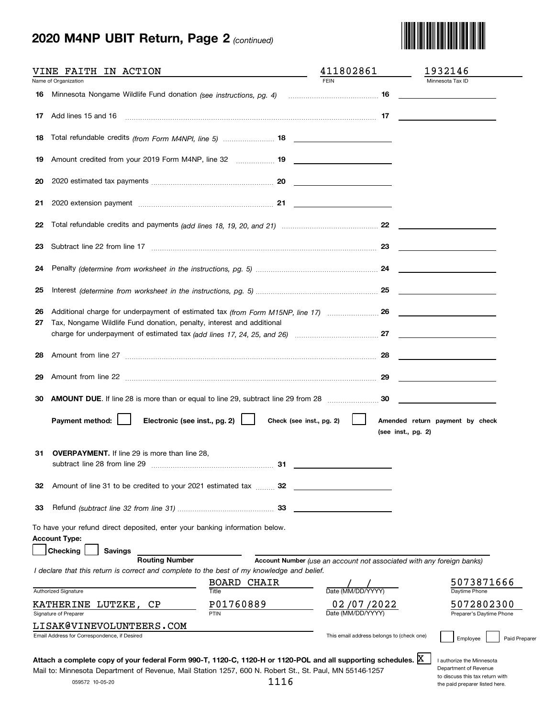# **2020 M4NP UBIT Return, Page 2** *(continued)*



|                | VINE FAITH IN ACTION                                                                       |                    | 411802861<br><b>FEIN</b>                                              | 1932146                                                                                                              |
|----------------|--------------------------------------------------------------------------------------------|--------------------|-----------------------------------------------------------------------|----------------------------------------------------------------------------------------------------------------------|
| 16             | Name of Organization                                                                       |                    |                                                                       | Minnesota Tax ID                                                                                                     |
|                |                                                                                            |                    |                                                                       |                                                                                                                      |
| 17             | Add lines 15 and 16                                                                        |                    |                                                                       |                                                                                                                      |
| 18             | Total refundable credits (from Form M4NPI, line 5)  18                                     |                    |                                                                       |                                                                                                                      |
| 19             |                                                                                            |                    |                                                                       |                                                                                                                      |
| 20             |                                                                                            |                    |                                                                       |                                                                                                                      |
| 21             |                                                                                            |                    |                                                                       |                                                                                                                      |
| 22             |                                                                                            |                    |                                                                       |                                                                                                                      |
| 23             |                                                                                            |                    |                                                                       | <u> 1989 - Andrea Albert III, amerikan bisan</u>                                                                     |
| 24             |                                                                                            |                    |                                                                       |                                                                                                                      |
| 25             |                                                                                            |                    |                                                                       |                                                                                                                      |
| 26             |                                                                                            |                    |                                                                       |                                                                                                                      |
| 27             | Tax, Nongame Wildlife Fund donation, penalty, interest and additional                      |                    |                                                                       |                                                                                                                      |
| 28             |                                                                                            |                    |                                                                       | <u> 1989 - Andrea Andrew Maria (b. 1989)</u>                                                                         |
| 29             |                                                                                            |                    |                                                                       | <u> 1989 - Andrea Albert III, am Francisco III, am Francisco III, am Francisco III, am Francisco III, am Francis</u> |
|                |                                                                                            |                    |                                                                       |                                                                                                                      |
| 30             |                                                                                            |                    |                                                                       |                                                                                                                      |
|                | Payment method:<br>Electronic (see inst., pg. 2)                                           |                    | Check (see inst., pg. 2)<br>(see inst., pg. 2)                        | Amended return payment by check                                                                                      |
|                | <b>OVERPAYMENT.</b> If line 29 is more than line 28,<br>subtract line 28 from line 29      | 31                 |                                                                       |                                                                                                                      |
|                | Amount of line 31 to be credited to your 2021 estimated tax  32                            |                    |                                                                       |                                                                                                                      |
|                |                                                                                            |                    |                                                                       |                                                                                                                      |
|                | To have your refund direct deposited, enter your banking information below.                |                    |                                                                       |                                                                                                                      |
|                | <b>Account Type:</b>                                                                       |                    |                                                                       |                                                                                                                      |
| 31<br>32<br>33 | Checking<br><b>Savings</b><br><b>Routing Number</b>                                        |                    | Account Number (use an account not associated with any foreign banks) |                                                                                                                      |
|                | I declare that this return is correct and complete to the best of my knowledge and belief. |                    |                                                                       |                                                                                                                      |
|                | Authorized Signature                                                                       | <b>BOARD CHAIR</b> | Date (MM/DD/YYYY)                                                     | 5073871666<br>Daytime Phone                                                                                          |
|                | KATHERINE<br>LUTZKE,<br>СP<br>Signature of Preparer                                        | P01760889<br>PTIN  | 02/07/2022<br>Date (MM/DD/YYYY                                        | 5072802300<br>Preparer's Daytime Phone                                                                               |
|                | LISAK@VINEVOLUNTEERS.COM<br>Email Address for Correspondence, if Desired                   |                    |                                                                       |                                                                                                                      |

rtment of Rever to discuss this tax return with the paid preparer listed here.